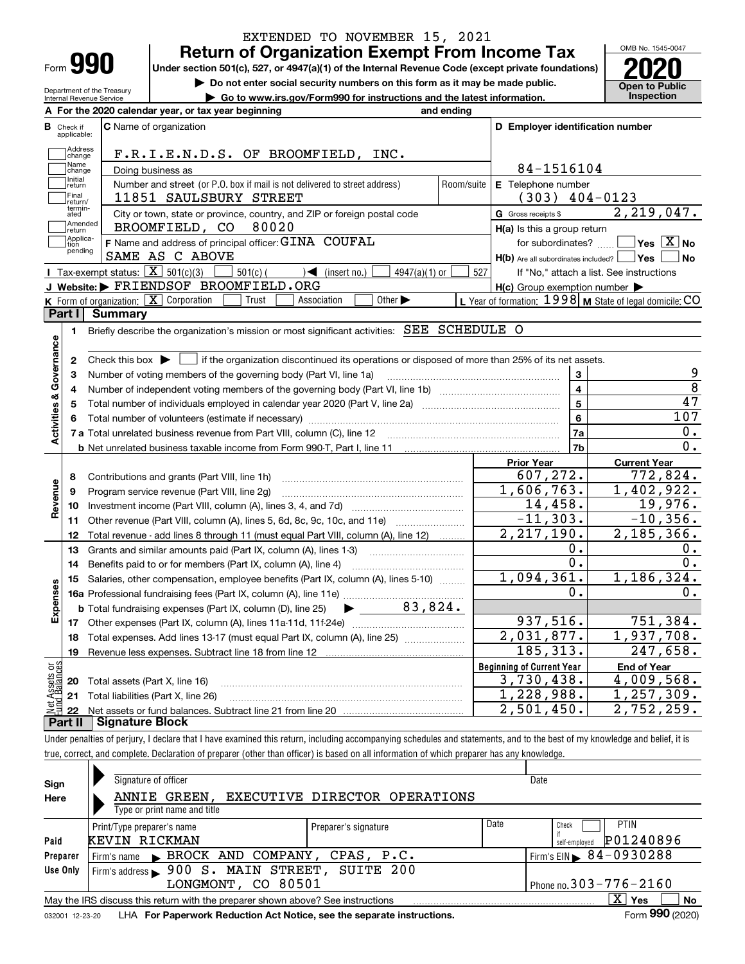|          | -----                      |
|----------|----------------------------|
|          | <b>Return of O</b>         |
| Form 990 | Under section 501(c), 527, |
|          |                            |

Department of the Treasury Internal Revenue Service

## **Return of Creens** From Income Tax EXTENDED TO NOVEMBER 15, 2021

**Under section 501(c), 527, or 4947(a)(1) of the Internal Revenue Code (except private foundations) 2020**

**| Do not enter social security numbers on this form as it may be made public.**

**| Go to www.irs.gov/Form990 for instructions and the latest information. Inspection**



|                                                   |                            | A For the 2020 calendar year, or tax year beginning                                                                                                 | and ending |                                                         |                                                           |  |  |  |  |  |  |
|---------------------------------------------------|----------------------------|-----------------------------------------------------------------------------------------------------------------------------------------------------|------------|---------------------------------------------------------|-----------------------------------------------------------|--|--|--|--|--|--|
| В                                                 | Check if<br>applicable:    | C Name of organization                                                                                                                              |            | D Employer identification number                        |                                                           |  |  |  |  |  |  |
|                                                   | Address<br>change          | F.R.I.E.N.D.S. OF BROOMFIELD, INC.                                                                                                                  |            |                                                         |                                                           |  |  |  |  |  |  |
| Name<br>84-1516104<br>Doing business as<br>change |                            |                                                                                                                                                     |            |                                                         |                                                           |  |  |  |  |  |  |
|                                                   | Initial<br>return          | Number and street (or P.O. box if mail is not delivered to street address)                                                                          | Room/suite | E Telephone number                                      |                                                           |  |  |  |  |  |  |
|                                                   | $(303)$ 404-0123           |                                                                                                                                                     |            |                                                         |                                                           |  |  |  |  |  |  |
|                                                   | return/<br>termin-<br>ated | City or town, state or province, country, and ZIP or foreign postal code                                                                            |            | G Gross receipts \$                                     | 2,219,047.                                                |  |  |  |  |  |  |
|                                                   | Amended<br>return]         | BROOMFIELD, CO<br>80020                                                                                                                             |            | $H(a)$ is this a group return                           |                                                           |  |  |  |  |  |  |
|                                                   | Applica-<br>tion           | F Name and address of principal officer: GINA COUFAL                                                                                                |            | for subordinates?                                       | $\boxed{\phantom{1}}$ Yes $\boxed{\text{X}}$ No           |  |  |  |  |  |  |
|                                                   | pending                    | SAME AS C ABOVE                                                                                                                                     |            | $H(b)$ Are all subordinates included? $\Box$ Yes $\Box$ | ∣No                                                       |  |  |  |  |  |  |
|                                                   |                            | Tax-exempt status: $\boxed{\mathbf{X}}$ 501(c)(3)<br>$501(c)$ (<br>$\sqrt{\phantom{a}}$ (insert no.)<br>4947(a)(1) or                               | 527        |                                                         | If "No," attach a list. See instructions                  |  |  |  |  |  |  |
|                                                   |                            | J Website: FRIENDSOF BROOMFIELD.ORG                                                                                                                 |            | $H(c)$ Group exemption number $\blacktriangleright$     |                                                           |  |  |  |  |  |  |
|                                                   |                            | <b>K</b> Form of organization: $\boxed{\mathbf{X}}$ Corporation<br>Other $\blacktriangleright$<br>Trust<br>Association                              |            |                                                         | L Year of formation: $1998$ M State of legal domicile: CO |  |  |  |  |  |  |
|                                                   | Part I                     | <b>Summary</b>                                                                                                                                      |            |                                                         |                                                           |  |  |  |  |  |  |
|                                                   | 1.                         | Briefly describe the organization's mission or most significant activities: SEE SCHEDULE O                                                          |            |                                                         |                                                           |  |  |  |  |  |  |
|                                                   |                            |                                                                                                                                                     |            |                                                         |                                                           |  |  |  |  |  |  |
| Activities & Governance                           | $\mathbf{2}$               | Check this box $\blacktriangleright$ $\blacksquare$ if the organization discontinued its operations or disposed of more than 25% of its net assets. |            |                                                         |                                                           |  |  |  |  |  |  |
|                                                   | 3                          | Number of voting members of the governing body (Part VI, line 1a)                                                                                   |            | 3                                                       | 9                                                         |  |  |  |  |  |  |
|                                                   | 4                          |                                                                                                                                                     |            | $\overline{4}$                                          | $\overline{8}$                                            |  |  |  |  |  |  |
|                                                   | 5                          |                                                                                                                                                     |            | $\overline{5}$                                          | 47                                                        |  |  |  |  |  |  |
|                                                   | 6                          |                                                                                                                                                     |            | $\bf{6}$                                                | 107                                                       |  |  |  |  |  |  |
|                                                   |                            |                                                                                                                                                     |            | 7a                                                      | 0.                                                        |  |  |  |  |  |  |
|                                                   |                            |                                                                                                                                                     |            | 7b                                                      | 0.                                                        |  |  |  |  |  |  |
|                                                   |                            |                                                                                                                                                     |            | <b>Prior Year</b>                                       | <b>Current Year</b>                                       |  |  |  |  |  |  |
|                                                   | 8                          | Contributions and grants (Part VIII, line 1h)                                                                                                       |            | 607, 272.                                               | 772,824.                                                  |  |  |  |  |  |  |
|                                                   | 9                          | Program service revenue (Part VIII, line 2g)                                                                                                        |            | 1,606,763.                                              | 1,402,922.                                                |  |  |  |  |  |  |
| Revenue                                           | 10                         |                                                                                                                                                     |            | 14,458.                                                 | 19,976.                                                   |  |  |  |  |  |  |
|                                                   | 11                         | Other revenue (Part VIII, column (A), lines 5, 6d, 8c, 9c, 10c, and 11e)                                                                            |            | $-11, 303.$                                             | $-10,356.$                                                |  |  |  |  |  |  |
|                                                   | 12                         | Total revenue - add lines 8 through 11 (must equal Part VIII, column (A), line 12)                                                                  |            | 2, 217, 190.                                            | 2, 185, 366.                                              |  |  |  |  |  |  |
|                                                   | 13                         | Grants and similar amounts paid (Part IX, column (A), lines 1-3)                                                                                    |            | Ο.                                                      | $0 \cdot$                                                 |  |  |  |  |  |  |
|                                                   | 14                         | Benefits paid to or for members (Part IX, column (A), line 4)                                                                                       |            | 0.                                                      | 0.                                                        |  |  |  |  |  |  |
|                                                   | 15                         | Salaries, other compensation, employee benefits (Part IX, column (A), lines 5-10)                                                                   |            | 1,094,361.                                              | 1,186,324.                                                |  |  |  |  |  |  |
| Expenses                                          |                            | 16a Professional fundraising fees (Part IX, column (A), line 11e)                                                                                   |            | Ο.                                                      | 0.                                                        |  |  |  |  |  |  |
|                                                   |                            | 83,824.<br><b>b</b> Total fundraising expenses (Part IX, column (D), line 25)                                                                       |            |                                                         |                                                           |  |  |  |  |  |  |
|                                                   |                            |                                                                                                                                                     |            | 937,516.                                                | 751,384.                                                  |  |  |  |  |  |  |
|                                                   | 18                         | Total expenses. Add lines 13-17 (must equal Part IX, column (A), line 25)                                                                           |            | $\overline{2,031,877}$ .                                | 1,937,708.                                                |  |  |  |  |  |  |
|                                                   | 19                         |                                                                                                                                                     |            | 185,313.                                                | 247,658.                                                  |  |  |  |  |  |  |
| ăğ                                                |                            |                                                                                                                                                     |            | <b>Beginning of Current Year</b>                        | <b>End of Year</b>                                        |  |  |  |  |  |  |
| sets<br>alanc                                     |                            | <b>20</b> Total assets (Part X, line 16)                                                                                                            |            | 3,730,438.                                              | 4,009,568.                                                |  |  |  |  |  |  |
|                                                   |                            | 21 Total liabilities (Part X, line 26)                                                                                                              |            | 1,228,988.                                              | 1, 257, 309.                                              |  |  |  |  |  |  |
|                                                   |                            |                                                                                                                                                     |            | 2,501,450.                                              | 2,752,259.                                                |  |  |  |  |  |  |

**Part II Signature Block**

Under penalties of perjury, I declare that I have examined this return, including accompanying schedules and statements, and to the best of my knowledge and belief, it is true, correct, and complete. Declaration of preparer (other than officer) is based on all information of which preparer has any knowledge.

| Sign     | Signature of officer                                                                                         |                               |      | Date                                               |  |  |  |  |  |  |  |
|----------|--------------------------------------------------------------------------------------------------------------|-------------------------------|------|----------------------------------------------------|--|--|--|--|--|--|--|
| Here     | ANNIE GREEN.<br>Type or print name and title                                                                 | EXECUTIVE DIRECTOR OPERATIONS |      |                                                    |  |  |  |  |  |  |  |
| Paid     | Print/Type preparer's name<br>KEVIN RICKMAN                                                                  | Preparer's signature          | Date | <b>PTIN</b><br>Check<br>P01240896<br>self-emploved |  |  |  |  |  |  |  |
| Preparer | Firm's name BROCK AND COMPANY, CPAS, P.C.                                                                    |                               |      | Firm's EIN $\triangleright$ 84-0930288             |  |  |  |  |  |  |  |
| Use Only | Firm's address > 900 S. MAIN STREET, SUITE 200<br>LONGMONT, CO 80501<br>Phone no. $303 - 776 - 2160$         |                               |      |                                                    |  |  |  |  |  |  |  |
|          | x<br>No<br>Yes<br>May the IRS discuss this return with the preparer shown above? See instructions            |                               |      |                                                    |  |  |  |  |  |  |  |
|          | Form 990 (2020)<br>LHA For Paperwork Reduction Act Notice, see the separate instructions.<br>032001 12-23-20 |                               |      |                                                    |  |  |  |  |  |  |  |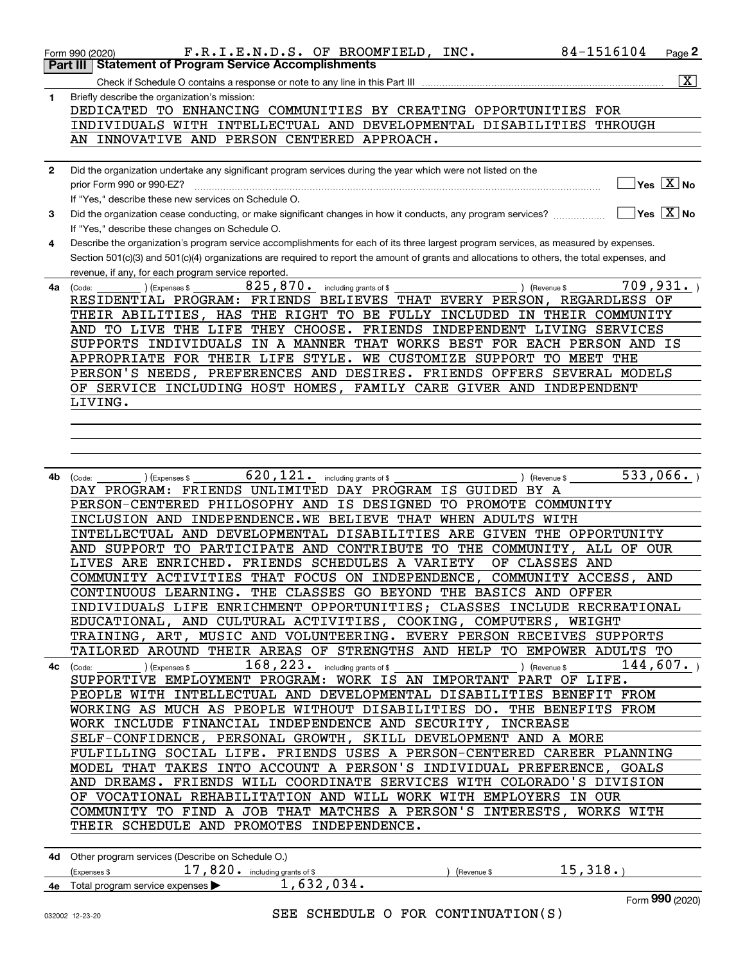|              | 84-1516104<br>F.R.I.E.N.D.S. OF BROOMFIELD, INC.<br>Page 2<br>Form 990 (2020)<br><b>Statement of Program Service Accomplishments</b>                                 |
|--------------|----------------------------------------------------------------------------------------------------------------------------------------------------------------------|
|              | Part III<br>$\overline{\mathbf{X}}$ $\overline{}$                                                                                                                    |
| 1            | Check if Schedule O contains a response or note to any line in this Part III<br>Briefly describe the organization's mission:                                         |
|              | DEDICATED TO ENHANCING COMMUNITIES BY CREATING OPPORTUNITIES FOR                                                                                                     |
|              | INDIVIDUALS WITH INTELLECTUAL AND DEVELOPMENTAL DISABILITIES THROUGH                                                                                                 |
|              | AN INNOVATIVE AND PERSON CENTERED APPROACH.                                                                                                                          |
|              |                                                                                                                                                                      |
| $\mathbf{2}$ | Did the organization undertake any significant program services during the year which were not listed on the<br>$\sqrt{}$ Yes $\sqrt{}$ X $\sqrt{}$ No               |
|              | prior Form 990 or 990-EZ?<br>If "Yes," describe these new services on Schedule O.                                                                                    |
| 3            | $\sqrt{}$ Yes $\sqrt{}$ X $\sqrt{}$ No<br>Did the organization cease conducting, or make significant changes in how it conducts, any program services?               |
|              | If "Yes," describe these changes on Schedule O.                                                                                                                      |
| 4            | Describe the organization's program service accomplishments for each of its three largest program services, as measured by expenses.                                 |
|              | Section 501(c)(3) and 501(c)(4) organizations are required to report the amount of grants and allocations to others, the total expenses, and                         |
|              | revenue, if any, for each program service reported.                                                                                                                  |
| 4a           | 709, 931.<br>825, 870. including grants of \$<br>) (Revenue \$<br>) (Expenses \$<br>(Code:<br>RESIDENTIAL PROGRAM: FRIENDS BELIEVES THAT EVERY PERSON, REGARDLESS OF |
|              | THEIR ABILITIES, HAS THE RIGHT TO BE FULLY INCLUDED IN THEIR COMMUNITY                                                                                               |
|              | AND TO LIVE THE LIFE THEY CHOOSE. FRIENDS INDEPENDENT LIVING SERVICES                                                                                                |
|              | SUPPORTS INDIVIDUALS IN A MANNER THAT WORKS BEST FOR EACH PERSON AND IS                                                                                              |
|              | APPROPRIATE FOR THEIR LIFE STYLE. WE CUSTOMIZE SUPPORT TO MEET THE                                                                                                   |
|              | PERSON'S NEEDS, PREFERENCES AND DESIRES. FRIENDS OFFERS SEVERAL MODELS                                                                                               |
|              | OF SERVICE INCLUDING HOST HOMES, FAMILY CARE GIVER AND INDEPENDENT                                                                                                   |
|              | LIVING.                                                                                                                                                              |
|              |                                                                                                                                                                      |
|              |                                                                                                                                                                      |
|              |                                                                                                                                                                      |
| 4b           | 533,066.<br>$620, 121$ . including grants of \$<br>(Revenue \$<br>(Code:<br>(Expenses \$                                                                             |
|              | DAY PROGRAM: FRIENDS UNLIMITED DAY PROGRAM IS GUIDED BY A                                                                                                            |
|              | PERSON-CENTERED PHILOSOPHY AND IS DESIGNED TO PROMOTE COMMUNITY                                                                                                      |
|              | INCLUSION AND INDEPENDENCE.WE BELIEVE THAT WHEN ADULTS WITH<br>INTELLECTUAL AND DEVELOPMENTAL DISABILITIES ARE GIVEN THE OPPORTUNITY                                 |
|              | AND SUPPORT TO PARTICIPATE AND CONTRIBUTE TO THE COMMUNITY,<br>ALL OF OUR                                                                                            |
|              | LIVES ARE ENRICHED. FRIENDS SCHEDULES A VARIETY<br>OF CLASSES AND                                                                                                    |
|              | COMMUNITY ACTIVITIES THAT FOCUS ON INDEPENDENCE,<br>COMMUNITY ACCESS, AND                                                                                            |
|              | CONTINUOUS LEARNING. THE CLASSES GO BEYOND THE BASICS AND OFFER                                                                                                      |
|              | INDIVIDUALS LIFE ENRICHMENT OPPORTUNITIES; CLASSES INCLUDE RECREATIONAL                                                                                              |
|              | EDUCATIONAL, AND CULTURAL ACTIVITIES, COOKING, COMPUTERS, WEIGHT                                                                                                     |
|              | TRAINING, ART, MUSIC AND VOLUNTEERING. EVERY PERSON RECEIVES SUPPORTS<br>TAILORED AROUND THEIR AREAS OF STRENGTHS AND HELP TO EMPOWER ADULTS TO                      |
|              | 144,607.                                                                                                                                                             |
|              | SUPPORTIVE EMPLOYMENT PROGRAM: WORK IS AN IMPORTANT PART OF LIFE.                                                                                                    |
|              | PEOPLE WITH INTELLECTUAL AND DEVELOPMENTAL DISABILITIES BENEFIT FROM                                                                                                 |
|              | WORKING AS MUCH AS PEOPLE WITHOUT DISABILITIES DO. THE BENEFITS FROM                                                                                                 |
|              | WORK INCLUDE FINANCIAL INDEPENDENCE AND SECURITY, INCREASE                                                                                                           |
|              | SELF-CONFIDENCE, PERSONAL GROWTH, SKILL DEVELOPMENT AND A MORE                                                                                                       |
|              | FULFILLING SOCIAL LIFE. FRIENDS USES A PERSON-CENTERED CAREER PLANNING<br>MODEL THAT TAKES INTO ACCOUNT A PERSON'S INDIVIDUAL PREFERENCE, GOALS                      |
|              | AND DREAMS. FRIENDS WILL COORDINATE SERVICES WITH COLORADO'S DIVISION                                                                                                |
|              | OF VOCATIONAL REHABILITATION AND WILL WORK WITH EMPLOYERS IN OUR                                                                                                     |
|              | COMMUNITY TO FIND A JOB THAT MATCHES A PERSON'S INTERESTS, WORKS WITH                                                                                                |
|              | THEIR SCHEDULE AND PROMOTES INDEPENDENCE.                                                                                                                            |
|              |                                                                                                                                                                      |
|              | 4d Other program services (Describe on Schedule O.)                                                                                                                  |
|              | 15,318.<br>17,820. including grants of \$<br>(Express \$<br>) (Revenue \$<br>1,632,034.<br>4e Total program service expenses                                         |
|              | Form 990 (2020)                                                                                                                                                      |
|              |                                                                                                                                                                      |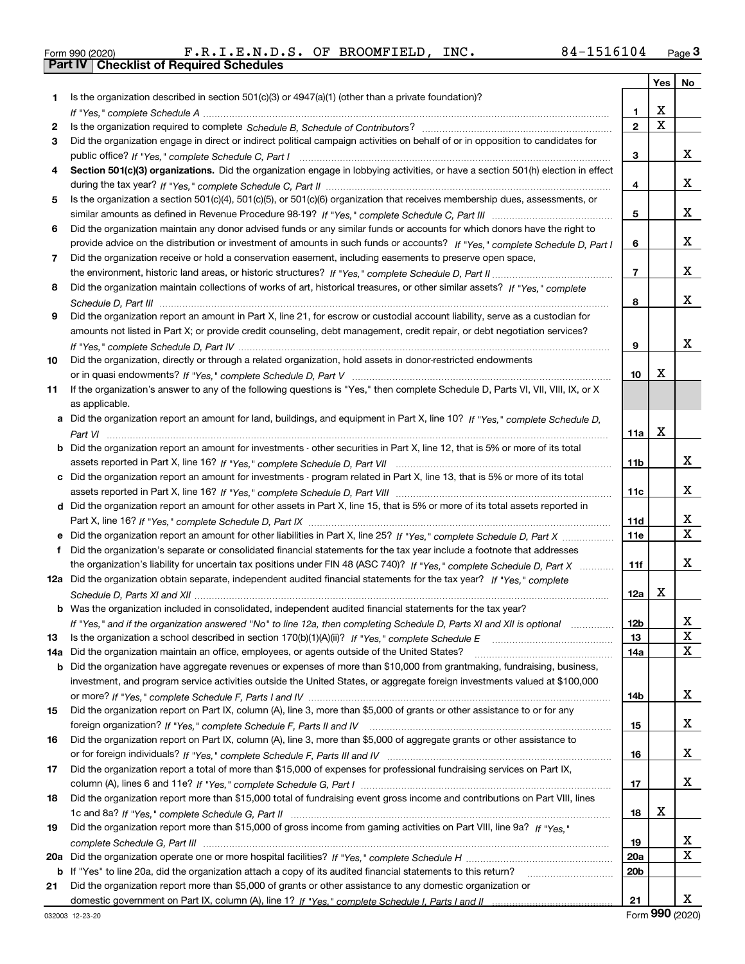|  | Form 990 (2020) |
|--|-----------------|

Form 990 (2020) F.R.I.E.N.D.S. OF BROOMFIELD, INC. 8 4-1516104 <sub>Page</sub> 3<br>**Part IV** | Checklist of Required Schedules

|     |                                                                                                                                                                                                                                                    |                 | Yes         | No  |
|-----|----------------------------------------------------------------------------------------------------------------------------------------------------------------------------------------------------------------------------------------------------|-----------------|-------------|-----|
| 1.  | Is the organization described in section 501(c)(3) or 4947(a)(1) (other than a private foundation)?                                                                                                                                                |                 |             |     |
|     |                                                                                                                                                                                                                                                    | 1               | х           |     |
| 2   |                                                                                                                                                                                                                                                    | $\mathbf{2}$    | $\mathbf X$ |     |
| 3   | Did the organization engage in direct or indirect political campaign activities on behalf of or in opposition to candidates for                                                                                                                    |                 |             |     |
|     |                                                                                                                                                                                                                                                    | 3               |             | x   |
| 4   | Section 501(c)(3) organizations. Did the organization engage in lobbying activities, or have a section 501(h) election in effect                                                                                                                   |                 |             |     |
|     |                                                                                                                                                                                                                                                    | 4               |             | x   |
| 5   | Is the organization a section 501(c)(4), 501(c)(5), or 501(c)(6) organization that receives membership dues, assessments, or                                                                                                                       |                 |             |     |
|     |                                                                                                                                                                                                                                                    | 5               |             | x   |
| 6   | Did the organization maintain any donor advised funds or any similar funds or accounts for which donors have the right to                                                                                                                          |                 |             |     |
|     | provide advice on the distribution or investment of amounts in such funds or accounts? If "Yes," complete Schedule D, Part I                                                                                                                       | 6               |             | x   |
| 7   | Did the organization receive or hold a conservation easement, including easements to preserve open space,                                                                                                                                          |                 |             |     |
|     |                                                                                                                                                                                                                                                    | $\overline{7}$  |             | x   |
| 8   | Did the organization maintain collections of works of art, historical treasures, or other similar assets? If "Yes," complete                                                                                                                       |                 |             |     |
|     |                                                                                                                                                                                                                                                    | 8               |             | x   |
| 9   | Did the organization report an amount in Part X, line 21, for escrow or custodial account liability, serve as a custodian for                                                                                                                      |                 |             |     |
|     | amounts not listed in Part X; or provide credit counseling, debt management, credit repair, or debt negotiation services?                                                                                                                          |                 |             |     |
|     |                                                                                                                                                                                                                                                    | 9               |             | x   |
| 10  | Did the organization, directly or through a related organization, hold assets in donor-restricted endowments                                                                                                                                       |                 |             |     |
|     |                                                                                                                                                                                                                                                    | 10              | x           |     |
| 11  | If the organization's answer to any of the following questions is "Yes," then complete Schedule D, Parts VI, VIII, VIII, IX, or X                                                                                                                  |                 |             |     |
|     | as applicable.                                                                                                                                                                                                                                     |                 |             |     |
|     | a Did the organization report an amount for land, buildings, and equipment in Part X, line 10? If "Yes," complete Schedule D,                                                                                                                      |                 |             |     |
|     |                                                                                                                                                                                                                                                    | 11a             | X           |     |
|     | <b>b</b> Did the organization report an amount for investments - other securities in Part X, line 12, that is 5% or more of its total                                                                                                              |                 |             |     |
|     |                                                                                                                                                                                                                                                    | 11 <sub>b</sub> |             | x   |
|     | c Did the organization report an amount for investments - program related in Part X, line 13, that is 5% or more of its total                                                                                                                      |                 |             |     |
|     |                                                                                                                                                                                                                                                    | 11c             |             | x   |
|     | d Did the organization report an amount for other assets in Part X, line 15, that is 5% or more of its total assets reported in                                                                                                                    |                 |             | х   |
|     |                                                                                                                                                                                                                                                    | 11d             |             | X   |
|     | e Did the organization report an amount for other liabilities in Part X, line 25? If "Yes," complete Schedule D, Part X<br>Did the organization's separate or consolidated financial statements for the tax year include a footnote that addresses | <b>11e</b>      |             |     |
| f   | the organization's liability for uncertain tax positions under FIN 48 (ASC 740)? If "Yes," complete Schedule D, Part X                                                                                                                             | 11f             |             | x   |
|     | 12a Did the organization obtain separate, independent audited financial statements for the tax year? If "Yes," complete                                                                                                                            |                 |             |     |
|     |                                                                                                                                                                                                                                                    | 12a             | х           |     |
|     | <b>b</b> Was the organization included in consolidated, independent audited financial statements for the tax year?                                                                                                                                 |                 |             |     |
|     | If "Yes," and if the organization answered "No" to line 12a, then completing Schedule D, Parts XI and XII is optional                                                                                                                              | 12 <sub>b</sub> |             | 47. |
| 13  |                                                                                                                                                                                                                                                    | 13              |             | X   |
| 14a | Did the organization maintain an office, employees, or agents outside of the United States?                                                                                                                                                        | 14a             |             | X   |
|     | <b>b</b> Did the organization have aggregate revenues or expenses of more than \$10,000 from grantmaking, fundraising, business,                                                                                                                   |                 |             |     |
|     | investment, and program service activities outside the United States, or aggregate foreign investments valued at \$100,000                                                                                                                         |                 |             |     |
|     |                                                                                                                                                                                                                                                    | 14b             |             | x   |
| 15  | Did the organization report on Part IX, column (A), line 3, more than \$5,000 of grants or other assistance to or for any                                                                                                                          |                 |             |     |
|     |                                                                                                                                                                                                                                                    | 15              |             | x   |
| 16  | Did the organization report on Part IX, column (A), line 3, more than \$5,000 of aggregate grants or other assistance to                                                                                                                           |                 |             |     |
|     |                                                                                                                                                                                                                                                    | 16              |             | x   |
| 17  | Did the organization report a total of more than \$15,000 of expenses for professional fundraising services on Part IX,                                                                                                                            |                 |             |     |
|     |                                                                                                                                                                                                                                                    | 17              |             | x   |
| 18  | Did the organization report more than \$15,000 total of fundraising event gross income and contributions on Part VIII, lines                                                                                                                       |                 |             |     |
|     |                                                                                                                                                                                                                                                    | 18              | х           |     |
| 19  | Did the organization report more than \$15,000 of gross income from gaming activities on Part VIII, line 9a? If "Yes."                                                                                                                             |                 |             |     |
|     |                                                                                                                                                                                                                                                    | 19              |             | x   |
|     |                                                                                                                                                                                                                                                    | 20a             |             | X   |
|     | <b>b</b> If "Yes" to line 20a, did the organization attach a copy of its audited financial statements to this return?                                                                                                                              | 20 <sub>b</sub> |             |     |
| 21  | Did the organization report more than \$5,000 of grants or other assistance to any domestic organization or                                                                                                                                        |                 |             |     |
|     |                                                                                                                                                                                                                                                    | 21              |             | x   |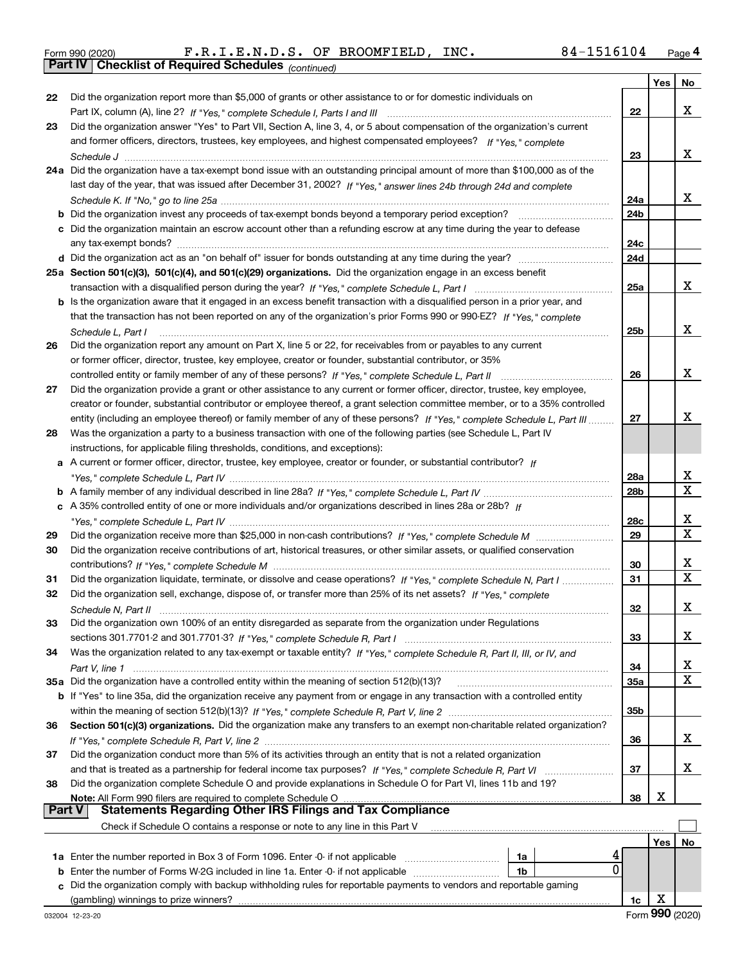|  | Form 990 (2020) |
|--|-----------------|
|  |                 |

*(continued)* Form 990 (2020) F.R.I.E.N.D.S. OF BROOMFIELD, INC. 8 4-1516104 <sub>Page</sub> 4<br>**Part IV | Checklist of Required Schedules** <sub>(continued)</sub>

|               |                                                                                                                                                                                                                                               |                 | Yes | No          |
|---------------|-----------------------------------------------------------------------------------------------------------------------------------------------------------------------------------------------------------------------------------------------|-----------------|-----|-------------|
| 22            | Did the organization report more than \$5,000 of grants or other assistance to or for domestic individuals on                                                                                                                                 |                 |     |             |
|               |                                                                                                                                                                                                                                               | 22              |     | х           |
| 23            | Did the organization answer "Yes" to Part VII, Section A, line 3, 4, or 5 about compensation of the organization's current                                                                                                                    |                 |     |             |
|               | and former officers, directors, trustees, key employees, and highest compensated employees? If "Yes," complete                                                                                                                                |                 |     |             |
|               |                                                                                                                                                                                                                                               | 23              |     | х           |
|               | 24a Did the organization have a tax-exempt bond issue with an outstanding principal amount of more than \$100,000 as of the                                                                                                                   |                 |     |             |
|               | last day of the year, that was issued after December 31, 2002? If "Yes," answer lines 24b through 24d and complete                                                                                                                            |                 |     |             |
|               |                                                                                                                                                                                                                                               | 24a             |     | х           |
|               | b Did the organization invest any proceeds of tax-exempt bonds beyond a temporary period exception?                                                                                                                                           | 24 <sub>b</sub> |     |             |
|               | c Did the organization maintain an escrow account other than a refunding escrow at any time during the year to defease                                                                                                                        |                 |     |             |
|               |                                                                                                                                                                                                                                               | 24c             |     |             |
|               |                                                                                                                                                                                                                                               | 24d             |     |             |
|               | 25a Section 501(c)(3), 501(c)(4), and 501(c)(29) organizations. Did the organization engage in an excess benefit                                                                                                                              |                 |     |             |
|               |                                                                                                                                                                                                                                               | 25a             |     | х           |
|               | b Is the organization aware that it engaged in an excess benefit transaction with a disqualified person in a prior year, and                                                                                                                  |                 |     |             |
|               | that the transaction has not been reported on any of the organization's prior Forms 990 or 990-EZ? If "Yes," complete                                                                                                                         |                 |     | х           |
|               | Schedule L, Part I                                                                                                                                                                                                                            | 25b             |     |             |
| 26            | Did the organization report any amount on Part X, line 5 or 22, for receivables from or payables to any current                                                                                                                               |                 |     |             |
|               | or former officer, director, trustee, key employee, creator or founder, substantial contributor, or 35%                                                                                                                                       |                 |     | х           |
|               |                                                                                                                                                                                                                                               | 26              |     |             |
| 27            | Did the organization provide a grant or other assistance to any current or former officer, director, trustee, key employee,                                                                                                                   |                 |     |             |
|               | creator or founder, substantial contributor or employee thereof, a grant selection committee member, or to a 35% controlled                                                                                                                   | 27              |     | х           |
| 28            | entity (including an employee thereof) or family member of any of these persons? If "Yes," complete Schedule L, Part III<br>Was the organization a party to a business transaction with one of the following parties (see Schedule L, Part IV |                 |     |             |
|               | instructions, for applicable filing thresholds, conditions, and exceptions):                                                                                                                                                                  |                 |     |             |
|               | a A current or former officer, director, trustee, key employee, creator or founder, or substantial contributor? If                                                                                                                            |                 |     |             |
|               |                                                                                                                                                                                                                                               | 28a             |     | х           |
|               |                                                                                                                                                                                                                                               | 28b             |     | $\mathbf x$ |
|               | c A 35% controlled entity of one or more individuals and/or organizations described in lines 28a or 28b? If                                                                                                                                   |                 |     |             |
|               |                                                                                                                                                                                                                                               | 28c             |     | x           |
| 29            |                                                                                                                                                                                                                                               | 29              |     | $\mathbf x$ |
| 30            | Did the organization receive contributions of art, historical treasures, or other similar assets, or qualified conservation                                                                                                                   |                 |     |             |
|               |                                                                                                                                                                                                                                               | 30              |     | x           |
| 31            | Did the organization liquidate, terminate, or dissolve and cease operations? If "Yes," complete Schedule N, Part I                                                                                                                            | 31              |     | X           |
| 32            | Did the organization sell, exchange, dispose of, or transfer more than 25% of its net assets? If "Yes," complete                                                                                                                              |                 |     |             |
|               | Schedule N. Part II (1990) continuum control control de la control de la control de la control de la control d                                                                                                                                | 32              |     | х           |
| 33            | Did the organization own 100% of an entity disregarded as separate from the organization under Regulations                                                                                                                                    |                 |     |             |
|               |                                                                                                                                                                                                                                               | 33              |     | х           |
| 34            | Was the organization related to any tax-exempt or taxable entity? If "Yes," complete Schedule R, Part II, III, or IV, and                                                                                                                     |                 |     |             |
|               |                                                                                                                                                                                                                                               | 34              |     | x           |
|               | 35a Did the organization have a controlled entity within the meaning of section 512(b)(13)?                                                                                                                                                   | <b>35a</b>      |     | X           |
|               | <b>b</b> If "Yes" to line 35a, did the organization receive any payment from or engage in any transaction with a controlled entity                                                                                                            |                 |     |             |
|               |                                                                                                                                                                                                                                               | 35b             |     |             |
| 36            | Section 501(c)(3) organizations. Did the organization make any transfers to an exempt non-charitable related organization?                                                                                                                    |                 |     |             |
|               |                                                                                                                                                                                                                                               | 36              |     | x           |
| 37            | Did the organization conduct more than 5% of its activities through an entity that is not a related organization                                                                                                                              |                 |     |             |
|               | and that is treated as a partnership for federal income tax purposes? If "Yes," complete Schedule R, Part VI                                                                                                                                  | 37              |     | х           |
| 38            | Did the organization complete Schedule O and provide explanations in Schedule O for Part VI, lines 11b and 19?                                                                                                                                |                 |     |             |
|               | Note: All Form 990 filers are required to complete Schedule O                                                                                                                                                                                 | 38              | X   |             |
| <b>Part V</b> | <b>Statements Regarding Other IRS Filings and Tax Compliance</b>                                                                                                                                                                              |                 |     |             |
|               | Check if Schedule O contains a response or note to any line in this Part V                                                                                                                                                                    |                 |     |             |
|               |                                                                                                                                                                                                                                               |                 | Yes | No          |
|               | 1a Enter the number reported in Box 3 of Form 1096. Enter -0- if not applicable<br>1a                                                                                                                                                         |                 |     |             |
| b             | 0<br>Enter the number of Forms W-2G included in line 1a. Enter -0- if not applicable<br>1b                                                                                                                                                    |                 |     |             |
| c             | Did the organization comply with backup withholding rules for reportable payments to vendors and reportable gaming                                                                                                                            |                 |     |             |
|               | (gambling) winnings to prize winners?                                                                                                                                                                                                         | 1c              | х   |             |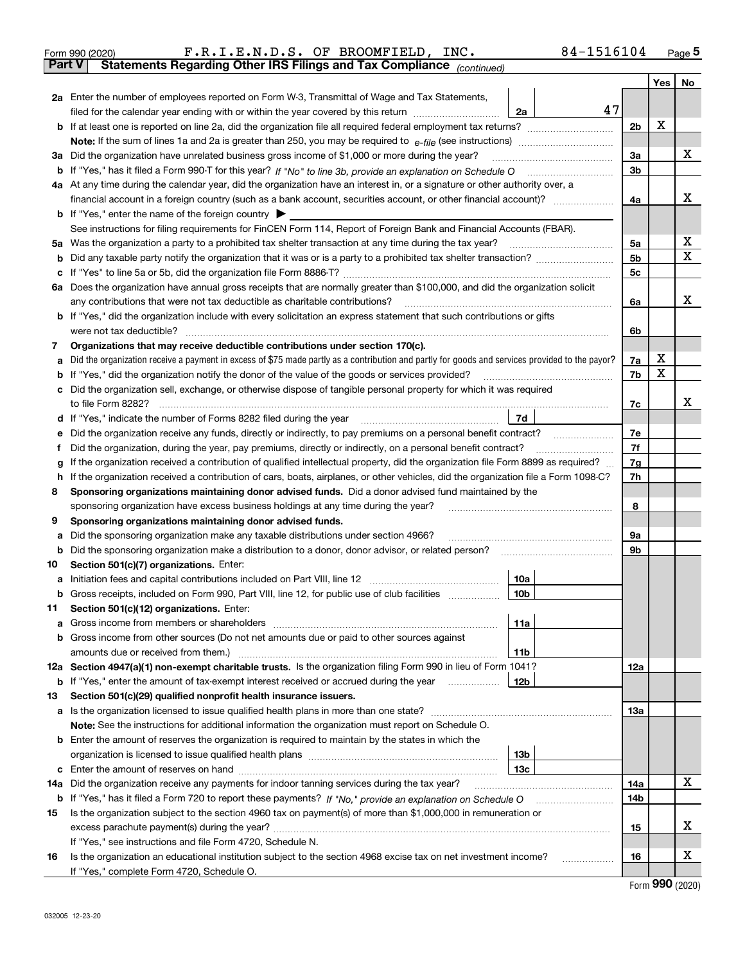|        | F.R.I.E.N.D.S. OF BROOMFIELD, INC.<br>84-1516104<br>Form 990 (2020)                                                                                                                        |                |     | $_{\text{Page}}$ 5 |  |  |  |  |  |  |  |
|--------|--------------------------------------------------------------------------------------------------------------------------------------------------------------------------------------------|----------------|-----|--------------------|--|--|--|--|--|--|--|
| Part V | Statements Regarding Other IRS Filings and Tax Compliance (continued)                                                                                                                      |                |     |                    |  |  |  |  |  |  |  |
|        |                                                                                                                                                                                            |                | Yes | No                 |  |  |  |  |  |  |  |
|        | 2a Enter the number of employees reported on Form W-3, Transmittal of Wage and Tax Statements,                                                                                             |                |     |                    |  |  |  |  |  |  |  |
|        | filed for the calendar year ending with or within the year covered by this return<br>2a                                                                                                    | 47             | х   |                    |  |  |  |  |  |  |  |
|        |                                                                                                                                                                                            |                |     |                    |  |  |  |  |  |  |  |
|        |                                                                                                                                                                                            |                |     | x                  |  |  |  |  |  |  |  |
|        | 3a Did the organization have unrelated business gross income of \$1,000 or more during the year?                                                                                           |                |     |                    |  |  |  |  |  |  |  |
| b      |                                                                                                                                                                                            | 3 <sub>b</sub> |     |                    |  |  |  |  |  |  |  |
|        | 4a At any time during the calendar year, did the organization have an interest in, or a signature or other authority over, a                                                               |                |     |                    |  |  |  |  |  |  |  |
|        |                                                                                                                                                                                            | 4a             |     | x                  |  |  |  |  |  |  |  |
|        | <b>b</b> If "Yes," enter the name of the foreign country $\triangleright$                                                                                                                  |                |     |                    |  |  |  |  |  |  |  |
|        | See instructions for filing requirements for FinCEN Form 114, Report of Foreign Bank and Financial Accounts (FBAR).                                                                        |                |     |                    |  |  |  |  |  |  |  |
| 5a     | Was the organization a party to a prohibited tax shelter transaction at any time during the tax year?                                                                                      | 5a             |     | x                  |  |  |  |  |  |  |  |
| b      |                                                                                                                                                                                            | 5 <sub>b</sub> |     | X                  |  |  |  |  |  |  |  |
| с      |                                                                                                                                                                                            | 5c             |     |                    |  |  |  |  |  |  |  |
|        | 6a Does the organization have annual gross receipts that are normally greater than \$100,000, and did the organization solicit                                                             |                |     |                    |  |  |  |  |  |  |  |
|        | any contributions that were not tax deductible as charitable contributions?                                                                                                                | 6a             |     | x                  |  |  |  |  |  |  |  |
|        | b If "Yes," did the organization include with every solicitation an express statement that such contributions or gifts                                                                     |                |     |                    |  |  |  |  |  |  |  |
|        | were not tax deductible?                                                                                                                                                                   | 6b             |     |                    |  |  |  |  |  |  |  |
| 7      | Organizations that may receive deductible contributions under section 170(c).                                                                                                              |                |     |                    |  |  |  |  |  |  |  |
| a      | Did the organization receive a payment in excess of \$75 made partly as a contribution and partly for goods and services provided to the payor?                                            | 7a             | x   |                    |  |  |  |  |  |  |  |
| b      | If "Yes," did the organization notify the donor of the value of the goods or services provided?                                                                                            | 7b             | X   |                    |  |  |  |  |  |  |  |
|        | Did the organization sell, exchange, or otherwise dispose of tangible personal property for which it was required                                                                          |                |     |                    |  |  |  |  |  |  |  |
|        |                                                                                                                                                                                            | 7c             |     | x                  |  |  |  |  |  |  |  |
| d      | 7d                                                                                                                                                                                         |                |     |                    |  |  |  |  |  |  |  |
| е      | Did the organization receive any funds, directly or indirectly, to pay premiums on a personal benefit contract?                                                                            | 7e             |     |                    |  |  |  |  |  |  |  |
| f      | Did the organization, during the year, pay premiums, directly or indirectly, on a personal benefit contract?                                                                               | 7f<br>7g       |     |                    |  |  |  |  |  |  |  |
|        | If the organization received a contribution of qualified intellectual property, did the organization file Form 8899 as required?<br>g                                                      |                |     |                    |  |  |  |  |  |  |  |
| 8      | If the organization received a contribution of cars, boats, airplanes, or other vehicles, did the organization file a Form 1098-C?<br>h                                                    |                |     |                    |  |  |  |  |  |  |  |
|        | Sponsoring organizations maintaining donor advised funds. Did a donor advised fund maintained by the<br>sponsoring organization have excess business holdings at any time during the year? | 8              |     |                    |  |  |  |  |  |  |  |
| 9      | Sponsoring organizations maintaining donor advised funds.                                                                                                                                  |                |     |                    |  |  |  |  |  |  |  |
| a      | Did the sponsoring organization make any taxable distributions under section 4966?                                                                                                         | 9а             |     |                    |  |  |  |  |  |  |  |
| b      | Did the sponsoring organization make a distribution to a donor, donor advisor, or related person?                                                                                          | 9b             |     |                    |  |  |  |  |  |  |  |
| 10     | Section 501(c)(7) organizations. Enter:                                                                                                                                                    |                |     |                    |  |  |  |  |  |  |  |
|        | 10a                                                                                                                                                                                        |                |     |                    |  |  |  |  |  |  |  |
|        | 10b<br>Gross receipts, included on Form 990, Part VIII, line 12, for public use of club facilities                                                                                         |                |     |                    |  |  |  |  |  |  |  |
| 11     | Section 501(c)(12) organizations. Enter:                                                                                                                                                   |                |     |                    |  |  |  |  |  |  |  |
| a      | 11a<br>Gross income from members or shareholders                                                                                                                                           |                |     |                    |  |  |  |  |  |  |  |
| b      | Gross income from other sources (Do not net amounts due or paid to other sources against                                                                                                   |                |     |                    |  |  |  |  |  |  |  |
|        | 11 <sub>b</sub>                                                                                                                                                                            |                |     |                    |  |  |  |  |  |  |  |
|        | 12a Section 4947(a)(1) non-exempt charitable trusts. Is the organization filing Form 990 in lieu of Form 1041?                                                                             | 12a            |     |                    |  |  |  |  |  |  |  |
|        | <b>b</b> If "Yes," enter the amount of tax-exempt interest received or accrued during the year<br>12b                                                                                      |                |     |                    |  |  |  |  |  |  |  |
| 13     | Section 501(c)(29) qualified nonprofit health insurance issuers.                                                                                                                           |                |     |                    |  |  |  |  |  |  |  |
|        | a Is the organization licensed to issue qualified health plans in more than one state?                                                                                                     | 13a            |     |                    |  |  |  |  |  |  |  |
|        | Note: See the instructions for additional information the organization must report on Schedule O.                                                                                          |                |     |                    |  |  |  |  |  |  |  |
|        | <b>b</b> Enter the amount of reserves the organization is required to maintain by the states in which the                                                                                  |                |     |                    |  |  |  |  |  |  |  |
|        | 13 <sub>b</sub>                                                                                                                                                                            |                |     |                    |  |  |  |  |  |  |  |
| c      | 13 <sub>c</sub>                                                                                                                                                                            |                |     |                    |  |  |  |  |  |  |  |
| 14a    | Did the organization receive any payments for indoor tanning services during the tax year?                                                                                                 | 14a            |     | X                  |  |  |  |  |  |  |  |
|        | <b>b</b> If "Yes," has it filed a Form 720 to report these payments? If "No," provide an explanation on Schedule O                                                                         | 14b            |     |                    |  |  |  |  |  |  |  |
| 15     | Is the organization subject to the section 4960 tax on payment(s) of more than \$1,000,000 in remuneration or                                                                              |                |     |                    |  |  |  |  |  |  |  |
|        |                                                                                                                                                                                            | 15             |     | x                  |  |  |  |  |  |  |  |
|        | If "Yes," see instructions and file Form 4720, Schedule N.                                                                                                                                 |                |     | х                  |  |  |  |  |  |  |  |
| 16     | Is the organization an educational institution subject to the section 4968 excise tax on net investment income?                                                                            | 16             |     |                    |  |  |  |  |  |  |  |
|        | If "Yes," complete Form 4720, Schedule O.                                                                                                                                                  |                |     | $\mathbf{QQ}$      |  |  |  |  |  |  |  |

Form (2020) **990**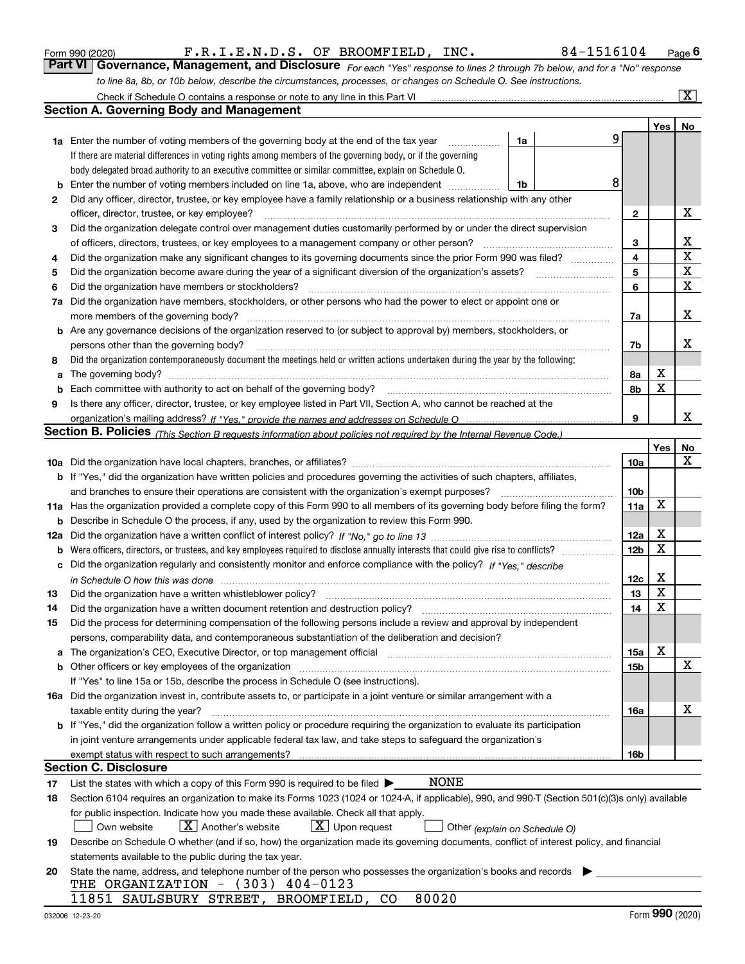|     | Check if Schedule O contains a response or note to any line in this Part VI                                                                                                   |                 |     | $\mathbf{X}$ |  |  |  |  |  |  |  |
|-----|-------------------------------------------------------------------------------------------------------------------------------------------------------------------------------|-----------------|-----|--------------|--|--|--|--|--|--|--|
|     | <b>Section A. Governing Body and Management</b>                                                                                                                               |                 |     |              |  |  |  |  |  |  |  |
|     |                                                                                                                                                                               |                 | Yes | <u>No</u>    |  |  |  |  |  |  |  |
|     | 9<br>1a Enter the number of voting members of the governing body at the end of the tax year<br>1a                                                                             |                 |     |              |  |  |  |  |  |  |  |
|     | If there are material differences in voting rights among members of the governing body, or if the governing                                                                   |                 |     |              |  |  |  |  |  |  |  |
|     | body delegated broad authority to an executive committee or similar committee, explain on Schedule O.                                                                         |                 |     |              |  |  |  |  |  |  |  |
| b   | 8<br>Enter the number of voting members included on line 1a, above, who are independent<br>1b                                                                                 |                 |     |              |  |  |  |  |  |  |  |
| 2   | Did any officer, director, trustee, or key employee have a family relationship or a business relationship with any other                                                      |                 |     |              |  |  |  |  |  |  |  |
|     | officer, director, trustee, or key employee?                                                                                                                                  | 2               |     | Х            |  |  |  |  |  |  |  |
| 3   | Did the organization delegate control over management duties customarily performed by or under the direct supervision                                                         |                 |     |              |  |  |  |  |  |  |  |
|     | of officers, directors, trustees, or key employees to a management company or other person?                                                                                   | з               |     | Х            |  |  |  |  |  |  |  |
| 4   | Did the organization make any significant changes to its governing documents since the prior Form 990 was filed?                                                              | 4               |     | $\mathbf X$  |  |  |  |  |  |  |  |
| 5   |                                                                                                                                                                               | 5               |     | X            |  |  |  |  |  |  |  |
| 6   | Did the organization have members or stockholders?                                                                                                                            | 6               |     | X            |  |  |  |  |  |  |  |
| 7a  | Did the organization have members, stockholders, or other persons who had the power to elect or appoint one or                                                                |                 |     |              |  |  |  |  |  |  |  |
|     | more members of the governing body?                                                                                                                                           | 7a              |     | X            |  |  |  |  |  |  |  |
|     | b Are any governance decisions of the organization reserved to (or subject to approval by) members, stockholders, or                                                          |                 |     |              |  |  |  |  |  |  |  |
|     | persons other than the governing body?                                                                                                                                        | 7b              |     | х            |  |  |  |  |  |  |  |
| 8   | Did the organization contemporaneously document the meetings held or written actions undertaken during the year by the following:                                             |                 |     |              |  |  |  |  |  |  |  |
| a   |                                                                                                                                                                               | 8а              | X   |              |  |  |  |  |  |  |  |
| b   |                                                                                                                                                                               | 8b              | X   |              |  |  |  |  |  |  |  |
| 9   | Is there any officer, director, trustee, or key employee listed in Part VII, Section A, who cannot be reached at the                                                          |                 |     |              |  |  |  |  |  |  |  |
|     |                                                                                                                                                                               | 9               |     | x            |  |  |  |  |  |  |  |
|     | <b>Section B. Policies</b> (This Section B requests information about policies not required by the Internal Revenue Code.)                                                    |                 |     |              |  |  |  |  |  |  |  |
|     |                                                                                                                                                                               |                 | Yes | No           |  |  |  |  |  |  |  |
|     |                                                                                                                                                                               | 10a             |     | X            |  |  |  |  |  |  |  |
|     | <b>b</b> If "Yes," did the organization have written policies and procedures governing the activities of such chapters, affiliates,                                           |                 |     |              |  |  |  |  |  |  |  |
|     | and branches to ensure their operations are consistent with the organization's exempt purposes?                                                                               | 10 <sub>b</sub> |     |              |  |  |  |  |  |  |  |
|     | 11a Has the organization provided a complete copy of this Form 990 to all members of its governing body before filing the form?                                               | 11a             | X   |              |  |  |  |  |  |  |  |
| b   | Describe in Schedule O the process, if any, used by the organization to review this Form 990.                                                                                 |                 |     |              |  |  |  |  |  |  |  |
| 12a |                                                                                                                                                                               | 12a             | X   |              |  |  |  |  |  |  |  |
| b   |                                                                                                                                                                               | 12 <sub>b</sub> | X   |              |  |  |  |  |  |  |  |
| с   | Did the organization regularly and consistently monitor and enforce compliance with the policy? If "Yes." describe                                                            |                 |     |              |  |  |  |  |  |  |  |
|     | in Schedule O how this was done measured and continuum control to the distribution of the state of the state o                                                                | 12c             | Х   |              |  |  |  |  |  |  |  |
| 13  | Did the organization have a written whistleblower policy?                                                                                                                     | 13              | X   |              |  |  |  |  |  |  |  |
| 14  | Did the organization have a written document retention and destruction policy?                                                                                                | 14              | X   |              |  |  |  |  |  |  |  |
| 15  | Did the process for determining compensation of the following persons include a review and approval by independent                                                            |                 |     |              |  |  |  |  |  |  |  |
|     | persons, comparability data, and contemporaneous substantiation of the deliberation and decision?                                                                             |                 |     |              |  |  |  |  |  |  |  |
| a   | The organization's CEO, Executive Director, or top management official manufactured content content of the organization's CEO, Executive Director, or top management official | 15a             | X   |              |  |  |  |  |  |  |  |
|     | <b>b</b> Other officers or key employees of the organization                                                                                                                  | 15b             |     | X            |  |  |  |  |  |  |  |
|     | If "Yes" to line 15a or 15b, describe the process in Schedule O (see instructions).                                                                                           |                 |     |              |  |  |  |  |  |  |  |
|     | 16a Did the organization invest in, contribute assets to, or participate in a joint venture or similar arrangement with a                                                     |                 |     |              |  |  |  |  |  |  |  |
|     | taxable entity during the year?                                                                                                                                               | 16a             |     | х            |  |  |  |  |  |  |  |
|     | b If "Yes," did the organization follow a written policy or procedure requiring the organization to evaluate its participation                                                |                 |     |              |  |  |  |  |  |  |  |
|     | in joint venture arrangements under applicable federal tax law, and take steps to safequard the organization's                                                                |                 |     |              |  |  |  |  |  |  |  |
|     | exempt status with respect to such arrangements?                                                                                                                              | 16b             |     |              |  |  |  |  |  |  |  |
|     | <b>Section C. Disclosure</b>                                                                                                                                                  |                 |     |              |  |  |  |  |  |  |  |
| 17  | <b>NONE</b><br>List the states with which a copy of this Form 990 is required to be filed $\blacktriangleright$                                                               |                 |     |              |  |  |  |  |  |  |  |
| 18  | Section 6104 requires an organization to make its Forms 1023 (1024 or 1024-A, if applicable), 990, and 990-T (Section 501(c)(3)s only) available                              |                 |     |              |  |  |  |  |  |  |  |
|     | for public inspection. Indicate how you made these available. Check all that apply.                                                                                           |                 |     |              |  |  |  |  |  |  |  |
|     | $X$ Another's website<br>$\lfloor x \rfloor$ Upon request<br>Own website<br>Other (explain on Schedule O)                                                                     |                 |     |              |  |  |  |  |  |  |  |
| 19  | Describe on Schedule O whether (and if so, how) the organization made its governing documents, conflict of interest policy, and financial                                     |                 |     |              |  |  |  |  |  |  |  |
|     | statements available to the public during the tax year.                                                                                                                       |                 |     |              |  |  |  |  |  |  |  |
| 20  | State the name, address, and telephone number of the person who possesses the organization's books and records                                                                |                 |     |              |  |  |  |  |  |  |  |
|     | THE ORGANIZATION - (303) 404-0123                                                                                                                                             |                 |     |              |  |  |  |  |  |  |  |
|     | 80020<br>11851 SAULSBURY STREET, BROOMFIELD, CO                                                                                                                               |                 |     |              |  |  |  |  |  |  |  |

*to line 8a, 8b, or 10b below, describe the circumstances, processes, or changes on Schedule O. See instructions.*

Form 990 (2020) **Form 1990 (2020)** F.R.I.E.N.D.S. OF BROOMFIELD, INC. 84-1516104 Page 6<br>**Part VI Governance, Management, and Disclosure** For each "Yes" response to lines 2 through 7b below, and for a "No" response

F.R.I.E.N.D.S. OF BROOMFIELD, INC. 84-1516104

*For each "Yes" response to lines 2 through 7b below, and for a "No" response*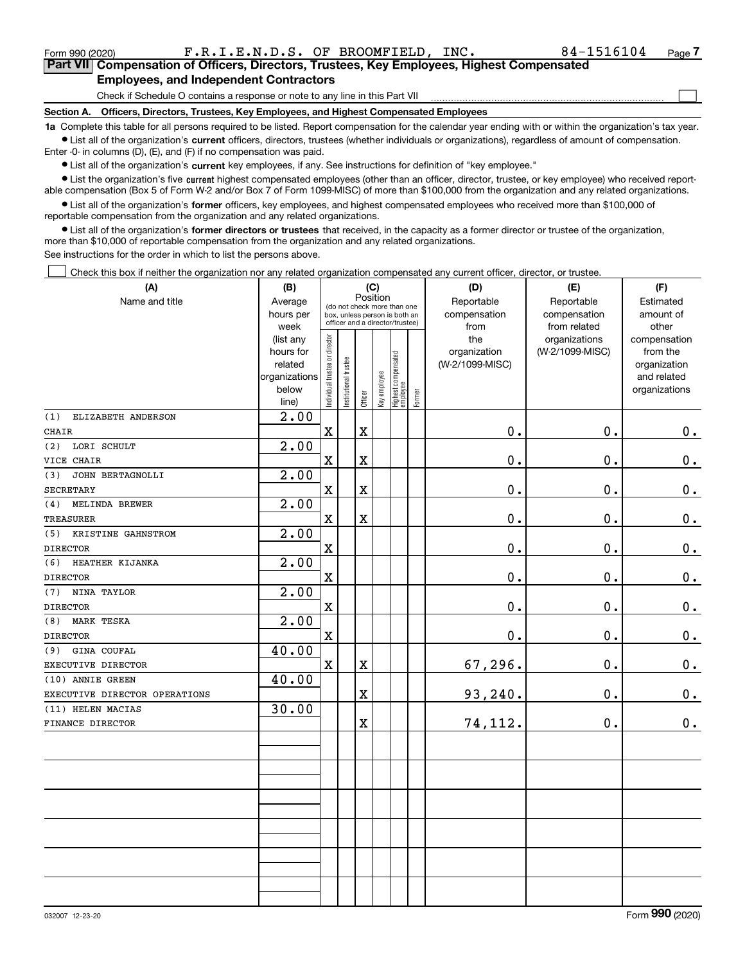$\mathcal{L}^{\text{max}}$ 

| Form 990 (2020) |                                               |  | F.R.I.E.N.D.S. OF BROOMFIELD, INC.                                                         | 84-1516104 | Page 7 |
|-----------------|-----------------------------------------------|--|--------------------------------------------------------------------------------------------|------------|--------|
|                 |                                               |  | Part VII Compensation of Officers, Directors, Trustees, Key Employees, Highest Compensated |            |        |
|                 | <b>Employees, and Independent Contractors</b> |  |                                                                                            |            |        |

Check if Schedule O contains a response or note to any line in this Part VII

**Section A. Officers, Directors, Trustees, Key Employees, and Highest Compensated Employees**

**1a**  Complete this table for all persons required to be listed. Report compensation for the calendar year ending with or within the organization's tax year. **•** List all of the organization's current officers, directors, trustees (whether individuals or organizations), regardless of amount of compensation.

Enter -0- in columns (D), (E), and (F) if no compensation was paid.

 $\bullet$  List all of the organization's  $\,$ current key employees, if any. See instructions for definition of "key employee."

**•** List the organization's five current highest compensated employees (other than an officer, director, trustee, or key employee) who received reportable compensation (Box 5 of Form W-2 and/or Box 7 of Form 1099-MISC) of more than \$100,000 from the organization and any related organizations.

**•** List all of the organization's former officers, key employees, and highest compensated employees who received more than \$100,000 of reportable compensation from the organization and any related organizations.

**former directors or trustees**  ¥ List all of the organization's that received, in the capacity as a former director or trustee of the organization, more than \$10,000 of reportable compensation from the organization and any related organizations.

See instructions for the order in which to list the persons above.

Check this box if neither the organization nor any related organization compensated any current officer, director, or trustee.  $\mathcal{L}^{\text{max}}$ 

| (A)                           | (B)               | (C)                                     |                                                                  |                         |              |                                 |        | (D)             | (E)                           | (F)                   |
|-------------------------------|-------------------|-----------------------------------------|------------------------------------------------------------------|-------------------------|--------------|---------------------------------|--------|-----------------|-------------------------------|-----------------------|
| Name and title                | Average           | Position<br>(do not check more than one |                                                                  |                         |              |                                 |        | Reportable      | Reportable                    | Estimated             |
|                               | hours per         |                                         | box, unless person is both an<br>officer and a director/trustee) |                         |              |                                 |        | compensation    | compensation                  | amount of             |
|                               | week<br>(list any |                                         |                                                                  |                         |              |                                 |        | from<br>the     | from related<br>organizations | other<br>compensation |
|                               | hours for         |                                         |                                                                  |                         |              |                                 |        | organization    | (W-2/1099-MISC)               | from the              |
|                               | related           |                                         |                                                                  |                         |              |                                 |        | (W-2/1099-MISC) |                               | organization          |
|                               | organizations     |                                         |                                                                  |                         |              |                                 |        |                 |                               | and related           |
|                               | below             | Individual trustee or director          | Institutional trustee                                            | Officer                 | Key employee | Highest compensated<br>employee | Former |                 |                               | organizations         |
|                               | line)             |                                         |                                                                  |                         |              |                                 |        |                 |                               |                       |
| ELIZABETH ANDERSON<br>(1)     | 2.00              |                                         |                                                                  |                         |              |                                 |        |                 |                               |                       |
| <b>CHAIR</b>                  |                   | $\mathbf X$                             |                                                                  | $\mathbf X$             |              |                                 |        | 0.              | 0.                            | 0.                    |
| LORI SCHULT<br>(2)            | 2.00              |                                         |                                                                  |                         |              |                                 |        |                 |                               |                       |
| VICE CHAIR                    |                   | $\mathbf X$                             |                                                                  | $\mathbf X$             |              |                                 |        | 0.              | 0.                            | $\mathbf 0$ .         |
| JOHN BERTAGNOLLI<br>(3)       | 2.00              |                                         |                                                                  |                         |              |                                 |        |                 |                               |                       |
| <b>SECRETARY</b>              |                   | $\mathbf X$                             |                                                                  | $\mathbf X$             |              |                                 |        | 0.              | $\mathbf 0$ .                 | 0.                    |
| MELINDA BREWER<br>(4)         | 2.00              |                                         |                                                                  |                         |              |                                 |        |                 |                               |                       |
| <b>TREASURER</b>              |                   | $\mathbf X$                             |                                                                  | $\overline{\textbf{X}}$ |              |                                 |        | 0.              | 0.                            | $\mathbf 0$ .         |
| KRISTINE GAHNSTROM<br>(5)     | 2.00              |                                         |                                                                  |                         |              |                                 |        |                 |                               |                       |
| <b>DIRECTOR</b>               |                   | $\mathbf X$                             |                                                                  |                         |              |                                 |        | 0.              | 0.                            | 0.                    |
| (6)<br>HEATHER KIJANKA        | 2.00              |                                         |                                                                  |                         |              |                                 |        |                 |                               |                       |
| <b>DIRECTOR</b>               |                   | $\mathbf X$                             |                                                                  |                         |              |                                 |        | 0.              | 0.                            | $0_{\cdot}$           |
| NINA TAYLOR<br>(7)            | 2.00              |                                         |                                                                  |                         |              |                                 |        |                 |                               |                       |
| <b>DIRECTOR</b>               |                   | $\mathbf X$                             |                                                                  |                         |              |                                 |        | 0.              | $\mathbf 0$ .                 | $0_{\cdot}$           |
| MARK TESKA<br>(8)             | 2.00              |                                         |                                                                  |                         |              |                                 |        |                 |                               |                       |
| <b>DIRECTOR</b>               |                   | $\mathbf X$                             |                                                                  |                         |              |                                 |        | $\mathbf 0$ .   | 0.                            | $0_{.}$               |
| <b>GINA COUFAL</b><br>(9)     | 40.00             |                                         |                                                                  |                         |              |                                 |        |                 |                               |                       |
| EXECUTIVE DIRECTOR            |                   | $\mathbf X$                             |                                                                  | $\mathbf X$             |              |                                 |        | 67,296.         | 0.                            | 0.                    |
| (10) ANNIE GREEN              | 40.00             |                                         |                                                                  |                         |              |                                 |        |                 |                               |                       |
| EXECUTIVE DIRECTOR OPERATIONS |                   |                                         |                                                                  | $\overline{\textbf{X}}$ |              |                                 |        | 93,240.         | 0.                            | $0_{.}$               |
| (11) HELEN MACIAS             | 30.00             |                                         |                                                                  |                         |              |                                 |        |                 |                               |                       |
| FINANCE DIRECTOR              |                   |                                         |                                                                  | $\mathbf X$             |              |                                 |        | 74,112.         | 0.                            | 0.                    |
|                               |                   |                                         |                                                                  |                         |              |                                 |        |                 |                               |                       |
|                               |                   |                                         |                                                                  |                         |              |                                 |        |                 |                               |                       |
|                               |                   |                                         |                                                                  |                         |              |                                 |        |                 |                               |                       |
|                               |                   |                                         |                                                                  |                         |              |                                 |        |                 |                               |                       |
|                               |                   |                                         |                                                                  |                         |              |                                 |        |                 |                               |                       |
|                               |                   |                                         |                                                                  |                         |              |                                 |        |                 |                               |                       |
|                               |                   |                                         |                                                                  |                         |              |                                 |        |                 |                               |                       |
|                               |                   |                                         |                                                                  |                         |              |                                 |        |                 |                               |                       |
|                               |                   |                                         |                                                                  |                         |              |                                 |        |                 |                               |                       |
|                               |                   |                                         |                                                                  |                         |              |                                 |        |                 |                               |                       |
|                               |                   |                                         |                                                                  |                         |              |                                 |        |                 |                               |                       |
|                               |                   |                                         |                                                                  |                         |              |                                 |        |                 |                               |                       |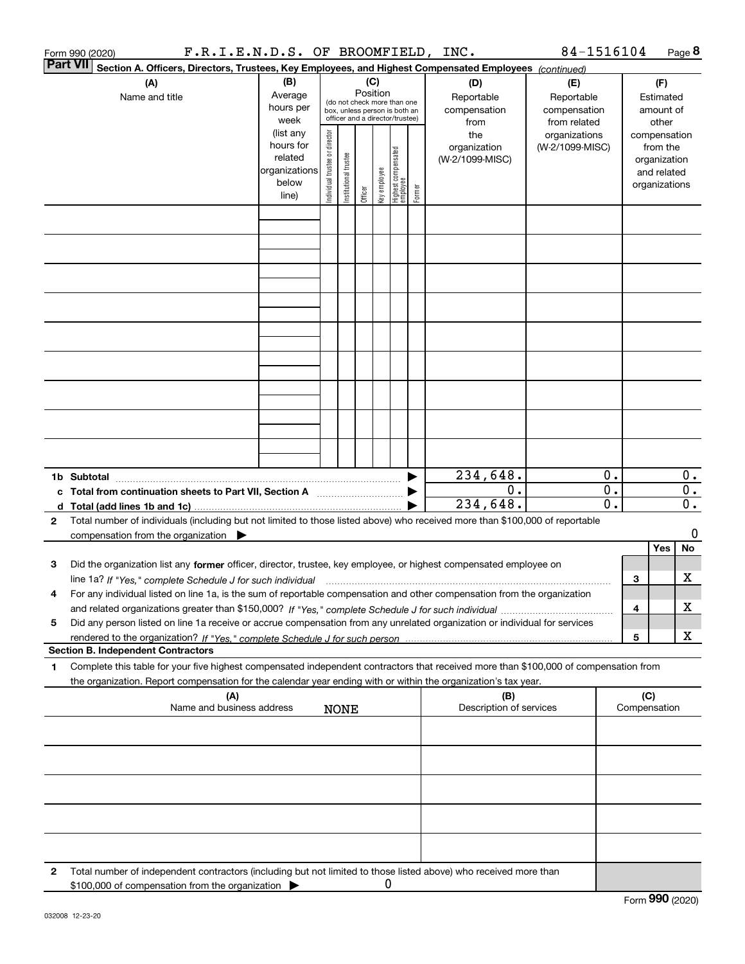|                 | F.R.I.E.N.D.S. OF BROOMFIELD, INC.<br>Form 990 (2020)                                                                                                                                                                                                  |                                                                                                                                                                                                                                                       |  |             |                 |   |                                                                                                 |                                           | 84-1516104                                        |                                                              |                     |                                        | Page 8                    |
|-----------------|--------------------------------------------------------------------------------------------------------------------------------------------------------------------------------------------------------------------------------------------------------|-------------------------------------------------------------------------------------------------------------------------------------------------------------------------------------------------------------------------------------------------------|--|-------------|-----------------|---|-------------------------------------------------------------------------------------------------|-------------------------------------------|---------------------------------------------------|--------------------------------------------------------------|---------------------|----------------------------------------|---------------------------|
| <b>Part VII</b> | Section A. Officers, Directors, Trustees, Key Employees, and Highest Compensated Employees (continued)                                                                                                                                                 |                                                                                                                                                                                                                                                       |  |             |                 |   |                                                                                                 |                                           |                                                   |                                                              |                     |                                        |                           |
|                 | (A)<br>Name and title                                                                                                                                                                                                                                  | (B)<br>Average<br>hours per<br>week                                                                                                                                                                                                                   |  |             | (C)<br>Position |   | (do not check more than one<br>box, unless person is both an<br>officer and a director/trustee) | (D)<br>Reportable<br>compensation<br>from | (E)<br>Reportable<br>compensation<br>from related |                                                              |                     | (F)<br>Estimated<br>amount of<br>other |                           |
|                 |                                                                                                                                                                                                                                                        | (list any<br>Individual trustee or director<br>the<br>hours for<br>organization<br>  Highest compensated<br>  employee<br>Institutional trustee<br>related<br>(W-2/1099-MISC)<br>organizations<br>Key employee<br>below<br>Former<br>Officer<br>line) |  |             |                 |   |                                                                                                 | organizations<br>(W-2/1099-MISC)          |                                                   | compensation<br>organization<br>and related<br>organizations | from the            |                                        |                           |
|                 |                                                                                                                                                                                                                                                        |                                                                                                                                                                                                                                                       |  |             |                 |   |                                                                                                 |                                           |                                                   |                                                              |                     |                                        |                           |
|                 |                                                                                                                                                                                                                                                        |                                                                                                                                                                                                                                                       |  |             |                 |   |                                                                                                 |                                           |                                                   |                                                              |                     |                                        |                           |
|                 |                                                                                                                                                                                                                                                        |                                                                                                                                                                                                                                                       |  |             |                 |   |                                                                                                 |                                           |                                                   |                                                              |                     |                                        |                           |
|                 |                                                                                                                                                                                                                                                        |                                                                                                                                                                                                                                                       |  |             |                 |   |                                                                                                 |                                           |                                                   |                                                              |                     |                                        |                           |
|                 |                                                                                                                                                                                                                                                        |                                                                                                                                                                                                                                                       |  |             |                 |   |                                                                                                 |                                           |                                                   |                                                              |                     |                                        |                           |
|                 |                                                                                                                                                                                                                                                        |                                                                                                                                                                                                                                                       |  |             |                 |   |                                                                                                 |                                           |                                                   |                                                              |                     |                                        |                           |
|                 |                                                                                                                                                                                                                                                        |                                                                                                                                                                                                                                                       |  |             |                 |   |                                                                                                 |                                           |                                                   |                                                              |                     |                                        |                           |
|                 |                                                                                                                                                                                                                                                        |                                                                                                                                                                                                                                                       |  |             |                 |   |                                                                                                 |                                           |                                                   |                                                              |                     |                                        |                           |
|                 |                                                                                                                                                                                                                                                        |                                                                                                                                                                                                                                                       |  |             |                 |   |                                                                                                 | $\overline{234,648}$ .                    |                                                   | $\mathbf 0$ .                                                |                     |                                        | $\mathbf{0}$ .            |
|                 | c Total from continuation sheets to Part VII, Section A                                                                                                                                                                                                |                                                                                                                                                                                                                                                       |  |             |                 |   |                                                                                                 | 0.<br>234,648.                            |                                                   | $\overline{0}$ .<br>0.                                       |                     |                                        | $\overline{0}$ .<br>$0$ . |
| $\mathbf{2}$    | Total number of individuals (including but not limited to those listed above) who received more than \$100,000 of reportable                                                                                                                           |                                                                                                                                                                                                                                                       |  |             |                 |   |                                                                                                 |                                           |                                                   |                                                              |                     |                                        |                           |
|                 | compensation from the organization $\blacktriangleright$                                                                                                                                                                                               |                                                                                                                                                                                                                                                       |  |             |                 |   |                                                                                                 |                                           |                                                   |                                                              |                     |                                        | 0                         |
| 3               | Did the organization list any former officer, director, trustee, key employee, or highest compensated employee on                                                                                                                                      |                                                                                                                                                                                                                                                       |  |             |                 |   |                                                                                                 |                                           |                                                   |                                                              |                     | Yes                                    | No                        |
|                 | line 1a? If "Yes," complete Schedule J for such individual manumanamental contents and the numerous manumaname<br>For any individual listed on line 1a, is the sum of reportable compensation and other compensation from the organization             |                                                                                                                                                                                                                                                       |  |             |                 |   |                                                                                                 |                                           |                                                   |                                                              | 3                   |                                        | х                         |
|                 |                                                                                                                                                                                                                                                        |                                                                                                                                                                                                                                                       |  |             |                 |   |                                                                                                 |                                           |                                                   |                                                              | 4                   |                                        | X                         |
| 5               | Did any person listed on line 1a receive or accrue compensation from any unrelated organization or individual for services                                                                                                                             |                                                                                                                                                                                                                                                       |  |             |                 |   |                                                                                                 |                                           |                                                   |                                                              | 5                   |                                        | х                         |
|                 | <b>Section B. Independent Contractors</b>                                                                                                                                                                                                              |                                                                                                                                                                                                                                                       |  |             |                 |   |                                                                                                 |                                           |                                                   |                                                              |                     |                                        |                           |
| 1               | Complete this table for your five highest compensated independent contractors that received more than \$100,000 of compensation from<br>the organization. Report compensation for the calendar year ending with or within the organization's tax year. |                                                                                                                                                                                                                                                       |  |             |                 |   |                                                                                                 |                                           |                                                   |                                                              |                     |                                        |                           |
|                 | (A)<br>Name and business address                                                                                                                                                                                                                       |                                                                                                                                                                                                                                                       |  | <b>NONE</b> |                 |   |                                                                                                 | (B)<br>Description of services            |                                                   |                                                              | (C)<br>Compensation |                                        |                           |
|                 |                                                                                                                                                                                                                                                        |                                                                                                                                                                                                                                                       |  |             |                 |   |                                                                                                 |                                           |                                                   |                                                              |                     |                                        |                           |
|                 |                                                                                                                                                                                                                                                        |                                                                                                                                                                                                                                                       |  |             |                 |   |                                                                                                 |                                           |                                                   |                                                              |                     |                                        |                           |
|                 |                                                                                                                                                                                                                                                        |                                                                                                                                                                                                                                                       |  |             |                 |   |                                                                                                 |                                           |                                                   |                                                              |                     |                                        |                           |
|                 |                                                                                                                                                                                                                                                        |                                                                                                                                                                                                                                                       |  |             |                 |   |                                                                                                 |                                           |                                                   |                                                              |                     |                                        |                           |
|                 |                                                                                                                                                                                                                                                        |                                                                                                                                                                                                                                                       |  |             |                 |   |                                                                                                 |                                           |                                                   |                                                              |                     |                                        |                           |
| 2               | Total number of independent contractors (including but not limited to those listed above) who received more than<br>\$100,000 of compensation from the organization                                                                                    |                                                                                                                                                                                                                                                       |  |             |                 | 0 |                                                                                                 |                                           |                                                   |                                                              |                     |                                        |                           |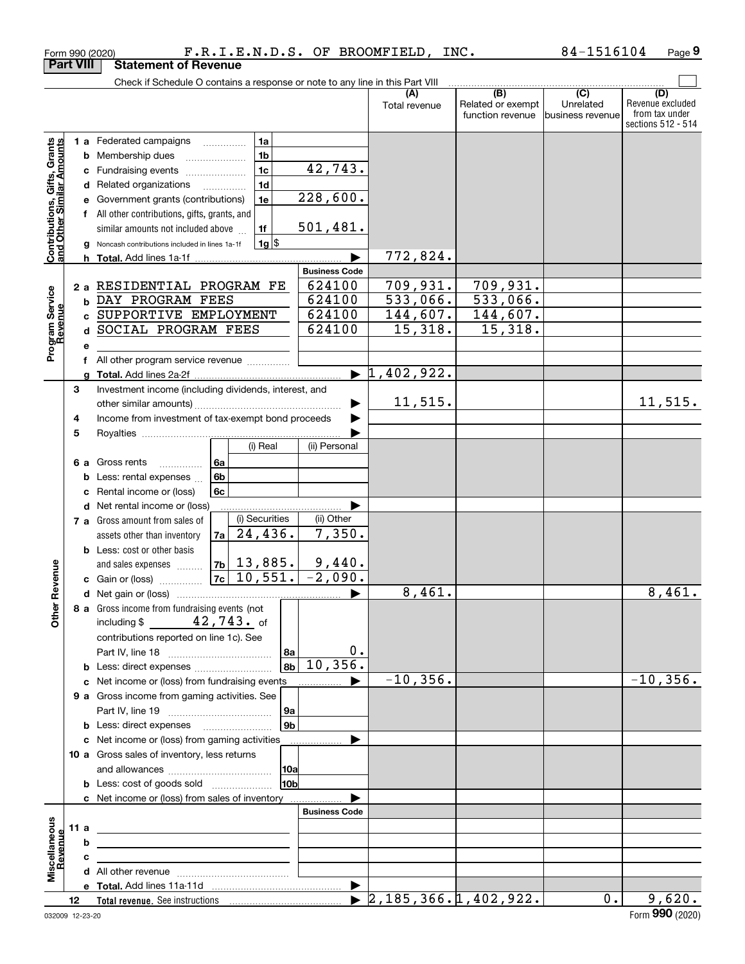|                                                           |                  | Form 990 (2020)                                                                           |                                   |                       | F.R.I.E.N.D.S. OF BROOMFIELD, INC.         |                                                                                              | 84-1516104                     | Page 9                                                          |
|-----------------------------------------------------------|------------------|-------------------------------------------------------------------------------------------|-----------------------------------|-----------------------|--------------------------------------------|----------------------------------------------------------------------------------------------|--------------------------------|-----------------------------------------------------------------|
|                                                           | <b>Part VIII</b> | <b>Statement of Revenue</b>                                                               |                                   |                       |                                            |                                                                                              |                                |                                                                 |
|                                                           |                  | Check if Schedule O contains a response or note to any line in this Part VIII             |                                   |                       |                                            |                                                                                              |                                |                                                                 |
|                                                           |                  |                                                                                           |                                   |                       | (A)<br>Total revenue                       | $\overline{(\mathsf{B})}$ $\overline{(\mathsf{C})}$<br>Related or exempt<br>function revenue | Unrelated<br>lbusiness revenue | (D)<br>Revenue excluded<br>from tax under<br>sections 512 - 514 |
|                                                           |                  | <b>1 a</b> Federated campaigns                                                            | 1a                                |                       |                                            |                                                                                              |                                |                                                                 |
| Contributions, Gifts, Grants<br>and Other Similar Amounts |                  | <b>b</b> Membership dues                                                                  | 1 <sub>b</sub>                    |                       |                                            |                                                                                              |                                |                                                                 |
|                                                           | с                | Fundraising events                                                                        | 1 <sub>c</sub>                    | 42,743.               |                                            |                                                                                              |                                |                                                                 |
|                                                           |                  | d Related organizations                                                                   | 1 <sub>d</sub>                    |                       |                                            |                                                                                              |                                |                                                                 |
|                                                           | е                | Government grants (contributions)                                                         | 1e                                | 228,600.              |                                            |                                                                                              |                                |                                                                 |
|                                                           |                  | f All other contributions, gifts, grants, and                                             |                                   |                       |                                            |                                                                                              |                                |                                                                 |
|                                                           |                  | similar amounts not included above                                                        | 1f                                | 501,481.              |                                            |                                                                                              |                                |                                                                 |
|                                                           | g                | Noncash contributions included in lines 1a-1f                                             | $1g$ \$                           |                       |                                            |                                                                                              |                                |                                                                 |
|                                                           |                  | <b>h</b> Total. Add lines 1a-1f                                                           |                                   |                       | 772,824.                                   |                                                                                              |                                |                                                                 |
|                                                           |                  |                                                                                           |                                   | <b>Business Code</b>  |                                            |                                                                                              |                                |                                                                 |
|                                                           | 2a               | RESIDENTIAL PROGRAM FE                                                                    |                                   | 624100                | 709,931.                                   | 709,931.                                                                                     |                                |                                                                 |
| Program Service<br>Revenue                                | b                | DAY PROGRAM FEES                                                                          |                                   | 624100                | 533,066.                                   | 533,066.                                                                                     |                                |                                                                 |
|                                                           | C.               | SUPPORTIVE EMPLOYMENT                                                                     |                                   | 624100                | 144,607.                                   | 144,607.                                                                                     |                                |                                                                 |
|                                                           |                  | d SOCIAL PROGRAM FEES                                                                     |                                   | 624100                | 15,318.                                    | 15,318.                                                                                      |                                |                                                                 |
|                                                           | е                |                                                                                           |                                   |                       |                                            |                                                                                              |                                |                                                                 |
|                                                           | f                | All other program service revenue                                                         |                                   |                       |                                            |                                                                                              |                                |                                                                 |
|                                                           | g                |                                                                                           |                                   |                       | $\blacktriangleright$ 1,402,922.           |                                                                                              |                                |                                                                 |
|                                                           | 3                | Investment income (including dividends, interest, and                                     |                                   |                       |                                            |                                                                                              |                                |                                                                 |
|                                                           |                  |                                                                                           |                                   |                       | 11, 515.                                   |                                                                                              |                                | 11,515.                                                         |
|                                                           | 4                | Income from investment of tax-exempt bond proceeds                                        |                                   |                       |                                            |                                                                                              |                                |                                                                 |
|                                                           | 5                |                                                                                           |                                   |                       |                                            |                                                                                              |                                |                                                                 |
|                                                           |                  |                                                                                           | (i) Real                          | (ii) Personal         |                                            |                                                                                              |                                |                                                                 |
|                                                           |                  | 6a<br>6 a Gross rents<br>.                                                                |                                   |                       |                                            |                                                                                              |                                |                                                                 |
|                                                           | b                | 6b<br>Less: rental expenses                                                               |                                   |                       |                                            |                                                                                              |                                |                                                                 |
|                                                           | с                | 6c<br>Rental income or (loss)                                                             |                                   |                       |                                            |                                                                                              |                                |                                                                 |
|                                                           |                  | <b>d</b> Net rental income or (loss)                                                      |                                   |                       |                                            |                                                                                              |                                |                                                                 |
|                                                           |                  | 7 a Gross amount from sales of                                                            | (i) Securities<br>$\vert$ 24,436. | (ii) Other<br>7,350.  |                                            |                                                                                              |                                |                                                                 |
|                                                           |                  | 7a<br>assets other than inventory                                                         |                                   |                       |                                            |                                                                                              |                                |                                                                 |
|                                                           |                  | <b>b</b> Less: cost or other basis                                                        | $ 7b $ 13,885.                    | 9,440.                |                                            |                                                                                              |                                |                                                                 |
| evenue                                                    |                  | and sales expenses<br>7c                                                                  | 10,551.                           | $-2,090.$             |                                            |                                                                                              |                                |                                                                 |
|                                                           |                  | c Gain or (loss)                                                                          |                                   |                       | 8,461.                                     |                                                                                              |                                | 8,461.                                                          |
|                                                           |                  | 8 a Gross income from fundraising events (not                                             |                                   |                       |                                            |                                                                                              |                                |                                                                 |
| Other <sub>R</sub>                                        |                  | including \$ $42,743$ of                                                                  |                                   |                       |                                            |                                                                                              |                                |                                                                 |
|                                                           |                  | contributions reported on line 1c). See                                                   |                                   |                       |                                            |                                                                                              |                                |                                                                 |
|                                                           |                  |                                                                                           | 8a                                | 0.                    |                                            |                                                                                              |                                |                                                                 |
|                                                           |                  | <b>b</b> Less: direct expenses <b>constants b</b>                                         |                                   | $8b \mid 10, 356.$    |                                            |                                                                                              |                                |                                                                 |
|                                                           |                  | c Net income or (loss) from fundraising events                                            |                                   |                       | $-10, 356.$                                |                                                                                              |                                | $-10,356.$                                                      |
|                                                           |                  | 9 a Gross income from gaming activities. See                                              |                                   |                       |                                            |                                                                                              |                                |                                                                 |
|                                                           |                  |                                                                                           | 9a                                |                       |                                            |                                                                                              |                                |                                                                 |
|                                                           |                  | <b>b</b> Less: direct expenses <b>manually</b>                                            | 9 <sub>b</sub>                    |                       |                                            |                                                                                              |                                |                                                                 |
|                                                           |                  | c Net income or (loss) from gaming activities                                             |                                   |                       |                                            |                                                                                              |                                |                                                                 |
|                                                           |                  | 10 a Gross sales of inventory, less returns                                               |                                   |                       |                                            |                                                                                              |                                |                                                                 |
|                                                           |                  |                                                                                           | 10a                               |                       |                                            |                                                                                              |                                |                                                                 |
|                                                           |                  | <b>b</b> Less: cost of goods sold                                                         | 10 <sub>b</sub>                   |                       |                                            |                                                                                              |                                |                                                                 |
|                                                           |                  | c Net income or (loss) from sales of inventory                                            |                                   |                       |                                            |                                                                                              |                                |                                                                 |
|                                                           |                  |                                                                                           |                                   | <b>Business Code</b>  |                                            |                                                                                              |                                |                                                                 |
|                                                           | 11 a             | <u> 1989 - Johann John Stein, fransk politik (f. 1989)</u>                                |                                   |                       |                                            |                                                                                              |                                |                                                                 |
| evenue                                                    | b                | the control of the control of the control of the control of the control of the control of |                                   |                       |                                            |                                                                                              |                                |                                                                 |
|                                                           | c                | the contract of the contract of the contract of the contract of                           |                                   |                       |                                            |                                                                                              |                                |                                                                 |
| Miscellaneous                                             |                  |                                                                                           |                                   |                       |                                            |                                                                                              |                                |                                                                 |
|                                                           |                  |                                                                                           |                                   | $\blacktriangleright$ |                                            |                                                                                              |                                |                                                                 |
|                                                           | 12               |                                                                                           |                                   |                       | $\blacktriangleright$ 2,185,366.1,402,922. |                                                                                              | $0$ .                          | 9,620.                                                          |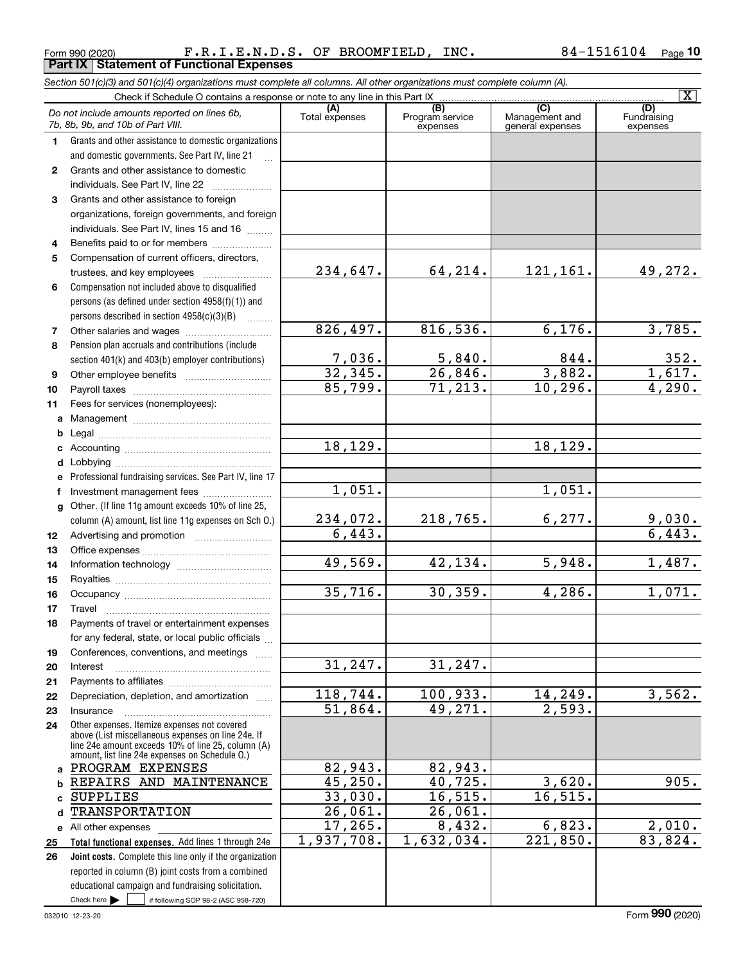Form 990 (2020) Page **Part IX Statement of Functional Expenses** F.R.I.E.N.D.S. OF BROOMFIELD, INC. 84-1516104

|              | Section 501(c)(3) and 501(c)(4) organizations must complete all columns. All other organizations must complete column (A).                                                                                 |                          |                                    |                                           |                                |
|--------------|------------------------------------------------------------------------------------------------------------------------------------------------------------------------------------------------------------|--------------------------|------------------------------------|-------------------------------------------|--------------------------------|
|              |                                                                                                                                                                                                            |                          |                                    |                                           | $\overline{\mathbf{X}}$        |
|              | Do not include amounts reported on lines 6b,<br>7b, 8b, 9b, and 10b of Part VIII.                                                                                                                          | (A)<br>Total expenses    | (B)<br>Program service<br>expenses | (C)<br>Management and<br>general expenses | (D)<br>Fundraising<br>expenses |
| 1.           | Grants and other assistance to domestic organizations                                                                                                                                                      |                          |                                    |                                           |                                |
|              | and domestic governments. See Part IV, line 21                                                                                                                                                             |                          |                                    |                                           |                                |
| $\mathbf{2}$ | Grants and other assistance to domestic                                                                                                                                                                    |                          |                                    |                                           |                                |
|              | individuals. See Part IV, line 22                                                                                                                                                                          |                          |                                    |                                           |                                |
| 3            | Grants and other assistance to foreign                                                                                                                                                                     |                          |                                    |                                           |                                |
|              | organizations, foreign governments, and foreign                                                                                                                                                            |                          |                                    |                                           |                                |
|              | individuals. See Part IV, lines 15 and 16                                                                                                                                                                  |                          |                                    |                                           |                                |
| 4            | Benefits paid to or for members                                                                                                                                                                            |                          |                                    |                                           |                                |
| 5            | Compensation of current officers, directors,                                                                                                                                                               |                          |                                    |                                           |                                |
|              | trustees, and key employees                                                                                                                                                                                | 234,647.                 | 64,214.                            | 121,161.                                  | 49,272.                        |
| 6            | Compensation not included above to disqualified                                                                                                                                                            |                          |                                    |                                           |                                |
|              | persons (as defined under section 4958(f)(1)) and                                                                                                                                                          |                          |                                    |                                           |                                |
|              | persons described in section 4958(c)(3)(B)                                                                                                                                                                 |                          |                                    |                                           |                                |
| 7            |                                                                                                                                                                                                            | 826,497.                 | 816,536.                           | 6,176.                                    | 3,785.                         |
| 8            | Pension plan accruals and contributions (include                                                                                                                                                           |                          |                                    |                                           |                                |
|              | section 401(k) and 403(b) employer contributions)                                                                                                                                                          | $\frac{7,036}{32,345}$ . | 5,840.                             | 844.                                      | 352.                           |
| 9            |                                                                                                                                                                                                            |                          | $\overline{26,846}$ .              | 3,882.                                    | 1,617.                         |
| 10           |                                                                                                                                                                                                            | 85,799.                  | 71, 213.                           | 10, 296.                                  | 4,290.                         |
| 11           | Fees for services (nonemployees):                                                                                                                                                                          |                          |                                    |                                           |                                |
|              |                                                                                                                                                                                                            |                          |                                    |                                           |                                |
| b            |                                                                                                                                                                                                            |                          |                                    |                                           |                                |
|              |                                                                                                                                                                                                            | 18, 129.                 |                                    | 18, 129.                                  |                                |
| d            |                                                                                                                                                                                                            |                          |                                    |                                           |                                |
| е            | Professional fundraising services. See Part IV, line 17                                                                                                                                                    |                          |                                    |                                           |                                |
| f            | Investment management fees                                                                                                                                                                                 | 1,051.                   |                                    | 1,051.                                    |                                |
|              | g Other. (If line 11g amount exceeds 10% of line 25,                                                                                                                                                       |                          |                                    |                                           |                                |
|              | column (A) amount, list line 11g expenses on Sch O.)                                                                                                                                                       | 234,072.                 | 218,765.                           | 6, 277.                                   | $\frac{9,030}{6,443}$          |
| 12           |                                                                                                                                                                                                            | 6,443.                   |                                    |                                           |                                |
| 13           |                                                                                                                                                                                                            |                          |                                    |                                           |                                |
| 14           |                                                                                                                                                                                                            | 49,569.                  | 42, 134.                           | 5,948.                                    | 1,487.                         |
| 15           |                                                                                                                                                                                                            |                          |                                    |                                           |                                |
| 16           |                                                                                                                                                                                                            | 35,716.                  | 30, 359.                           | 4,286.                                    | 1,071.                         |
| 17           |                                                                                                                                                                                                            |                          |                                    |                                           |                                |
| 18           | Payments of travel or entertainment expenses                                                                                                                                                               |                          |                                    |                                           |                                |
|              | for any federal, state, or local public officials                                                                                                                                                          |                          |                                    |                                           |                                |
| 19           | Conferences, conventions, and meetings                                                                                                                                                                     |                          |                                    |                                           |                                |
| 20           | Interest                                                                                                                                                                                                   | 31, 247.                 | 31, 247.                           |                                           |                                |
| 21           |                                                                                                                                                                                                            |                          |                                    |                                           |                                |
| 22           | Depreciation, depletion, and amortization                                                                                                                                                                  | 118, 744.                | 100,933.                           | 14,249.                                   | 3,562.                         |
| 23           | Insurance                                                                                                                                                                                                  | 51,864.                  | 49,271.                            | 2,593.                                    |                                |
| 24           | Other expenses. Itemize expenses not covered<br>above (List miscellaneous expenses on line 24e. If<br>line 24e amount exceeds 10% of line 25, column (A)<br>amount, list line 24e expenses on Schedule O.) |                          |                                    |                                           |                                |
|              | a PROGRAM EXPENSES                                                                                                                                                                                         | 82,943.                  | 82,943.                            |                                           |                                |
| b            | REPAIRS AND MAINTENANCE                                                                                                                                                                                    | 45,250.                  | 40, 725.                           | 3,620.                                    | 905.                           |
| c            | <b>SUPPLIES</b>                                                                                                                                                                                            | 33,030.                  | 16, 515.                           | 16, 515.                                  |                                |
| d            | <b>TRANSPORTATION</b>                                                                                                                                                                                      | 26,061.                  | 26,061.                            |                                           |                                |
|              | e All other expenses                                                                                                                                                                                       | 17, 265.                 | 8,432.                             | 6,823.                                    | 2,010.                         |
| 25           | Total functional expenses. Add lines 1 through 24e                                                                                                                                                         | 1,937,708.               | 1,632,034.                         | 221,850.                                  | 83,824.                        |
| 26           | Joint costs. Complete this line only if the organization                                                                                                                                                   |                          |                                    |                                           |                                |
|              | reported in column (B) joint costs from a combined                                                                                                                                                         |                          |                                    |                                           |                                |
|              | educational campaign and fundraising solicitation.                                                                                                                                                         |                          |                                    |                                           |                                |
|              | Check here $\blacktriangleright$<br>if following SOP 98-2 (ASC 958-720)                                                                                                                                    |                          |                                    |                                           |                                |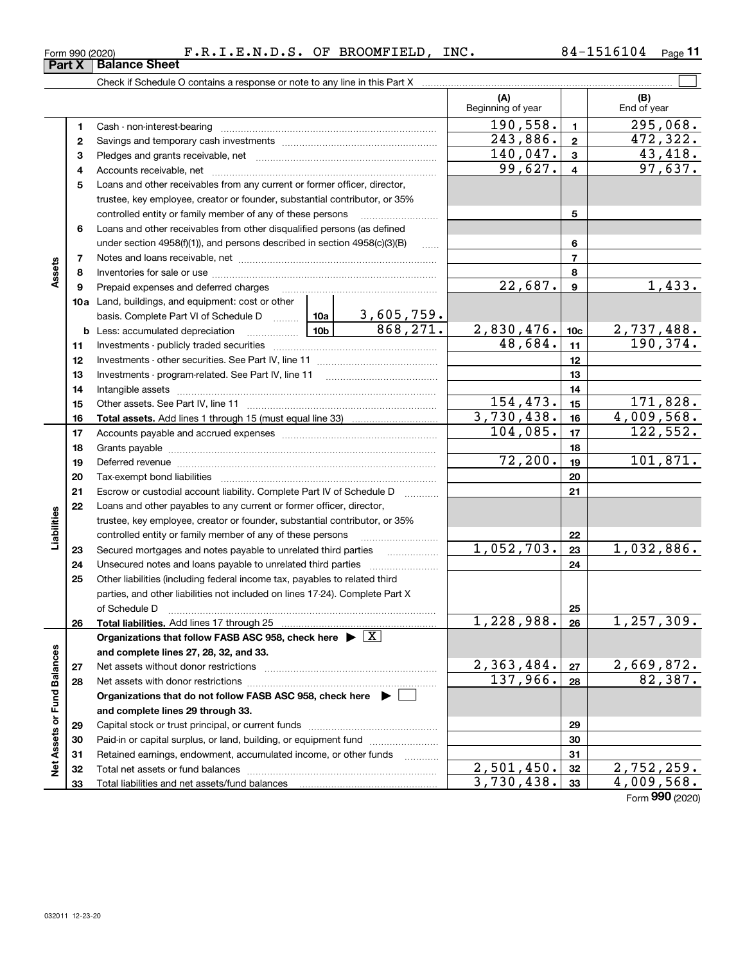| Form 990 (2020) | $\mathbf{N.D.S.}$<br>ю, | OF. | <b>BROOMFIELD</b> | INC. | 04<br>⊥ ס∟ | Page |
|-----------------|-------------------------|-----|-------------------|------|------------|------|
| $\sim$<br>--    |                         |     |                   |      |            |      |

 $\overline{\phantom{1}}$ 

|                             |          |                                                                                                                                                                                                                                                                                                                                                                                                                                                                                                                                          |            |                   | (A)                   |                 | (B)                   |
|-----------------------------|----------|------------------------------------------------------------------------------------------------------------------------------------------------------------------------------------------------------------------------------------------------------------------------------------------------------------------------------------------------------------------------------------------------------------------------------------------------------------------------------------------------------------------------------------------|------------|-------------------|-----------------------|-----------------|-----------------------|
|                             |          |                                                                                                                                                                                                                                                                                                                                                                                                                                                                                                                                          |            |                   | Beginning of year     |                 | End of year           |
|                             | 1.       | Cash - non-interest-bearing                                                                                                                                                                                                                                                                                                                                                                                                                                                                                                              | 190,558.   | $\blacksquare$    | 295,068.              |                 |                       |
|                             | 2        |                                                                                                                                                                                                                                                                                                                                                                                                                                                                                                                                          | 243,886.   | $\overline{2}$    | 472,322.              |                 |                       |
|                             | з        |                                                                                                                                                                                                                                                                                                                                                                                                                                                                                                                                          | 140,047.   | 3                 | 43,418.               |                 |                       |
|                             | 4        |                                                                                                                                                                                                                                                                                                                                                                                                                                                                                                                                          |            |                   | 99,627.               | $\overline{4}$  | 97,637.               |
|                             | 5        | Loans and other receivables from any current or former officer, director,                                                                                                                                                                                                                                                                                                                                                                                                                                                                |            |                   |                       |                 |                       |
|                             |          | trustee, key employee, creator or founder, substantial contributor, or 35%                                                                                                                                                                                                                                                                                                                                                                                                                                                               |            |                   |                       |                 |                       |
|                             |          | controlled entity or family member of any of these persons                                                                                                                                                                                                                                                                                                                                                                                                                                                                               |            |                   |                       | 5               |                       |
|                             | 6        | Loans and other receivables from other disqualified persons (as defined                                                                                                                                                                                                                                                                                                                                                                                                                                                                  |            |                   |                       |                 |                       |
|                             |          | under section $4958(f)(1)$ , and persons described in section $4958(c)(3)(B)$                                                                                                                                                                                                                                                                                                                                                                                                                                                            |            | 1.1.1.1           |                       | 6               |                       |
|                             | 7        |                                                                                                                                                                                                                                                                                                                                                                                                                                                                                                                                          |            |                   |                       | 7               |                       |
| Assets                      | 8        |                                                                                                                                                                                                                                                                                                                                                                                                                                                                                                                                          |            |                   |                       | 8               |                       |
|                             | 9        | Prepaid expenses and deferred charges                                                                                                                                                                                                                                                                                                                                                                                                                                                                                                    |            |                   | $\overline{22,687}$ . | 9               | 1,433.                |
|                             |          | 10a Land, buildings, and equipment: cost or other                                                                                                                                                                                                                                                                                                                                                                                                                                                                                        |            |                   |                       |                 |                       |
|                             |          | basis. Complete Part VI of Schedule D  10a                                                                                                                                                                                                                                                                                                                                                                                                                                                                                               |            | <u>3,605,759.</u> |                       |                 |                       |
|                             |          |                                                                                                                                                                                                                                                                                                                                                                                                                                                                                                                                          |            | 868,271.          | 2,830,476.            | 10 <sub>c</sub> | 2,737,488.            |
|                             | 11       |                                                                                                                                                                                                                                                                                                                                                                                                                                                                                                                                          |            |                   | 48,684.               | 11              | 190,374.              |
|                             | 12       |                                                                                                                                                                                                                                                                                                                                                                                                                                                                                                                                          |            | 12                |                       |                 |                       |
|                             | 13       | Investments - program-related. See Part IV, line 11                                                                                                                                                                                                                                                                                                                                                                                                                                                                                      |            | 13                |                       |                 |                       |
|                             | 14       |                                                                                                                                                                                                                                                                                                                                                                                                                                                                                                                                          |            | 14                |                       |                 |                       |
|                             | 15       |                                                                                                                                                                                                                                                                                                                                                                                                                                                                                                                                          | 154,473.   | 15                | 171,828.              |                 |                       |
|                             | 16       |                                                                                                                                                                                                                                                                                                                                                                                                                                                                                                                                          | 3,730,438. | 16                | 4,009,568.            |                 |                       |
|                             | 17       |                                                                                                                                                                                                                                                                                                                                                                                                                                                                                                                                          | 104,085.   | 17                | 122,552.              |                 |                       |
|                             | 18       |                                                                                                                                                                                                                                                                                                                                                                                                                                                                                                                                          |            |                   |                       | 18              |                       |
|                             | 19       | Deferred revenue information and contact the contract of the contract of the contract of the contract of the contract of the contract of the contract of the contract of the contract of the contract of the contract of the c                                                                                                                                                                                                                                                                                                           |            | 72, 200.          | 19                    | 101,871.        |                       |
|                             | 20       |                                                                                                                                                                                                                                                                                                                                                                                                                                                                                                                                          |            |                   |                       | 20              |                       |
|                             | 21       | Escrow or custodial account liability. Complete Part IV of Schedule D                                                                                                                                                                                                                                                                                                                                                                                                                                                                    |            | .                 |                       | 21              |                       |
|                             | 22       | Loans and other payables to any current or former officer, director,                                                                                                                                                                                                                                                                                                                                                                                                                                                                     |            |                   |                       |                 |                       |
| Liabilities                 |          | trustee, key employee, creator or founder, substantial contributor, or 35%                                                                                                                                                                                                                                                                                                                                                                                                                                                               |            |                   |                       |                 |                       |
|                             |          | controlled entity or family member of any of these persons                                                                                                                                                                                                                                                                                                                                                                                                                                                                               |            |                   |                       | 22              |                       |
|                             | 23       | Secured mortgages and notes payable to unrelated third parties                                                                                                                                                                                                                                                                                                                                                                                                                                                                           |            | .                 | 1,052,703.            | 23              | 1,032,886.            |
|                             | 24       |                                                                                                                                                                                                                                                                                                                                                                                                                                                                                                                                          |            |                   |                       | 24              |                       |
|                             | 25       | Other liabilities (including federal income tax, payables to related third                                                                                                                                                                                                                                                                                                                                                                                                                                                               |            |                   |                       |                 |                       |
|                             |          | parties, and other liabilities not included on lines 17-24). Complete Part X                                                                                                                                                                                                                                                                                                                                                                                                                                                             |            |                   |                       |                 |                       |
|                             |          | of Schedule D<br>$\begin{minipage}{0.5\textwidth} \centering \begin{tabular}{ c c c c } \hline \multicolumn{1}{ c }{0.5\textwidth} \centering \centering \end{tabular} \end{minipage} \begin{minipage}{0.5\textwidth} \centering \begin{tabular}{ c c c c } \hline \multicolumn{1}{ c }{0.5\textwidth} \centering \centering \end{tabular} \end{minipage} \begin{minipage}{0.5\textwidth} \centering \centering \end{tabular} \end{minipage} \begin{minipage}{0.5\textwidth} \centering \begin{tabular}{ c c c c } \hline \multicolumn{$ |            |                   |                       | 25              |                       |
|                             | 26       | Total liabilities. Add lines 17 through 25                                                                                                                                                                                                                                                                                                                                                                                                                                                                                               |            |                   | 1,228,988.            | 26              | 1,257,309.            |
|                             |          | Organizations that follow FASB ASC 958, check here $\blacktriangleright \boxed{X}$                                                                                                                                                                                                                                                                                                                                                                                                                                                       |            |                   |                       |                 |                       |
|                             |          | and complete lines 27, 28, 32, and 33.                                                                                                                                                                                                                                                                                                                                                                                                                                                                                                   |            |                   |                       |                 |                       |
|                             | 27       | Net assets without donor restrictions                                                                                                                                                                                                                                                                                                                                                                                                                                                                                                    |            |                   | 2,363,484.            | 27              | 2,669,872.<br>82,387. |
|                             | 28       |                                                                                                                                                                                                                                                                                                                                                                                                                                                                                                                                          |            |                   | 137,966.              | 28              |                       |
|                             |          | Organizations that do not follow FASB ASC 958, check here $\blacktriangleright$                                                                                                                                                                                                                                                                                                                                                                                                                                                          |            |                   |                       |                 |                       |
|                             |          | and complete lines 29 through 33.                                                                                                                                                                                                                                                                                                                                                                                                                                                                                                        |            |                   |                       |                 |                       |
|                             | 29       |                                                                                                                                                                                                                                                                                                                                                                                                                                                                                                                                          |            |                   |                       | 29              |                       |
|                             | 30       | Paid-in or capital surplus, or land, building, or equipment fund                                                                                                                                                                                                                                                                                                                                                                                                                                                                         |            |                   |                       | 30<br>31        |                       |
| Net Assets or Fund Balances | 31<br>32 | Retained earnings, endowment, accumulated income, or other funds                                                                                                                                                                                                                                                                                                                                                                                                                                                                         |            |                   | 2,501,450.            | 32              | 2,752,259.            |
|                             | 33       |                                                                                                                                                                                                                                                                                                                                                                                                                                                                                                                                          |            |                   | 3,730,438.            | 33              | 4,009,568.            |
|                             |          |                                                                                                                                                                                                                                                                                                                                                                                                                                                                                                                                          |            |                   |                       |                 |                       |

Form (2020) **990**

## **Part X Balance Sheet**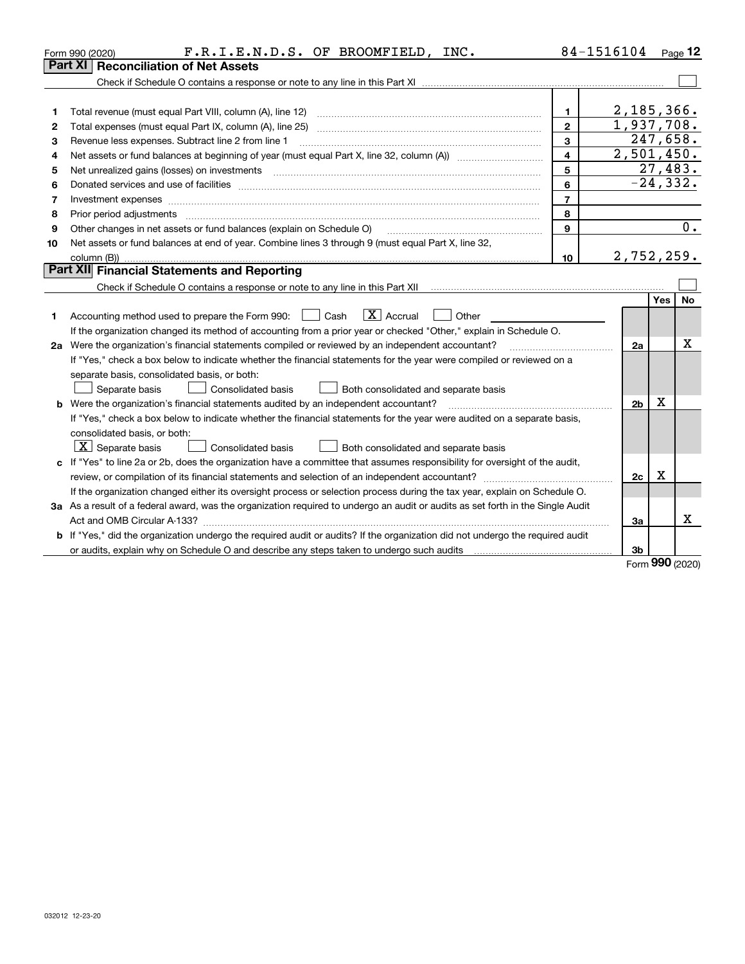| Part XI<br><b>Reconciliation of Net Assets</b><br>2,185,366.<br>$\mathbf{1}$<br>1<br>1,937,708.<br>$\overline{2}$<br>2<br>247,658.<br>3<br>Revenue less expenses. Subtract line 2 from line 1<br>З<br>2,501,450.<br>$\overline{4}$<br>4<br>27,483.<br>5<br>5<br>$-24, 332.$<br>6<br>6<br>$\overline{7}$<br>Investment expenses www.communication.com/www.communication.com/www.communication.com/www.communication.com<br>7<br>8<br>8<br>9<br>Other changes in net assets or fund balances (explain on Schedule O)<br>9<br>Net assets or fund balances at end of year. Combine lines 3 through 9 (must equal Part X, line 32,<br>10<br>2,752,259.<br>10<br>Part XII Financial Statements and Reporting<br><b>Yes</b><br>$\boxed{\mathbf{X}}$ Accrual<br>Accounting method used to prepare the Form 990: <u>June</u> Cash<br>Other<br>1<br>If the organization changed its method of accounting from a prior year or checked "Other," explain in Schedule O.<br>2a Were the organization's financial statements compiled or reviewed by an independent accountant?<br>2a<br>If "Yes," check a box below to indicate whether the financial statements for the year were compiled or reviewed on a<br>separate basis, consolidated basis, or both:<br>Separate basis<br>Consolidated basis<br>Both consolidated and separate basis<br>Χ | Page $12$        |
|--------------------------------------------------------------------------------------------------------------------------------------------------------------------------------------------------------------------------------------------------------------------------------------------------------------------------------------------------------------------------------------------------------------------------------------------------------------------------------------------------------------------------------------------------------------------------------------------------------------------------------------------------------------------------------------------------------------------------------------------------------------------------------------------------------------------------------------------------------------------------------------------------------------------------------------------------------------------------------------------------------------------------------------------------------------------------------------------------------------------------------------------------------------------------------------------------------------------------------------------------------------------------------------------------------------------------------------|------------------|
|                                                                                                                                                                                                                                                                                                                                                                                                                                                                                                                                                                                                                                                                                                                                                                                                                                                                                                                                                                                                                                                                                                                                                                                                                                                                                                                                      |                  |
|                                                                                                                                                                                                                                                                                                                                                                                                                                                                                                                                                                                                                                                                                                                                                                                                                                                                                                                                                                                                                                                                                                                                                                                                                                                                                                                                      |                  |
|                                                                                                                                                                                                                                                                                                                                                                                                                                                                                                                                                                                                                                                                                                                                                                                                                                                                                                                                                                                                                                                                                                                                                                                                                                                                                                                                      |                  |
|                                                                                                                                                                                                                                                                                                                                                                                                                                                                                                                                                                                                                                                                                                                                                                                                                                                                                                                                                                                                                                                                                                                                                                                                                                                                                                                                      |                  |
|                                                                                                                                                                                                                                                                                                                                                                                                                                                                                                                                                                                                                                                                                                                                                                                                                                                                                                                                                                                                                                                                                                                                                                                                                                                                                                                                      |                  |
|                                                                                                                                                                                                                                                                                                                                                                                                                                                                                                                                                                                                                                                                                                                                                                                                                                                                                                                                                                                                                                                                                                                                                                                                                                                                                                                                      |                  |
|                                                                                                                                                                                                                                                                                                                                                                                                                                                                                                                                                                                                                                                                                                                                                                                                                                                                                                                                                                                                                                                                                                                                                                                                                                                                                                                                      |                  |
|                                                                                                                                                                                                                                                                                                                                                                                                                                                                                                                                                                                                                                                                                                                                                                                                                                                                                                                                                                                                                                                                                                                                                                                                                                                                                                                                      |                  |
|                                                                                                                                                                                                                                                                                                                                                                                                                                                                                                                                                                                                                                                                                                                                                                                                                                                                                                                                                                                                                                                                                                                                                                                                                                                                                                                                      |                  |
|                                                                                                                                                                                                                                                                                                                                                                                                                                                                                                                                                                                                                                                                                                                                                                                                                                                                                                                                                                                                                                                                                                                                                                                                                                                                                                                                      |                  |
|                                                                                                                                                                                                                                                                                                                                                                                                                                                                                                                                                                                                                                                                                                                                                                                                                                                                                                                                                                                                                                                                                                                                                                                                                                                                                                                                      |                  |
|                                                                                                                                                                                                                                                                                                                                                                                                                                                                                                                                                                                                                                                                                                                                                                                                                                                                                                                                                                                                                                                                                                                                                                                                                                                                                                                                      | $\overline{0}$ . |
|                                                                                                                                                                                                                                                                                                                                                                                                                                                                                                                                                                                                                                                                                                                                                                                                                                                                                                                                                                                                                                                                                                                                                                                                                                                                                                                                      |                  |
|                                                                                                                                                                                                                                                                                                                                                                                                                                                                                                                                                                                                                                                                                                                                                                                                                                                                                                                                                                                                                                                                                                                                                                                                                                                                                                                                      |                  |
|                                                                                                                                                                                                                                                                                                                                                                                                                                                                                                                                                                                                                                                                                                                                                                                                                                                                                                                                                                                                                                                                                                                                                                                                                                                                                                                                      |                  |
|                                                                                                                                                                                                                                                                                                                                                                                                                                                                                                                                                                                                                                                                                                                                                                                                                                                                                                                                                                                                                                                                                                                                                                                                                                                                                                                                      |                  |
|                                                                                                                                                                                                                                                                                                                                                                                                                                                                                                                                                                                                                                                                                                                                                                                                                                                                                                                                                                                                                                                                                                                                                                                                                                                                                                                                      | <b>No</b>        |
|                                                                                                                                                                                                                                                                                                                                                                                                                                                                                                                                                                                                                                                                                                                                                                                                                                                                                                                                                                                                                                                                                                                                                                                                                                                                                                                                      |                  |
|                                                                                                                                                                                                                                                                                                                                                                                                                                                                                                                                                                                                                                                                                                                                                                                                                                                                                                                                                                                                                                                                                                                                                                                                                                                                                                                                      |                  |
|                                                                                                                                                                                                                                                                                                                                                                                                                                                                                                                                                                                                                                                                                                                                                                                                                                                                                                                                                                                                                                                                                                                                                                                                                                                                                                                                      | Χ                |
|                                                                                                                                                                                                                                                                                                                                                                                                                                                                                                                                                                                                                                                                                                                                                                                                                                                                                                                                                                                                                                                                                                                                                                                                                                                                                                                                      |                  |
|                                                                                                                                                                                                                                                                                                                                                                                                                                                                                                                                                                                                                                                                                                                                                                                                                                                                                                                                                                                                                                                                                                                                                                                                                                                                                                                                      |                  |
|                                                                                                                                                                                                                                                                                                                                                                                                                                                                                                                                                                                                                                                                                                                                                                                                                                                                                                                                                                                                                                                                                                                                                                                                                                                                                                                                      |                  |
| <b>b</b> Were the organization's financial statements audited by an independent accountant?<br>2 <sub>b</sub>                                                                                                                                                                                                                                                                                                                                                                                                                                                                                                                                                                                                                                                                                                                                                                                                                                                                                                                                                                                                                                                                                                                                                                                                                        |                  |
| If "Yes," check a box below to indicate whether the financial statements for the year were audited on a separate basis,                                                                                                                                                                                                                                                                                                                                                                                                                                                                                                                                                                                                                                                                                                                                                                                                                                                                                                                                                                                                                                                                                                                                                                                                              |                  |
| consolidated basis, or both:                                                                                                                                                                                                                                                                                                                                                                                                                                                                                                                                                                                                                                                                                                                                                                                                                                                                                                                                                                                                                                                                                                                                                                                                                                                                                                         |                  |
| $X$ Separate basis<br><b>Consolidated basis</b><br>Both consolidated and separate basis                                                                                                                                                                                                                                                                                                                                                                                                                                                                                                                                                                                                                                                                                                                                                                                                                                                                                                                                                                                                                                                                                                                                                                                                                                              |                  |
| c If "Yes" to line 2a or 2b, does the organization have a committee that assumes responsibility for oversight of the audit,                                                                                                                                                                                                                                                                                                                                                                                                                                                                                                                                                                                                                                                                                                                                                                                                                                                                                                                                                                                                                                                                                                                                                                                                          |                  |
| x<br>2c                                                                                                                                                                                                                                                                                                                                                                                                                                                                                                                                                                                                                                                                                                                                                                                                                                                                                                                                                                                                                                                                                                                                                                                                                                                                                                                              |                  |
| If the organization changed either its oversight process or selection process during the tax year, explain on Schedule O.                                                                                                                                                                                                                                                                                                                                                                                                                                                                                                                                                                                                                                                                                                                                                                                                                                                                                                                                                                                                                                                                                                                                                                                                            |                  |
| 3a As a result of a federal award, was the organization required to undergo an audit or audits as set forth in the Single Audit                                                                                                                                                                                                                                                                                                                                                                                                                                                                                                                                                                                                                                                                                                                                                                                                                                                                                                                                                                                                                                                                                                                                                                                                      |                  |
| За                                                                                                                                                                                                                                                                                                                                                                                                                                                                                                                                                                                                                                                                                                                                                                                                                                                                                                                                                                                                                                                                                                                                                                                                                                                                                                                                   | x                |
| <b>b</b> If "Yes," did the organization undergo the required audit or audits? If the organization did not undergo the required audit                                                                                                                                                                                                                                                                                                                                                                                                                                                                                                                                                                                                                                                                                                                                                                                                                                                                                                                                                                                                                                                                                                                                                                                                 |                  |
| 3b                                                                                                                                                                                                                                                                                                                                                                                                                                                                                                                                                                                                                                                                                                                                                                                                                                                                                                                                                                                                                                                                                                                                                                                                                                                                                                                                   |                  |

Form (2020) **990**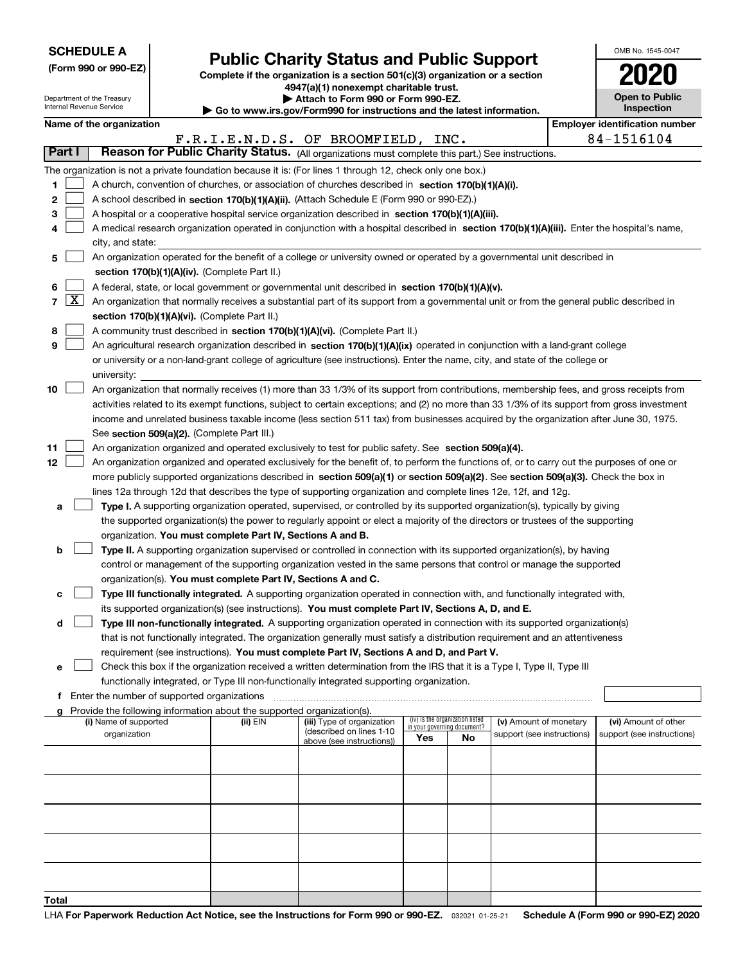| <b>SCHEDULE A</b> |  |
|-------------------|--|
|-------------------|--|

Department of the Treasury Internal Revenue Service

**Total**

|  |  |  | (Form 990 or 990-EZ) |  |
|--|--|--|----------------------|--|
|--|--|--|----------------------|--|

# **Public Charity Status and Public Support**

**Complete if the organization is a section 501(c)(3) organization or a section 4947(a)(1) nonexempt charitable trust. | Attach to Form 990 or Form 990-EZ.** 

| <b>P</b> AUGUI IV I VIIII 330 VI I VIIII 330-LL.                         |  |
|--------------------------------------------------------------------------|--|
| ► Go to www.irs.gov/Form990 for instructions and the latest information. |  |
|                                                                          |  |

| OMB No. 1545-0047                   |
|-------------------------------------|
| 02N                                 |
| <b>Open to Public</b><br>Inspection |

 $\mathbf{I}$ 

|  | Name of the organization |
|--|--------------------------|
|--|--------------------------|

| Name of the organization<br><b>Employer identification number</b>                                                                          |                                                                                                           |                                                                                                                                                                            |          |                                                       |                                    |                                 |                            |  |                            |  |  |  |
|--------------------------------------------------------------------------------------------------------------------------------------------|-----------------------------------------------------------------------------------------------------------|----------------------------------------------------------------------------------------------------------------------------------------------------------------------------|----------|-------------------------------------------------------|------------------------------------|---------------------------------|----------------------------|--|----------------------------|--|--|--|
| F.R.I.E.N.D.S. OF BROOMFIELD, INC.<br>Part I                                                                                               |                                                                                                           |                                                                                                                                                                            |          |                                                       |                                    |                                 |                            |  | 84-1516104                 |  |  |  |
| Reason for Public Charity Status. (All organizations must complete this part.) See instructions.                                           |                                                                                                           |                                                                                                                                                                            |          |                                                       |                                    |                                 |                            |  |                            |  |  |  |
|                                                                                                                                            | The organization is not a private foundation because it is: (For lines 1 through 12, check only one box.) |                                                                                                                                                                            |          |                                                       |                                    |                                 |                            |  |                            |  |  |  |
| 1                                                                                                                                          |                                                                                                           | A church, convention of churches, or association of churches described in section 170(b)(1)(A)(i).                                                                         |          |                                                       |                                    |                                 |                            |  |                            |  |  |  |
| 2                                                                                                                                          |                                                                                                           | A school described in section 170(b)(1)(A)(ii). (Attach Schedule E (Form 990 or 990-EZ).)                                                                                  |          |                                                       |                                    |                                 |                            |  |                            |  |  |  |
| 3                                                                                                                                          |                                                                                                           | A hospital or a cooperative hospital service organization described in section 170(b)(1)(A)(iii).                                                                          |          |                                                       |                                    |                                 |                            |  |                            |  |  |  |
| 4                                                                                                                                          |                                                                                                           | A medical research organization operated in conjunction with a hospital described in section 170(b)(1)(A)(iii). Enter the hospital's name,<br>city, and state:             |          |                                                       |                                    |                                 |                            |  |                            |  |  |  |
| 5                                                                                                                                          |                                                                                                           | An organization operated for the benefit of a college or university owned or operated by a governmental unit described in<br>section 170(b)(1)(A)(iv). (Complete Part II.) |          |                                                       |                                    |                                 |                            |  |                            |  |  |  |
| 6                                                                                                                                          |                                                                                                           | A federal, state, or local government or governmental unit described in section 170(b)(1)(A)(v).                                                                           |          |                                                       |                                    |                                 |                            |  |                            |  |  |  |
|                                                                                                                                            | $7 \times$                                                                                                | An organization that normally receives a substantial part of its support from a governmental unit or from the general public described in                                  |          |                                                       |                                    |                                 |                            |  |                            |  |  |  |
|                                                                                                                                            |                                                                                                           | section 170(b)(1)(A)(vi). (Complete Part II.)                                                                                                                              |          |                                                       |                                    |                                 |                            |  |                            |  |  |  |
| 8                                                                                                                                          |                                                                                                           | A community trust described in section 170(b)(1)(A)(vi). (Complete Part II.)                                                                                               |          |                                                       |                                    |                                 |                            |  |                            |  |  |  |
| 9                                                                                                                                          |                                                                                                           | An agricultural research organization described in section 170(b)(1)(A)(ix) operated in conjunction with a land-grant college                                              |          |                                                       |                                    |                                 |                            |  |                            |  |  |  |
|                                                                                                                                            |                                                                                                           | or university or a non-land-grant college of agriculture (see instructions). Enter the name, city, and state of the college or<br>university:                              |          |                                                       |                                    |                                 |                            |  |                            |  |  |  |
| 10                                                                                                                                         |                                                                                                           | An organization that normally receives (1) more than 33 1/3% of its support from contributions, membership fees, and gross receipts from                                   |          |                                                       |                                    |                                 |                            |  |                            |  |  |  |
|                                                                                                                                            |                                                                                                           | activities related to its exempt functions, subject to certain exceptions; and (2) no more than 33 1/3% of its support from gross investment                               |          |                                                       |                                    |                                 |                            |  |                            |  |  |  |
|                                                                                                                                            |                                                                                                           | income and unrelated business taxable income (less section 511 tax) from businesses acquired by the organization after June 30, 1975.                                      |          |                                                       |                                    |                                 |                            |  |                            |  |  |  |
|                                                                                                                                            |                                                                                                           | See section 509(a)(2). (Complete Part III.)                                                                                                                                |          |                                                       |                                    |                                 |                            |  |                            |  |  |  |
| 11                                                                                                                                         |                                                                                                           | An organization organized and operated exclusively to test for public safety. See section 509(a)(4).                                                                       |          |                                                       |                                    |                                 |                            |  |                            |  |  |  |
| 12                                                                                                                                         |                                                                                                           | An organization organized and operated exclusively for the benefit of, to perform the functions of, or to carry out the purposes of one or                                 |          |                                                       |                                    |                                 |                            |  |                            |  |  |  |
|                                                                                                                                            |                                                                                                           | more publicly supported organizations described in section 509(a)(1) or section 509(a)(2). See section 509(a)(3). Check the box in                                         |          |                                                       |                                    |                                 |                            |  |                            |  |  |  |
|                                                                                                                                            |                                                                                                           | lines 12a through 12d that describes the type of supporting organization and complete lines 12e, 12f, and 12g.                                                             |          |                                                       |                                    |                                 |                            |  |                            |  |  |  |
| а                                                                                                                                          |                                                                                                           | Type I. A supporting organization operated, supervised, or controlled by its supported organization(s), typically by giving                                                |          |                                                       |                                    |                                 |                            |  |                            |  |  |  |
|                                                                                                                                            |                                                                                                           | the supported organization(s) the power to regularly appoint or elect a majority of the directors or trustees of the supporting                                            |          |                                                       |                                    |                                 |                            |  |                            |  |  |  |
|                                                                                                                                            |                                                                                                           | organization. You must complete Part IV, Sections A and B.                                                                                                                 |          |                                                       |                                    |                                 |                            |  |                            |  |  |  |
| b                                                                                                                                          |                                                                                                           | Type II. A supporting organization supervised or controlled in connection with its supported organization(s), by having                                                    |          |                                                       |                                    |                                 |                            |  |                            |  |  |  |
|                                                                                                                                            |                                                                                                           | control or management of the supporting organization vested in the same persons that control or manage the supported                                                       |          |                                                       |                                    |                                 |                            |  |                            |  |  |  |
|                                                                                                                                            |                                                                                                           | organization(s). You must complete Part IV, Sections A and C.                                                                                                              |          |                                                       |                                    |                                 |                            |  |                            |  |  |  |
| с                                                                                                                                          |                                                                                                           | Type III functionally integrated. A supporting organization operated in connection with, and functionally integrated with,                                                 |          |                                                       |                                    |                                 |                            |  |                            |  |  |  |
|                                                                                                                                            |                                                                                                           | its supported organization(s) (see instructions). You must complete Part IV, Sections A, D, and E.                                                                         |          |                                                       |                                    |                                 |                            |  |                            |  |  |  |
| d                                                                                                                                          |                                                                                                           | Type III non-functionally integrated. A supporting organization operated in connection with its supported organization(s)                                                  |          |                                                       |                                    |                                 |                            |  |                            |  |  |  |
|                                                                                                                                            |                                                                                                           | that is not functionally integrated. The organization generally must satisfy a distribution requirement and an attentiveness                                               |          |                                                       |                                    |                                 |                            |  |                            |  |  |  |
|                                                                                                                                            |                                                                                                           | requirement (see instructions). You must complete Part IV, Sections A and D, and Part V.                                                                                   |          |                                                       |                                    |                                 |                            |  |                            |  |  |  |
|                                                                                                                                            |                                                                                                           | Check this box if the organization received a written determination from the IRS that it is a Type I, Type II, Type III                                                    |          |                                                       |                                    |                                 |                            |  |                            |  |  |  |
| functionally integrated, or Type III non-functionally integrated supporting organization.<br>f Enter the number of supported organizations |                                                                                                           |                                                                                                                                                                            |          |                                                       |                                    |                                 |                            |  |                            |  |  |  |
|                                                                                                                                            |                                                                                                           | g Provide the following information about the supported organization(s).                                                                                                   |          |                                                       |                                    |                                 |                            |  |                            |  |  |  |
|                                                                                                                                            |                                                                                                           | (i) Name of supported                                                                                                                                                      | (ii) EIN | (iii) Type of organization                            |                                    | (iv) Is the organization listed | (v) Amount of monetary     |  | (vi) Amount of other       |  |  |  |
|                                                                                                                                            |                                                                                                           | organization                                                                                                                                                               |          | (described on lines 1-10<br>above (see instructions)) | in your governing document?<br>Yes | No                              | support (see instructions) |  | support (see instructions) |  |  |  |
|                                                                                                                                            |                                                                                                           |                                                                                                                                                                            |          |                                                       |                                    |                                 |                            |  |                            |  |  |  |
|                                                                                                                                            |                                                                                                           |                                                                                                                                                                            |          |                                                       |                                    |                                 |                            |  |                            |  |  |  |
|                                                                                                                                            |                                                                                                           |                                                                                                                                                                            |          |                                                       |                                    |                                 |                            |  |                            |  |  |  |
|                                                                                                                                            |                                                                                                           |                                                                                                                                                                            |          |                                                       |                                    |                                 |                            |  |                            |  |  |  |
|                                                                                                                                            |                                                                                                           |                                                                                                                                                                            |          |                                                       |                                    |                                 |                            |  |                            |  |  |  |
|                                                                                                                                            |                                                                                                           |                                                                                                                                                                            |          |                                                       |                                    |                                 |                            |  |                            |  |  |  |
|                                                                                                                                            |                                                                                                           |                                                                                                                                                                            |          |                                                       |                                    |                                 |                            |  |                            |  |  |  |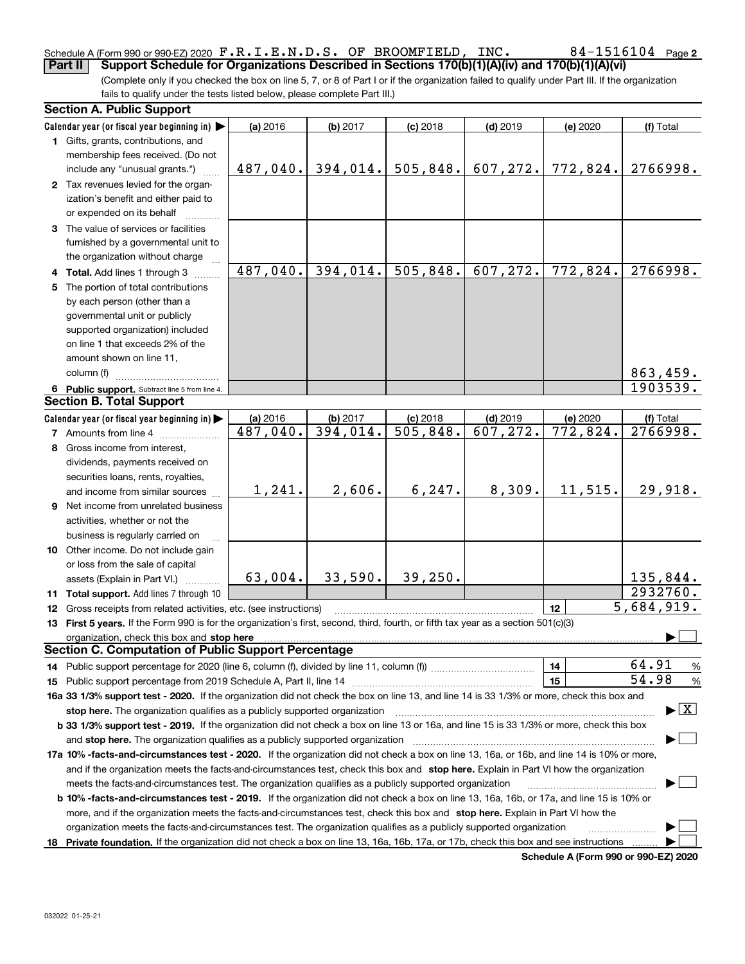#### Schedule A (Form 990 or 990-EZ) 2020 Page F.R.I.E.N.D.S. OF BROOMFIELD, INC. 84-1516104**Part II Support Schedule for Organizations Described in Sections 170(b)(1)(A)(iv) and 170(b)(1)(A)(vi)**

(Complete only if you checked the box on line 5, 7, or 8 of Part I or if the organization failed to qualify under Part III. If the organization fails to qualify under the tests listed below, please complete Part III.)

| <b>Section A. Public Support</b>                                                                                                               |                        |          |                         |            |                         |                                          |
|------------------------------------------------------------------------------------------------------------------------------------------------|------------------------|----------|-------------------------|------------|-------------------------|------------------------------------------|
| Calendar year (or fiscal year beginning in)                                                                                                    | (a) 2016               | (b) 2017 | $(c)$ 2018              | $(d)$ 2019 | (e) 2020                | (f) Total                                |
| 1 Gifts, grants, contributions, and                                                                                                            |                        |          |                         |            |                         |                                          |
| membership fees received. (Do not                                                                                                              |                        |          |                         |            |                         |                                          |
| include any "unusual grants.")                                                                                                                 | 487,040.               | 394,014. | 505,848.                | 607,272.   | 772,824.                | 2766998.                                 |
| 2 Tax revenues levied for the organ-                                                                                                           |                        |          |                         |            |                         |                                          |
| ization's benefit and either paid to                                                                                                           |                        |          |                         |            |                         |                                          |
| or expended on its behalf                                                                                                                      |                        |          |                         |            |                         |                                          |
| 3 The value of services or facilities                                                                                                          |                        |          |                         |            |                         |                                          |
| furnished by a governmental unit to                                                                                                            |                        |          |                         |            |                         |                                          |
| the organization without charge                                                                                                                |                        |          |                         |            |                         |                                          |
| 4 Total. Add lines 1 through 3                                                                                                                 | 487,040.               | 394,014. | 505,848.                | 607, 272.  | 772,824.                | 2766998.                                 |
| 5 The portion of total contributions                                                                                                           |                        |          |                         |            |                         |                                          |
| by each person (other than a                                                                                                                   |                        |          |                         |            |                         |                                          |
| governmental unit or publicly                                                                                                                  |                        |          |                         |            |                         |                                          |
| supported organization) included                                                                                                               |                        |          |                         |            |                         |                                          |
| on line 1 that exceeds 2% of the                                                                                                               |                        |          |                         |            |                         |                                          |
| amount shown on line 11,                                                                                                                       |                        |          |                         |            |                         |                                          |
| column (f)                                                                                                                                     |                        |          |                         |            |                         | 863,459.                                 |
| 6 Public support. Subtract line 5 from line 4.                                                                                                 |                        |          |                         |            |                         | 1903539.                                 |
| <b>Section B. Total Support</b>                                                                                                                |                        |          |                         |            |                         |                                          |
| Calendar year (or fiscal year beginning in)                                                                                                    | (a) 2016               | (b) 2017 | $(c)$ 2018              | $(d)$ 2019 | (e) 2020                | (f) Total                                |
| <b>7</b> Amounts from line 4                                                                                                                   | $\overline{487,040}$ . | 394,014. | $\overline{505, 848}$ . | 607,272.   | $\overline{772}$ , 824. | 2766998.                                 |
| 8 Gross income from interest,                                                                                                                  |                        |          |                         |            |                         |                                          |
| dividends, payments received on                                                                                                                |                        |          |                         |            |                         |                                          |
| securities loans, rents, royalties,                                                                                                            |                        |          |                         |            |                         |                                          |
| and income from similar sources                                                                                                                | 1,241.                 | 2,606.   | 6, 247.                 | 8,309.     | 11,515.                 | 29,918.                                  |
| 9 Net income from unrelated business                                                                                                           |                        |          |                         |            |                         |                                          |
| activities, whether or not the                                                                                                                 |                        |          |                         |            |                         |                                          |
| business is regularly carried on                                                                                                               |                        |          |                         |            |                         |                                          |
| 10 Other income. Do not include gain                                                                                                           |                        |          |                         |            |                         |                                          |
| or loss from the sale of capital                                                                                                               |                        |          |                         |            |                         |                                          |
| assets (Explain in Part VI.)                                                                                                                   | 63,004.                | 33,590.  | 39,250.                 |            |                         | 135,844.                                 |
| 11 Total support. Add lines 7 through 10                                                                                                       |                        |          |                         |            |                         | 2932760.                                 |
| 12 Gross receipts from related activities, etc. (see instructions)                                                                             |                        |          |                         |            | 12                      | 5,684,919.                               |
| 13 First 5 years. If the Form 990 is for the organization's first, second, third, fourth, or fifth tax year as a section 501(c)(3)             |                        |          |                         |            |                         |                                          |
| organization, check this box and stop here                                                                                                     |                        |          |                         |            |                         |                                          |
| <b>Section C. Computation of Public Support Percentage</b>                                                                                     |                        |          |                         |            |                         |                                          |
| 14 Public support percentage for 2020 (line 6, column (f), divided by line 11, column (f) <i>mummumumum</i>                                    |                        |          |                         |            | 14                      | 64.91<br>%                               |
|                                                                                                                                                |                        |          |                         |            | 15                      | 54.98<br>%                               |
| 16a 33 1/3% support test - 2020. If the organization did not check the box on line 13, and line 14 is 33 1/3% or more, check this box and      |                        |          |                         |            |                         |                                          |
| stop here. The organization qualifies as a publicly supported organization                                                                     |                        |          |                         |            |                         | $\blacktriangleright$ $\boxed{\text{X}}$ |
| b 33 1/3% support test - 2019. If the organization did not check a box on line 13 or 16a, and line 15 is 33 1/3% or more, check this box       |                        |          |                         |            |                         |                                          |
| and stop here. The organization qualifies as a publicly supported organization                                                                 |                        |          |                         |            |                         |                                          |
| 17a 10% -facts-and-circumstances test - 2020. If the organization did not check a box on line 13, 16a, or 16b, and line 14 is 10% or more,     |                        |          |                         |            |                         |                                          |
| and if the organization meets the facts-and-circumstances test, check this box and stop here. Explain in Part VI how the organization          |                        |          |                         |            |                         |                                          |
| meets the facts-and-circumstances test. The organization qualifies as a publicly supported organization                                        |                        |          |                         |            |                         |                                          |
| <b>b 10% -facts-and-circumstances test - 2019.</b> If the organization did not check a box on line 13, 16a, 16b, or 17a, and line 15 is 10% or |                        |          |                         |            |                         |                                          |
| more, and if the organization meets the facts-and-circumstances test, check this box and stop here. Explain in Part VI how the                 |                        |          |                         |            |                         |                                          |
| organization meets the facts-and-circumstances test. The organization qualifies as a publicly supported organization                           |                        |          |                         |            |                         |                                          |
| 18 Private foundation. If the organization did not check a box on line 13, 16a, 16b, 17a, or 17b, check this box and see instructions          |                        |          |                         |            |                         |                                          |
|                                                                                                                                                |                        |          |                         |            |                         |                                          |

**Schedule A (Form 990 or 990-EZ) 2020**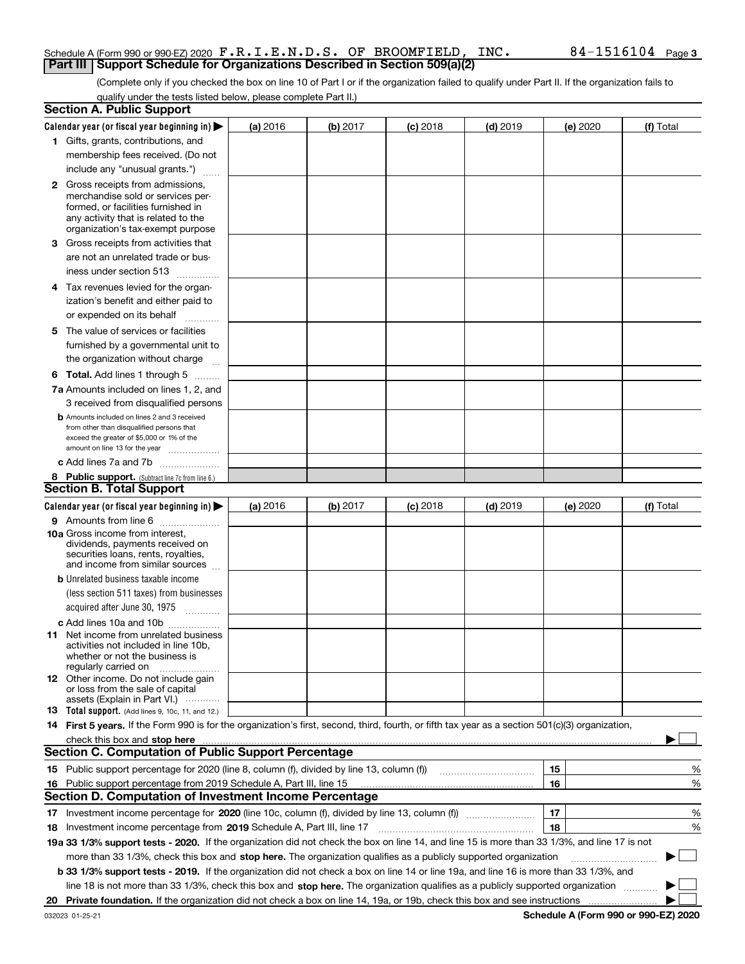#### Schedule A (Form 990 or 990-EZ) 2020 Page F.R.I.E.N.D.S. OF BROOMFIELD, INC. 84-1516104**Part III | Support Schedule for Organizations Described in Section 509(a)(2)**

(Complete only if you checked the box on line 10 of Part I or if the organization failed to qualify under Part II. If the organization fails to qualify under the tests listed below, please complete Part II.)

|    | <b>Section A. Public Support</b>                                                                                                                 |                 |          |                 |            |          |           |
|----|--------------------------------------------------------------------------------------------------------------------------------------------------|-----------------|----------|-----------------|------------|----------|-----------|
|    | Calendar year (or fiscal year beginning in) $\blacktriangleright$                                                                                | <b>(a)</b> 2016 | (b) 2017 | <b>(c)</b> 2018 | $(d)$ 2019 | (e) 2020 | (f) Total |
|    | 1 Gifts, grants, contributions, and                                                                                                              |                 |          |                 |            |          |           |
|    | membership fees received. (Do not                                                                                                                |                 |          |                 |            |          |           |
|    | include any "unusual grants.")                                                                                                                   |                 |          |                 |            |          |           |
|    | <b>2</b> Gross receipts from admissions,                                                                                                         |                 |          |                 |            |          |           |
|    | merchandise sold or services per-                                                                                                                |                 |          |                 |            |          |           |
|    | formed, or facilities furnished in                                                                                                               |                 |          |                 |            |          |           |
|    | any activity that is related to the<br>organization's tax-exempt purpose                                                                         |                 |          |                 |            |          |           |
|    | 3 Gross receipts from activities that                                                                                                            |                 |          |                 |            |          |           |
|    | are not an unrelated trade or bus-                                                                                                               |                 |          |                 |            |          |           |
|    | iness under section 513                                                                                                                          |                 |          |                 |            |          |           |
|    | 4 Tax revenues levied for the organ-                                                                                                             |                 |          |                 |            |          |           |
|    | ization's benefit and either paid to                                                                                                             |                 |          |                 |            |          |           |
|    | or expended on its behalf                                                                                                                        |                 |          |                 |            |          |           |
|    | .                                                                                                                                                |                 |          |                 |            |          |           |
|    | 5 The value of services or facilities                                                                                                            |                 |          |                 |            |          |           |
|    | furnished by a governmental unit to                                                                                                              |                 |          |                 |            |          |           |
|    | the organization without charge                                                                                                                  |                 |          |                 |            |          |           |
|    | <b>6 Total.</b> Add lines 1 through 5                                                                                                            |                 |          |                 |            |          |           |
|    | 7a Amounts included on lines 1, 2, and                                                                                                           |                 |          |                 |            |          |           |
|    | 3 received from disqualified persons                                                                                                             |                 |          |                 |            |          |           |
|    | <b>b</b> Amounts included on lines 2 and 3 received<br>from other than disqualified persons that                                                 |                 |          |                 |            |          |           |
|    | exceed the greater of \$5,000 or 1% of the                                                                                                       |                 |          |                 |            |          |           |
|    | amount on line 13 for the year                                                                                                                   |                 |          |                 |            |          |           |
|    | c Add lines 7a and 7b                                                                                                                            |                 |          |                 |            |          |           |
|    | 8 Public support. (Subtract line 7c from line 6.)                                                                                                |                 |          |                 |            |          |           |
|    | <b>Section B. Total Support</b>                                                                                                                  |                 |          |                 |            |          |           |
|    | Calendar year (or fiscal year beginning in)                                                                                                      | (a) 2016        | (b) 2017 | $(c)$ 2018      | $(d)$ 2019 | (e) 2020 | (f) Total |
|    | 9 Amounts from line 6                                                                                                                            |                 |          |                 |            |          |           |
|    | <b>10a</b> Gross income from interest,<br>dividends, payments received on                                                                        |                 |          |                 |            |          |           |
|    | securities loans, rents, royalties,                                                                                                              |                 |          |                 |            |          |           |
|    | and income from similar sources                                                                                                                  |                 |          |                 |            |          |           |
|    | <b>b</b> Unrelated business taxable income                                                                                                       |                 |          |                 |            |          |           |
|    | (less section 511 taxes) from businesses                                                                                                         |                 |          |                 |            |          |           |
|    | acquired after June 30, 1975<br>$\overline{\phantom{a}}$                                                                                         |                 |          |                 |            |          |           |
|    | c Add lines 10a and 10b                                                                                                                          |                 |          |                 |            |          |           |
|    | 11 Net income from unrelated business                                                                                                            |                 |          |                 |            |          |           |
|    | activities not included in line 10b,<br>whether or not the business is                                                                           |                 |          |                 |            |          |           |
|    | regularly carried on                                                                                                                             |                 |          |                 |            |          |           |
|    | <b>12</b> Other income. Do not include gain                                                                                                      |                 |          |                 |            |          |           |
|    | or loss from the sale of capital                                                                                                                 |                 |          |                 |            |          |           |
|    | assets (Explain in Part VI.)<br><b>13</b> Total support. (Add lines 9, 10c, 11, and 12.)                                                         |                 |          |                 |            |          |           |
|    | 14 First 5 years. If the Form 990 is for the organization's first, second, third, fourth, or fifth tax year as a section 501(c)(3) organization, |                 |          |                 |            |          |           |
|    | check this box and stop here <b>manufacture in the contract of the state of the state of state and stop here manufacture</b>                     |                 |          |                 |            |          |           |
|    | <b>Section C. Computation of Public Support Percentage</b>                                                                                       |                 |          |                 |            |          |           |
|    |                                                                                                                                                  |                 |          |                 |            | 15       | %         |
|    | 16 Public support percentage from 2019 Schedule A, Part III, line 15                                                                             |                 |          |                 |            | 16       | %         |
|    | <b>Section D. Computation of Investment Income Percentage</b>                                                                                    |                 |          |                 |            |          |           |
|    | 17 Investment income percentage for 2020 (line 10c, column (f), divided by line 13, column (f))                                                  |                 |          |                 |            | 17       | %         |
|    | 18 Investment income percentage from 2019 Schedule A, Part III, line 17                                                                          |                 |          |                 |            | 18       | %         |
|    | 19a 33 1/3% support tests - 2020. If the organization did not check the box on line 14, and line 15 is more than 33 1/3%, and line 17 is not     |                 |          |                 |            |          |           |
|    | more than 33 1/3%, check this box and stop here. The organization qualifies as a publicly supported organization                                 |                 |          |                 |            |          | $\sim$    |
|    | b 33 1/3% support tests - 2019. If the organization did not check a box on line 14 or line 19a, and line 16 is more than 33 1/3%, and            |                 |          |                 |            |          |           |
|    | line 18 is not more than 33 1/3%, check this box and stop here. The organization qualifies as a publicly supported organization                  |                 |          |                 |            |          |           |
| 20 |                                                                                                                                                  |                 |          |                 |            |          |           |
|    |                                                                                                                                                  |                 |          |                 |            |          |           |

**Schedule A (Form 990 or 990-EZ) 2020**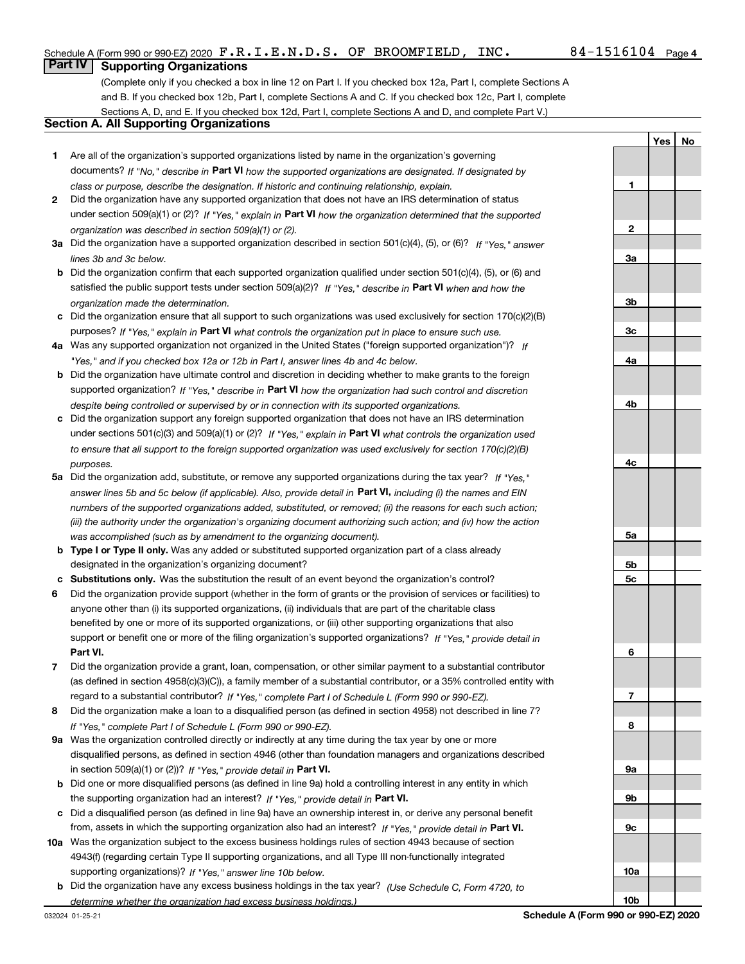**1**

**YesNo**

## **Part IV Supporting Organizations**

(Complete only if you checked a box in line 12 on Part I. If you checked box 12a, Part I, complete Sections A and B. If you checked box 12b, Part I, complete Sections A and C. If you checked box 12c, Part I, complete Sections A, D, and E. If you checked box 12d, Part I, complete Sections A and D, and complete Part V.)

### **Section A. All Supporting Organizations**

- **1** Are all of the organization's supported organizations listed by name in the organization's governing documents? If "No," describe in **Part VI** how the supported organizations are designated. If designated by *class or purpose, describe the designation. If historic and continuing relationship, explain.*
- **2** Did the organization have any supported organization that does not have an IRS determination of status under section 509(a)(1) or (2)? If "Yes," explain in Part VI how the organization determined that the supported *organization was described in section 509(a)(1) or (2).*
- **3a** Did the organization have a supported organization described in section 501(c)(4), (5), or (6)? If "Yes," answer *lines 3b and 3c below.*
- **b** Did the organization confirm that each supported organization qualified under section 501(c)(4), (5), or (6) and satisfied the public support tests under section 509(a)(2)? If "Yes," describe in **Part VI** when and how the *organization made the determination.*
- **c**Did the organization ensure that all support to such organizations was used exclusively for section 170(c)(2)(B) purposes? If "Yes," explain in **Part VI** what controls the organization put in place to ensure such use.
- **4a***If* Was any supported organization not organized in the United States ("foreign supported organization")? *"Yes," and if you checked box 12a or 12b in Part I, answer lines 4b and 4c below.*
- **b** Did the organization have ultimate control and discretion in deciding whether to make grants to the foreign supported organization? If "Yes," describe in **Part VI** how the organization had such control and discretion *despite being controlled or supervised by or in connection with its supported organizations.*
- **c** Did the organization support any foreign supported organization that does not have an IRS determination under sections 501(c)(3) and 509(a)(1) or (2)? If "Yes," explain in **Part VI** what controls the organization used *to ensure that all support to the foreign supported organization was used exclusively for section 170(c)(2)(B) purposes.*
- **5a***If "Yes,"* Did the organization add, substitute, or remove any supported organizations during the tax year? answer lines 5b and 5c below (if applicable). Also, provide detail in **Part VI,** including (i) the names and EIN *numbers of the supported organizations added, substituted, or removed; (ii) the reasons for each such action; (iii) the authority under the organization's organizing document authorizing such action; and (iv) how the action was accomplished (such as by amendment to the organizing document).*
- **b** Type I or Type II only. Was any added or substituted supported organization part of a class already designated in the organization's organizing document?
- **cSubstitutions only.**  Was the substitution the result of an event beyond the organization's control?
- **6** Did the organization provide support (whether in the form of grants or the provision of services or facilities) to **Part VI.** *If "Yes," provide detail in* support or benefit one or more of the filing organization's supported organizations? anyone other than (i) its supported organizations, (ii) individuals that are part of the charitable class benefited by one or more of its supported organizations, or (iii) other supporting organizations that also
- **7**Did the organization provide a grant, loan, compensation, or other similar payment to a substantial contributor *If "Yes," complete Part I of Schedule L (Form 990 or 990-EZ).* regard to a substantial contributor? (as defined in section 4958(c)(3)(C)), a family member of a substantial contributor, or a 35% controlled entity with
- **8** Did the organization make a loan to a disqualified person (as defined in section 4958) not described in line 7? *If "Yes," complete Part I of Schedule L (Form 990 or 990-EZ).*
- **9a** Was the organization controlled directly or indirectly at any time during the tax year by one or more in section 509(a)(1) or (2))? If "Yes," *provide detail in* <code>Part VI.</code> disqualified persons, as defined in section 4946 (other than foundation managers and organizations described
- **b** Did one or more disqualified persons (as defined in line 9a) hold a controlling interest in any entity in which the supporting organization had an interest? If "Yes," provide detail in P**art VI**.
- **c**Did a disqualified person (as defined in line 9a) have an ownership interest in, or derive any personal benefit from, assets in which the supporting organization also had an interest? If "Yes," provide detail in P**art VI.**
- **10a** Was the organization subject to the excess business holdings rules of section 4943 because of section supporting organizations)? If "Yes," answer line 10b below. 4943(f) (regarding certain Type II supporting organizations, and all Type III non-functionally integrated
- **b** Did the organization have any excess business holdings in the tax year? (Use Schedule C, Form 4720, to *determine whether the organization had excess business holdings.)*

**10b**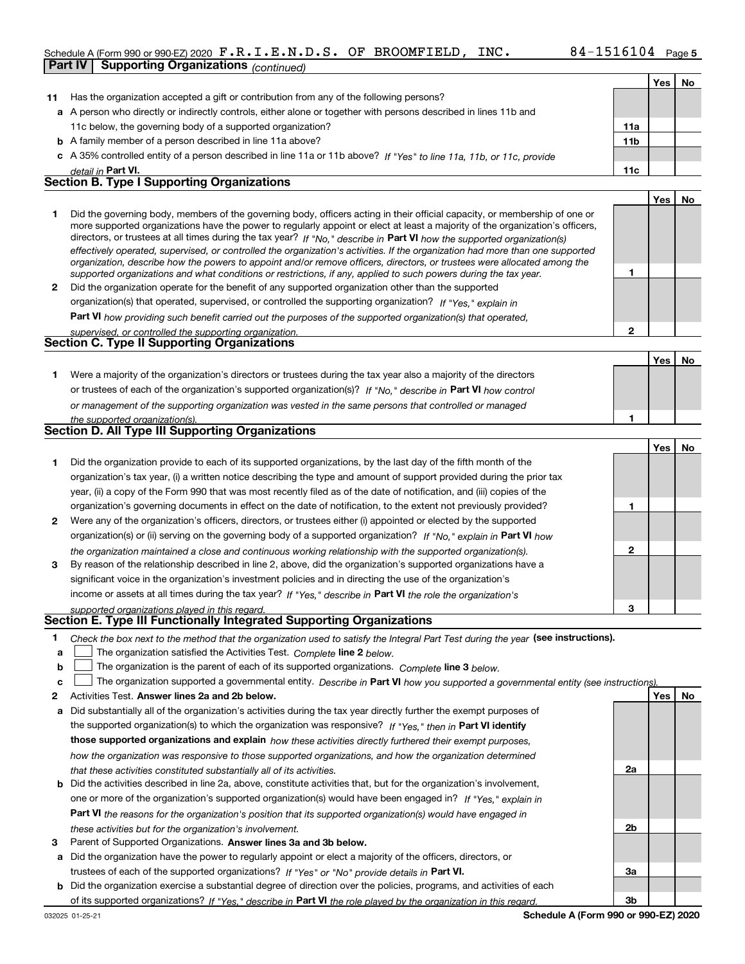# Schedule A (Form 990 or 990-EZ) 2020 Page F.R.I.E.N.D.S. OF BROOMFIELD, INC. 84-1516104

|              | <b>Supporting Organizations (continued)</b><br>Part IV                                                                                                                                                                                                      |                 |     |    |
|--------------|-------------------------------------------------------------------------------------------------------------------------------------------------------------------------------------------------------------------------------------------------------------|-----------------|-----|----|
|              |                                                                                                                                                                                                                                                             |                 | Yes | No |
| 11           | Has the organization accepted a gift or contribution from any of the following persons?                                                                                                                                                                     |                 |     |    |
|              | a A person who directly or indirectly controls, either alone or together with persons described in lines 11b and                                                                                                                                            |                 |     |    |
|              | 11c below, the governing body of a supported organization?                                                                                                                                                                                                  | 11a             |     |    |
|              | <b>b</b> A family member of a person described in line 11a above?                                                                                                                                                                                           | 11 <sub>b</sub> |     |    |
|              | c A 35% controlled entity of a person described in line 11a or 11b above? If "Yes" to line 11a, 11b, or 11c, provide                                                                                                                                        |                 |     |    |
|              | detail in Part VI.                                                                                                                                                                                                                                          | 11c             |     |    |
|              | <b>Section B. Type I Supporting Organizations</b>                                                                                                                                                                                                           |                 |     |    |
|              |                                                                                                                                                                                                                                                             |                 | Yes | No |
| 1.           | Did the governing body, members of the governing body, officers acting in their official capacity, or membership of one or<br>more supported organizations have the power to regularly appoint or elect at least a majority of the organization's officers, |                 |     |    |
|              | directors, or trustees at all times during the tax year? If "No," describe in Part VI how the supported organization(s)<br>effectively operated, supervised, or controlled the organization's activities. If the organization had more than one supported   |                 |     |    |
|              | organization, describe how the powers to appoint and/or remove officers, directors, or trustees were allocated among the                                                                                                                                    |                 |     |    |
|              | supported organizations and what conditions or restrictions, if any, applied to such powers during the tax year.                                                                                                                                            | 1               |     |    |
| $\mathbf{2}$ | Did the organization operate for the benefit of any supported organization other than the supported<br>organization(s) that operated, supervised, or controlled the supporting organization? If "Yes," explain in                                           |                 |     |    |
|              |                                                                                                                                                                                                                                                             |                 |     |    |
|              | Part VI how providing such benefit carried out the purposes of the supported organization(s) that operated,                                                                                                                                                 | $\overline{2}$  |     |    |
|              | supervised, or controlled the supporting organization.<br>Section C. Type II Supporting Organizations                                                                                                                                                       |                 |     |    |
|              |                                                                                                                                                                                                                                                             |                 | Yes | No |
| 1.           | Were a majority of the organization's directors or trustees during the tax year also a majority of the directors                                                                                                                                            |                 |     |    |
|              | or trustees of each of the organization's supported organization(s)? If "No," describe in Part VI how control                                                                                                                                               |                 |     |    |
|              | or management of the supporting organization was vested in the same persons that controlled or managed                                                                                                                                                      |                 |     |    |
|              | the supported organization(s).                                                                                                                                                                                                                              | 1               |     |    |
|              | Section D. All Type III Supporting Organizations                                                                                                                                                                                                            |                 |     |    |
|              |                                                                                                                                                                                                                                                             |                 | Yes | No |
| 1.           | Did the organization provide to each of its supported organizations, by the last day of the fifth month of the                                                                                                                                              |                 |     |    |
|              | organization's tax year, (i) a written notice describing the type and amount of support provided during the prior tax                                                                                                                                       |                 |     |    |
|              | year, (ii) a copy of the Form 990 that was most recently filed as of the date of notification, and (iii) copies of the                                                                                                                                      |                 |     |    |
|              | organization's governing documents in effect on the date of notification, to the extent not previously provided?                                                                                                                                            | 1               |     |    |
| 2            | Were any of the organization's officers, directors, or trustees either (i) appointed or elected by the supported                                                                                                                                            |                 |     |    |
|              | organization(s) or (ii) serving on the governing body of a supported organization? If "No," explain in Part VI how                                                                                                                                          |                 |     |    |
|              | the organization maintained a close and continuous working relationship with the supported organization(s).                                                                                                                                                 | $\mathbf 2$     |     |    |
| 3            | By reason of the relationship described in line 2, above, did the organization's supported organizations have a                                                                                                                                             |                 |     |    |
|              | significant voice in the organization's investment policies and in directing the use of the organization's                                                                                                                                                  |                 |     |    |
|              | income or assets at all times during the tax year? If "Yes," describe in Part VI the role the organization's                                                                                                                                                |                 |     |    |
|              | supported organizations played in this regard.                                                                                                                                                                                                              | 3               |     |    |
|              | Section E. Type III Functionally Integrated Supporting Organizations                                                                                                                                                                                        |                 |     |    |
| 1.           | Check the box next to the method that the organization used to satisfy the Integral Part Test during the year (see instructions).                                                                                                                           |                 |     |    |
| a            | The organization satisfied the Activities Test. Complete line 2 below.                                                                                                                                                                                      |                 |     |    |
| b            | The organization is the parent of each of its supported organizations. Complete line 3 below.                                                                                                                                                               |                 |     |    |
| c            | The organization supported a governmental entity. Describe in Part VI how you supported a governmental entity (see instructions)                                                                                                                            |                 |     |    |
| 2            | Activities Test. Answer lines 2a and 2b below.                                                                                                                                                                                                              |                 | Yes | No |

- **a** Did substantially all of the organization's activities during the tax year directly further the exempt purposes of **b** Did the activities described in line 2a, above, constitute activities that, but for the organization's involvement, the supported organization(s) to which the organization was responsive? If "Yes," then in **Part VI identify those supported organizations and explain**  *how these activities directly furthered their exempt purposes, how the organization was responsive to those supported organizations, and how the organization determined that these activities constituted substantially all of its activities.*
	- **Part VI**  *the reasons for the organization's position that its supported organization(s) would have engaged in* one or more of the organization's supported organization(s) would have been engaged in? If "Yes," e*xplain in these activities but for the organization's involvement.*
- **3** Parent of Supported Organizations. Answer lines 3a and 3b below.

**a** Did the organization have the power to regularly appoint or elect a majority of the officers, directors, or trustees of each of the supported organizations? If "Yes" or "No" provide details in **Part VI.** 

**b** Did the organization exercise a substantial degree of direction over the policies, programs, and activities of each of its supported organizations? If "Yes," describe in Part VI the role played by the organization in this regard.

**2a**

**2b**

**3a**

**3b**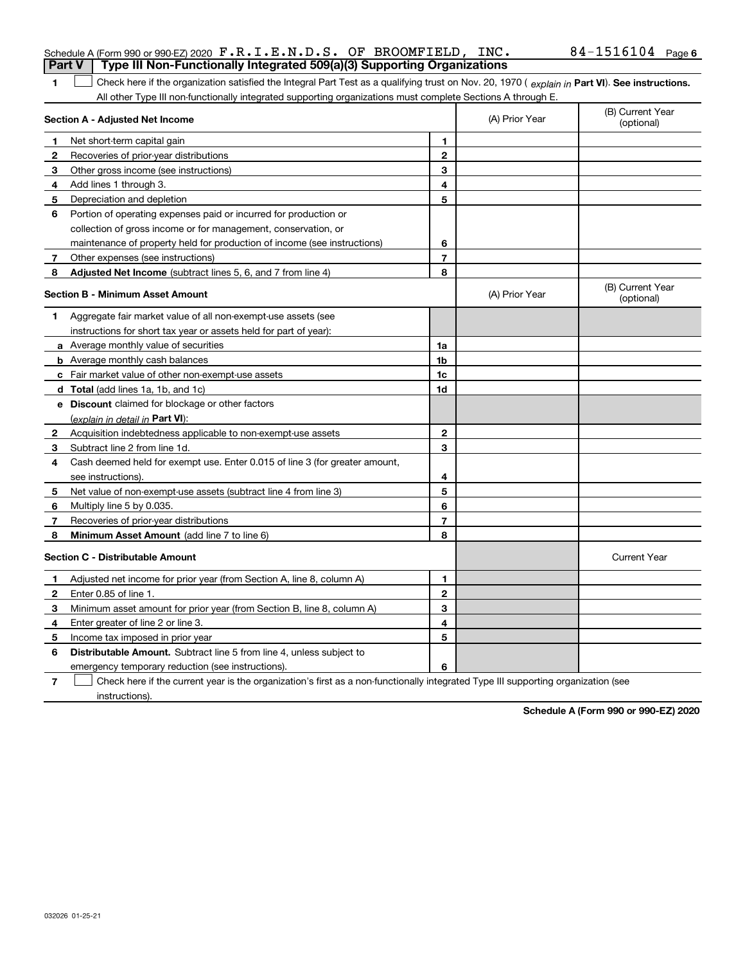| ai tv<br>i ype iii ivoii-i uncuonally integrated oos(a)(o) supporting organizations                                                                 |                |                |                                |
|-----------------------------------------------------------------------------------------------------------------------------------------------------|----------------|----------------|--------------------------------|
| Check here if the organization satisfied the Integral Part Test as a qualifying trust on Nov. 20, 1970 (explain in Part VI). See instructions.<br>1 |                |                |                                |
| All other Type III non-functionally integrated supporting organizations must complete Sections A through E.                                         |                |                |                                |
| Section A - Adjusted Net Income                                                                                                                     |                | (A) Prior Year | (B) Current Year<br>(optional) |
| Net short-term capital gain<br>-1                                                                                                                   | 1              |                |                                |
| 2<br>Recoveries of prior-year distributions                                                                                                         | $\mathbf{2}$   |                |                                |
| Other gross income (see instructions)<br>3                                                                                                          | 3              |                |                                |
| Add lines 1 through 3.<br>4                                                                                                                         | 4              |                |                                |
| 5<br>Depreciation and depletion                                                                                                                     | 5              |                |                                |
| 6<br>Portion of operating expenses paid or incurred for production or                                                                               |                |                |                                |
| collection of gross income or for management, conservation, or                                                                                      |                |                |                                |
| maintenance of property held for production of income (see instructions)                                                                            | 6              |                |                                |
| Other expenses (see instructions)<br>7                                                                                                              | $\overline{7}$ |                |                                |
| Adjusted Net Income (subtract lines 5, 6, and 7 from line 4)<br>8                                                                                   | 8              |                |                                |
| Section B - Minimum Asset Amount                                                                                                                    |                | (A) Prior Year | (B) Current Year<br>(optional) |
| Aggregate fair market value of all non-exempt-use assets (see<br>1.                                                                                 |                |                |                                |
| instructions for short tax year or assets held for part of year):                                                                                   |                |                |                                |
| a Average monthly value of securities                                                                                                               | 1a             |                |                                |
| <b>b</b> Average monthly cash balances                                                                                                              | 1b             |                |                                |
| c Fair market value of other non-exempt-use assets                                                                                                  | 1c             |                |                                |
| d Total (add lines 1a, 1b, and 1c)                                                                                                                  | 1d             |                |                                |
| e Discount claimed for blockage or other factors                                                                                                    |                |                |                                |
| (explain in detail in Part VI):                                                                                                                     |                |                |                                |
| Acquisition indebtedness applicable to non-exempt-use assets<br>$\mathbf{2}$                                                                        | $\mathbf{2}$   |                |                                |
| 3.<br>Subtract line 2 from line 1d.                                                                                                                 | 3              |                |                                |
| Cash deemed held for exempt use. Enter 0.015 of line 3 (for greater amount,<br>4                                                                    |                |                |                                |
| see instructions).                                                                                                                                  | 4              |                |                                |
| 5<br>Net value of non-exempt-use assets (subtract line 4 from line 3)                                                                               | 5              |                |                                |
| Multiply line 5 by 0.035.<br>6                                                                                                                      | 6              |                |                                |
| 7<br>Recoveries of prior-year distributions                                                                                                         | $\overline{7}$ |                |                                |
| Minimum Asset Amount (add line 7 to line 6)<br>8                                                                                                    | 8              |                |                                |
| <b>Section C - Distributable Amount</b>                                                                                                             |                |                | <b>Current Year</b>            |
| Adjusted net income for prior year (from Section A, line 8, column A)<br>$\mathbf{1}$                                                               | 1              |                |                                |
| Enter 0.85 of line 1.<br>2                                                                                                                          | $\mathbf{2}$   |                |                                |
| Minimum asset amount for prior year (from Section B, line 8, column A)<br>3                                                                         | 3              |                |                                |
| 4<br>Enter greater of line 2 or line 3.                                                                                                             | 4              |                |                                |
| 5<br>Income tax imposed in prior year                                                                                                               | 5              |                |                                |
| 6<br>Distributable Amount. Subtract line 5 from line 4, unless subject to                                                                           |                |                |                                |
| emergency temporary reduction (see instructions).                                                                                                   | 6              |                |                                |

#### Schedule A (Form 990 or 990-EZ) 2020  $\texttt{F} \cdot \texttt{R} \cdot \texttt{L} \cdot \texttt{E} \cdot \texttt{N} \cdot \texttt{D} \cdot \texttt{S} \cdot \texttt{OF}$  BROOMFIELD , INC  $\texttt{N} \cdot \texttt{D} \cdot \texttt{S} \cdot \texttt{D} \cdot \texttt{B}$ **Part V Type III Non-Functionally Integrated 509(a)(3) Supporting Organizations**  F.R.I.E.N.D.S. OF BROOMFIELD, INC. 84-1516104

**7**

 $\mathcal{L}^{\text{max}}$ 

Check here if the current year is the organization's first as a non-functionally integrated Type III supporting organization (see instructions).

**Schedule A (Form 990 or 990-EZ) 2020**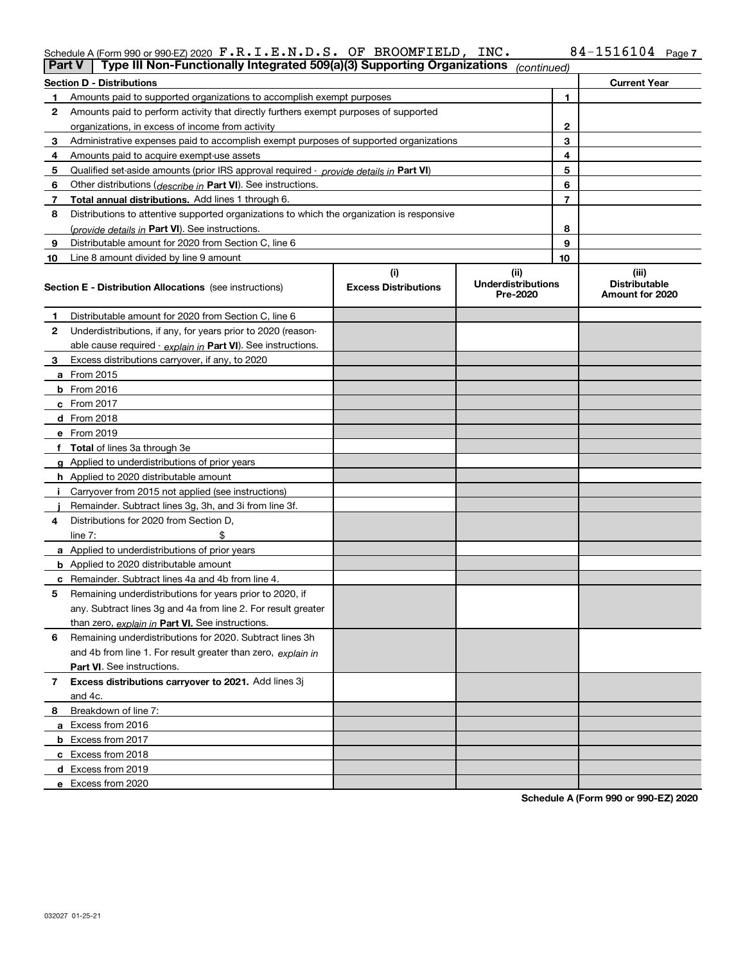#### Schedule A (Form 990 or 990-EZ) 2020  $\texttt{F} \cdot \texttt{R} \cdot \texttt{L} \cdot \texttt{E} \cdot \texttt{N} \cdot \texttt{D} \cdot \texttt{S} \cdot \texttt{OF}$  BROOMFIELD , INC  $\texttt{N} \cdot \texttt{D} \cdot \texttt{S} \cdot \texttt{D} \cdot \texttt{B}$ F.R.I.E.N.D.S. OF BROOMFIELD, INC. 84-1516104

|    | Type III Non-Functionally Integrated 509(a)(3) Supporting Organizations<br><b>Part V</b><br>(continued) |                             |                                       |              |                                         |  |  |  |
|----|---------------------------------------------------------------------------------------------------------|-----------------------------|---------------------------------------|--------------|-----------------------------------------|--|--|--|
|    | <b>Section D - Distributions</b>                                                                        |                             |                                       |              | <b>Current Year</b>                     |  |  |  |
| 1  | Amounts paid to supported organizations to accomplish exempt purposes                                   |                             |                                       | 1            |                                         |  |  |  |
| 2  | Amounts paid to perform activity that directly furthers exempt purposes of supported                    |                             |                                       |              |                                         |  |  |  |
|    | organizations, in excess of income from activity                                                        |                             |                                       | $\mathbf{2}$ |                                         |  |  |  |
| 3  | Administrative expenses paid to accomplish exempt purposes of supported organizations                   |                             |                                       | 3            |                                         |  |  |  |
| 4  | Amounts paid to acquire exempt-use assets                                                               |                             | 4                                     |              |                                         |  |  |  |
| 5  | Qualified set-aside amounts (prior IRS approval required - provide details in Part VI)                  |                             |                                       | 5            |                                         |  |  |  |
| 6  | Other distributions ( <i>describe in</i> Part VI). See instructions.                                    |                             |                                       | 6            |                                         |  |  |  |
| 7  | Total annual distributions. Add lines 1 through 6.                                                      |                             |                                       | 7            |                                         |  |  |  |
| 8  | Distributions to attentive supported organizations to which the organization is responsive              |                             |                                       |              |                                         |  |  |  |
|    | (provide details in Part VI). See instructions.                                                         |                             |                                       | 8            |                                         |  |  |  |
| 9  | Distributable amount for 2020 from Section C, line 6                                                    |                             |                                       | 9            |                                         |  |  |  |
| 10 | Line 8 amount divided by line 9 amount                                                                  |                             |                                       | 10           |                                         |  |  |  |
|    |                                                                                                         | (i)                         | (ii)                                  |              | (iii)                                   |  |  |  |
|    | Section E - Distribution Allocations (see instructions)                                                 | <b>Excess Distributions</b> | <b>Underdistributions</b><br>Pre-2020 |              | <b>Distributable</b><br>Amount for 2020 |  |  |  |
| 1  | Distributable amount for 2020 from Section C, line 6                                                    |                             |                                       |              |                                         |  |  |  |
| 2  | Underdistributions, if any, for years prior to 2020 (reason-                                            |                             |                                       |              |                                         |  |  |  |
|    | able cause required - explain in Part VI). See instructions.                                            |                             |                                       |              |                                         |  |  |  |
| 3  | Excess distributions carryover, if any, to 2020                                                         |                             |                                       |              |                                         |  |  |  |
|    | <b>a</b> From 2015                                                                                      |                             |                                       |              |                                         |  |  |  |
|    | <b>b</b> From 2016                                                                                      |                             |                                       |              |                                         |  |  |  |
|    | c From 2017                                                                                             |                             |                                       |              |                                         |  |  |  |
|    | <b>d</b> From 2018                                                                                      |                             |                                       |              |                                         |  |  |  |
|    | e From 2019                                                                                             |                             |                                       |              |                                         |  |  |  |
|    | f Total of lines 3a through 3e                                                                          |                             |                                       |              |                                         |  |  |  |
|    | g Applied to underdistributions of prior years                                                          |                             |                                       |              |                                         |  |  |  |
|    | <b>h</b> Applied to 2020 distributable amount                                                           |                             |                                       |              |                                         |  |  |  |
|    | Carryover from 2015 not applied (see instructions)                                                      |                             |                                       |              |                                         |  |  |  |
|    | Remainder. Subtract lines 3g, 3h, and 3i from line 3f.                                                  |                             |                                       |              |                                         |  |  |  |
| 4  | Distributions for 2020 from Section D,                                                                  |                             |                                       |              |                                         |  |  |  |
|    | line $7:$                                                                                               |                             |                                       |              |                                         |  |  |  |
|    | a Applied to underdistributions of prior years                                                          |                             |                                       |              |                                         |  |  |  |
|    | <b>b</b> Applied to 2020 distributable amount                                                           |                             |                                       |              |                                         |  |  |  |
|    | c Remainder. Subtract lines 4a and 4b from line 4.                                                      |                             |                                       |              |                                         |  |  |  |
| 5  | Remaining underdistributions for years prior to 2020, if                                                |                             |                                       |              |                                         |  |  |  |
|    | any. Subtract lines 3g and 4a from line 2. For result greater                                           |                             |                                       |              |                                         |  |  |  |
|    | than zero, explain in Part VI. See instructions.                                                        |                             |                                       |              |                                         |  |  |  |
| 6  | Remaining underdistributions for 2020. Subtract lines 3h                                                |                             |                                       |              |                                         |  |  |  |
|    | and 4b from line 1. For result greater than zero, explain in                                            |                             |                                       |              |                                         |  |  |  |
|    | Part VI. See instructions.                                                                              |                             |                                       |              |                                         |  |  |  |
| 7  | Excess distributions carryover to 2021. Add lines 3j                                                    |                             |                                       |              |                                         |  |  |  |
|    | and 4c.                                                                                                 |                             |                                       |              |                                         |  |  |  |
| 8  | Breakdown of line 7:                                                                                    |                             |                                       |              |                                         |  |  |  |
|    | a Excess from 2016                                                                                      |                             |                                       |              |                                         |  |  |  |
|    | <b>b</b> Excess from 2017                                                                               |                             |                                       |              |                                         |  |  |  |
|    | c Excess from 2018                                                                                      |                             |                                       |              |                                         |  |  |  |
|    | d Excess from 2019                                                                                      |                             |                                       |              |                                         |  |  |  |
|    | e Excess from 2020                                                                                      |                             |                                       |              |                                         |  |  |  |

**Schedule A (Form 990 or 990-EZ) 2020**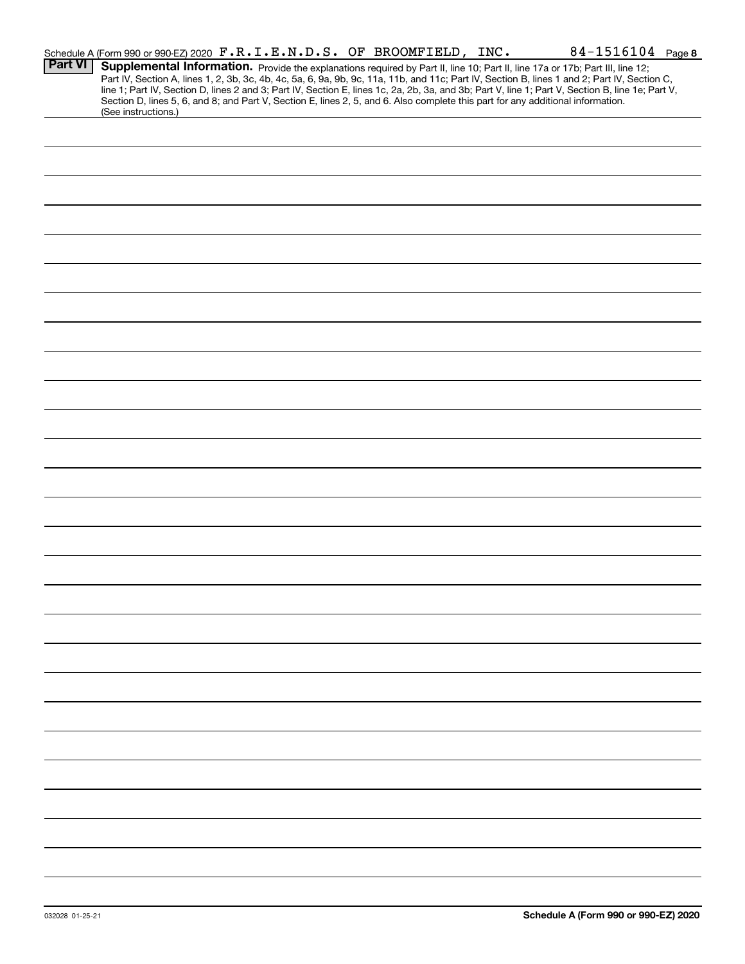|                | Schedule A (Form 990 or 990-EZ) 2020 F.R.I.E.N.D.S. OF BROOMFIELD, INC.                                                                                                                                                                                                                                                                                                                                                                                                                                                                                                                     |  | 84-1516104 Page 8 |
|----------------|---------------------------------------------------------------------------------------------------------------------------------------------------------------------------------------------------------------------------------------------------------------------------------------------------------------------------------------------------------------------------------------------------------------------------------------------------------------------------------------------------------------------------------------------------------------------------------------------|--|-------------------|
| <b>Part VI</b> | Supplemental Information. Provide the explanations required by Part II, line 10; Part II, line 17a or 17b; Part III, line 12;<br>Part IV, Section A, lines 1, 2, 3b, 3c, 4b, 4c, 5a, 6, 9a, 9b, 9c, 11a, 11b, and 11c; Part IV, Section B, lines 1 and 2; Part IV, Section C,<br>line 1; Part IV, Section D, lines 2 and 3; Part IV, Section E, lines 1c, 2a, 2b, 3a, and 3b; Part V, line 1; Part V, Section B, line 1e; Part V,<br>Section D, lines 5, 6, and 8; and Part V, Section E, lines 2, 5, and 6. Also complete this part for any additional information.<br>(See instructions.) |  |                   |
|                |                                                                                                                                                                                                                                                                                                                                                                                                                                                                                                                                                                                             |  |                   |
|                |                                                                                                                                                                                                                                                                                                                                                                                                                                                                                                                                                                                             |  |                   |
|                |                                                                                                                                                                                                                                                                                                                                                                                                                                                                                                                                                                                             |  |                   |
|                |                                                                                                                                                                                                                                                                                                                                                                                                                                                                                                                                                                                             |  |                   |
|                |                                                                                                                                                                                                                                                                                                                                                                                                                                                                                                                                                                                             |  |                   |
|                |                                                                                                                                                                                                                                                                                                                                                                                                                                                                                                                                                                                             |  |                   |
|                |                                                                                                                                                                                                                                                                                                                                                                                                                                                                                                                                                                                             |  |                   |
|                |                                                                                                                                                                                                                                                                                                                                                                                                                                                                                                                                                                                             |  |                   |
|                |                                                                                                                                                                                                                                                                                                                                                                                                                                                                                                                                                                                             |  |                   |
|                |                                                                                                                                                                                                                                                                                                                                                                                                                                                                                                                                                                                             |  |                   |
|                |                                                                                                                                                                                                                                                                                                                                                                                                                                                                                                                                                                                             |  |                   |
|                |                                                                                                                                                                                                                                                                                                                                                                                                                                                                                                                                                                                             |  |                   |
|                |                                                                                                                                                                                                                                                                                                                                                                                                                                                                                                                                                                                             |  |                   |
|                |                                                                                                                                                                                                                                                                                                                                                                                                                                                                                                                                                                                             |  |                   |
|                |                                                                                                                                                                                                                                                                                                                                                                                                                                                                                                                                                                                             |  |                   |
|                |                                                                                                                                                                                                                                                                                                                                                                                                                                                                                                                                                                                             |  |                   |
|                |                                                                                                                                                                                                                                                                                                                                                                                                                                                                                                                                                                                             |  |                   |
|                |                                                                                                                                                                                                                                                                                                                                                                                                                                                                                                                                                                                             |  |                   |
|                |                                                                                                                                                                                                                                                                                                                                                                                                                                                                                                                                                                                             |  |                   |
|                |                                                                                                                                                                                                                                                                                                                                                                                                                                                                                                                                                                                             |  |                   |
|                |                                                                                                                                                                                                                                                                                                                                                                                                                                                                                                                                                                                             |  |                   |
|                |                                                                                                                                                                                                                                                                                                                                                                                                                                                                                                                                                                                             |  |                   |
|                |                                                                                                                                                                                                                                                                                                                                                                                                                                                                                                                                                                                             |  |                   |
|                |                                                                                                                                                                                                                                                                                                                                                                                                                                                                                                                                                                                             |  |                   |
|                |                                                                                                                                                                                                                                                                                                                                                                                                                                                                                                                                                                                             |  |                   |
|                |                                                                                                                                                                                                                                                                                                                                                                                                                                                                                                                                                                                             |  |                   |
|                |                                                                                                                                                                                                                                                                                                                                                                                                                                                                                                                                                                                             |  |                   |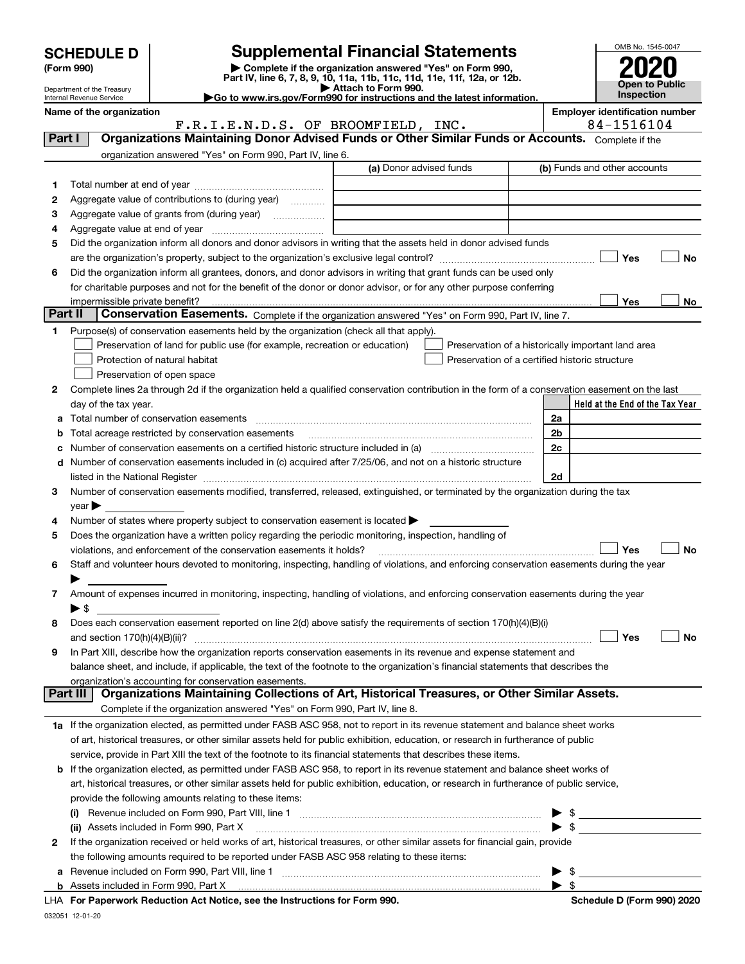|              | <b>SCHEDULE D</b>                         | <b>Supplemental Financial Statements</b>                                                                                                                                     |                         |                                                    |     | OMB No. 1545-0047                                   |    |
|--------------|-------------------------------------------|------------------------------------------------------------------------------------------------------------------------------------------------------------------------------|-------------------------|----------------------------------------------------|-----|-----------------------------------------------------|----|
|              | (Form 990)                                | Complete if the organization answered "Yes" on Form 990.                                                                                                                     |                         |                                                    |     |                                                     |    |
|              | Department of the Treasury                | Part IV, line 6, 7, 8, 9, 10, 11a, 11b, 11c, 11d, 11e, 11f, 12a, or 12b.<br>Attach to Form 990.                                                                              |                         |                                                    |     | Open to Public                                      |    |
|              | Internal Revenue Service                  | Go to www.irs.gov/Form990 for instructions and the latest information.                                                                                                       |                         |                                                    |     | <b>Inspection</b>                                   |    |
|              | Name of the organization                  | F.R.I.E.N.D.S. OF BROOMFIELD, INC.                                                                                                                                           |                         |                                                    |     | <b>Employer identification number</b><br>84-1516104 |    |
|              | Part I                                    | Organizations Maintaining Donor Advised Funds or Other Similar Funds or Accounts. Complete if the                                                                            |                         |                                                    |     |                                                     |    |
|              |                                           | organization answered "Yes" on Form 990, Part IV, line 6.                                                                                                                    |                         |                                                    |     |                                                     |    |
|              |                                           |                                                                                                                                                                              | (a) Donor advised funds |                                                    |     | (b) Funds and other accounts                        |    |
| 1            |                                           |                                                                                                                                                                              |                         |                                                    |     |                                                     |    |
| 2            |                                           | Aggregate value of contributions to (during year)                                                                                                                            |                         |                                                    |     |                                                     |    |
| з            |                                           |                                                                                                                                                                              |                         |                                                    |     |                                                     |    |
| 4            |                                           |                                                                                                                                                                              |                         |                                                    |     |                                                     |    |
| 5            |                                           | Did the organization inform all donors and donor advisors in writing that the assets held in donor advised funds                                                             |                         |                                                    |     |                                                     |    |
|              |                                           |                                                                                                                                                                              |                         |                                                    |     | Yes                                                 | No |
| 6            |                                           | Did the organization inform all grantees, donors, and donor advisors in writing that grant funds can be used only                                                            |                         |                                                    |     |                                                     |    |
|              |                                           | for charitable purposes and not for the benefit of the donor or donor advisor, or for any other purpose conferring                                                           |                         |                                                    |     |                                                     |    |
|              | impermissible private benefit?<br>Part II |                                                                                                                                                                              |                         |                                                    |     | Yes                                                 | No |
|              |                                           | Conservation Easements. Complete if the organization answered "Yes" on Form 990, Part IV, line 7.                                                                            |                         |                                                    |     |                                                     |    |
| 1.           |                                           | Purpose(s) of conservation easements held by the organization (check all that apply).                                                                                        |                         |                                                    |     |                                                     |    |
|              |                                           | Preservation of land for public use (for example, recreation or education)                                                                                                   |                         | Preservation of a historically important land area |     |                                                     |    |
|              |                                           | Protection of natural habitat                                                                                                                                                |                         | Preservation of a certified historic structure     |     |                                                     |    |
| $\mathbf{2}$ |                                           | Preservation of open space<br>Complete lines 2a through 2d if the organization held a qualified conservation contribution in the form of a conservation easement on the last |                         |                                                    |     |                                                     |    |
|              | day of the tax year.                      |                                                                                                                                                                              |                         |                                                    |     | Held at the End of the Tax Year                     |    |
|              |                                           |                                                                                                                                                                              |                         |                                                    | 2a  |                                                     |    |
| b            |                                           | Total acreage restricted by conservation easements                                                                                                                           |                         |                                                    | 2b  |                                                     |    |
|              |                                           |                                                                                                                                                                              |                         |                                                    | 2c  |                                                     |    |
| d            |                                           | Number of conservation easements included in (c) acquired after 7/25/06, and not on a historic structure                                                                     |                         |                                                    |     |                                                     |    |
|              |                                           |                                                                                                                                                                              |                         |                                                    | 2d  |                                                     |    |
| З.           |                                           | Number of conservation easements modified, transferred, released, extinguished, or terminated by the organization during the tax                                             |                         |                                                    |     |                                                     |    |
|              | year                                      |                                                                                                                                                                              |                         |                                                    |     |                                                     |    |
| 4            |                                           | Number of states where property subject to conservation easement is located                                                                                                  |                         |                                                    |     |                                                     |    |
| 5            |                                           | Does the organization have a written policy regarding the periodic monitoring, inspection, handling of                                                                       |                         |                                                    |     |                                                     |    |
|              |                                           | violations, and enforcement of the conservation easements it holds?                                                                                                          |                         |                                                    |     | Yes                                                 | No |
| 6            |                                           | Staff and volunteer hours devoted to monitoring, inspecting, handling of violations, and enforcing conservation easements during the year                                    |                         |                                                    |     |                                                     |    |
|              |                                           |                                                                                                                                                                              |                         |                                                    |     |                                                     |    |
| 7            |                                           | Amount of expenses incurred in monitoring, inspecting, handling of violations, and enforcing conservation easements during the year                                          |                         |                                                    |     |                                                     |    |
| 8            | $\blacktriangleright$ \$                  | Does each conservation easement reported on line 2(d) above satisfy the requirements of section 170(h)(4)(B)(i)                                                              |                         |                                                    |     |                                                     |    |
|              |                                           |                                                                                                                                                                              |                         |                                                    |     | Yes                                                 | No |
| 9            |                                           | In Part XIII, describe how the organization reports conservation easements in its revenue and expense statement and                                                          |                         |                                                    |     |                                                     |    |
|              |                                           | balance sheet, and include, if applicable, the text of the footnote to the organization's financial statements that describes the                                            |                         |                                                    |     |                                                     |    |
|              |                                           | organization's accounting for conservation easements.                                                                                                                        |                         |                                                    |     |                                                     |    |
|              | Part III                                  | Organizations Maintaining Collections of Art, Historical Treasures, or Other Similar Assets.                                                                                 |                         |                                                    |     |                                                     |    |
|              |                                           | Complete if the organization answered "Yes" on Form 990, Part IV, line 8.                                                                                                    |                         |                                                    |     |                                                     |    |
|              |                                           | 1a If the organization elected, as permitted under FASB ASC 958, not to report in its revenue statement and balance sheet works                                              |                         |                                                    |     |                                                     |    |
|              |                                           | of art, historical treasures, or other similar assets held for public exhibition, education, or research in furtherance of public                                            |                         |                                                    |     |                                                     |    |
|              |                                           | service, provide in Part XIII the text of the footnote to its financial statements that describes these items.                                                               |                         |                                                    |     |                                                     |    |
| b            |                                           | If the organization elected, as permitted under FASB ASC 958, to report in its revenue statement and balance sheet works of                                                  |                         |                                                    |     |                                                     |    |
|              |                                           | art, historical treasures, or other similar assets held for public exhibition, education, or research in furtherance of public service,                                      |                         |                                                    |     |                                                     |    |
|              |                                           | provide the following amounts relating to these items:                                                                                                                       |                         |                                                    |     |                                                     |    |
|              |                                           |                                                                                                                                                                              |                         |                                                    |     | $\frac{1}{2}$                                       |    |
|              |                                           | (ii) Assets included in Form 990, Part X                                                                                                                                     |                         |                                                    |     |                                                     |    |
| 2            |                                           | If the organization received or held works of art, historical treasures, or other similar assets for financial gain, provide                                                 |                         |                                                    |     |                                                     |    |
|              |                                           | the following amounts required to be reported under FASB ASC 958 relating to these items:                                                                                    |                         |                                                    | -\$ |                                                     |    |
|              |                                           |                                                                                                                                                                              |                         |                                                    |     |                                                     |    |

| Assets included in Form 990. Part Y |  |
|-------------------------------------|--|

**For Paperwork Reduction Act Notice, see the Instructions for Form 990. Schedule D (Form 990) 2020** LHA

 $\blacktriangleright$  \$

032051 12-01-20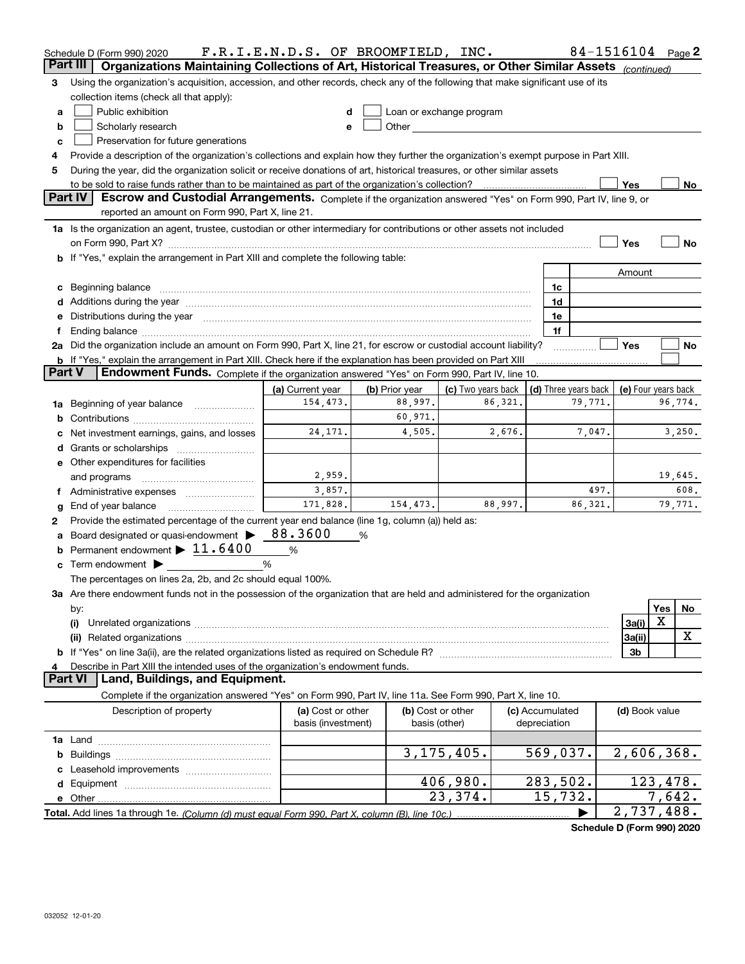|                 | Schedule D (Form 990) 2020                                                                                                                                                                                                     | F.R.I.E.N.D.S. OF BROOMFIELD, INC.      |                |                                    |         |                                 |         | 84-1516104          |        | Page 2  |
|-----------------|--------------------------------------------------------------------------------------------------------------------------------------------------------------------------------------------------------------------------------|-----------------------------------------|----------------|------------------------------------|---------|---------------------------------|---------|---------------------|--------|---------|
| <b>Part III</b> | Organizations Maintaining Collections of Art, Historical Treasures, or Other Similar Assets (continued)                                                                                                                        |                                         |                |                                    |         |                                 |         |                     |        |         |
| 3               | Using the organization's acquisition, accession, and other records, check any of the following that make significant use of its                                                                                                |                                         |                |                                    |         |                                 |         |                     |        |         |
|                 | collection items (check all that apply):                                                                                                                                                                                       |                                         |                |                                    |         |                                 |         |                     |        |         |
| a               | Public exhibition                                                                                                                                                                                                              | d                                       |                | Loan or exchange program           |         |                                 |         |                     |        |         |
| b               | Scholarly research                                                                                                                                                                                                             | e                                       |                |                                    |         |                                 |         |                     |        |         |
| c               | Preservation for future generations                                                                                                                                                                                            |                                         |                |                                    |         |                                 |         |                     |        |         |
| 4               | Provide a description of the organization's collections and explain how they further the organization's exempt purpose in Part XIII.                                                                                           |                                         |                |                                    |         |                                 |         |                     |        |         |
| 5               | During the year, did the organization solicit or receive donations of art, historical treasures, or other similar assets                                                                                                       |                                         |                |                                    |         |                                 |         |                     |        |         |
|                 |                                                                                                                                                                                                                                |                                         |                |                                    |         |                                 |         | Yes                 |        | No      |
|                 | Part IV<br>Escrow and Custodial Arrangements. Complete if the organization answered "Yes" on Form 990, Part IV, line 9, or                                                                                                     |                                         |                |                                    |         |                                 |         |                     |        |         |
|                 | reported an amount on Form 990, Part X, line 21.                                                                                                                                                                               |                                         |                |                                    |         |                                 |         |                     |        |         |
|                 | 1a Is the organization an agent, trustee, custodian or other intermediary for contributions or other assets not included                                                                                                       |                                         |                |                                    |         |                                 |         |                     |        |         |
|                 |                                                                                                                                                                                                                                |                                         |                |                                    |         |                                 |         | Yes                 |        | No      |
|                 | b If "Yes," explain the arrangement in Part XIII and complete the following table:                                                                                                                                             |                                         |                |                                    |         |                                 |         |                     |        |         |
|                 |                                                                                                                                                                                                                                |                                         |                |                                    |         |                                 |         | Amount              |        |         |
| c               | Beginning balance <b>contract to the contract of the contract of the contract of the contract of the contract of t</b>                                                                                                         |                                         |                |                                    |         | 1c                              |         |                     |        |         |
|                 |                                                                                                                                                                                                                                |                                         |                |                                    |         | 1d                              |         |                     |        |         |
|                 | Distributions during the year measurements are all the set of the set of the set of the set of the set of the set of the set of the set of the set of the set of the set of the set of the set of the set of the set of the se |                                         |                |                                    |         | 1e                              |         |                     |        |         |
|                 | Ending balance manufactured and a series of the contractor of the contractor of the contractor of the contractor of the contractor of the contractor of the contractor of the contractor of the contractor of the contractor o |                                         |                |                                    |         | 1f                              |         |                     |        |         |
|                 | 2a Did the organization include an amount on Form 990, Part X, line 21, for escrow or custodial account liability?                                                                                                             |                                         |                |                                    |         |                                 |         | Yes                 |        | No      |
|                 | <b>b</b> If "Yes," explain the arrangement in Part XIII. Check here if the explanation has been provided on Part XIII                                                                                                          |                                         |                |                                    |         |                                 |         |                     |        |         |
| <b>Part V</b>   | Endowment Funds. Complete if the organization answered "Yes" on Form 990, Part IV, line 10.                                                                                                                                    |                                         |                |                                    |         |                                 |         |                     |        |         |
|                 |                                                                                                                                                                                                                                | (a) Current year                        | (b) Prior year | (c) Two years back                 |         | (d) Three years back            |         | (e) Four years back |        |         |
|                 | 1a Beginning of year balance                                                                                                                                                                                                   | 154,473.                                | 88,997.        |                                    | 86,321. |                                 | 79,771. |                     |        | 96,774. |
|                 |                                                                                                                                                                                                                                |                                         | 60,971.        |                                    |         |                                 |         |                     |        |         |
|                 | Net investment earnings, gains, and losses                                                                                                                                                                                     | 24, 171.                                | 4,505.         |                                    | 2,676.  |                                 | 7,047.  |                     |        | 3,250.  |
| d               |                                                                                                                                                                                                                                |                                         |                |                                    |         |                                 |         |                     |        |         |
|                 | <b>e</b> Other expenditures for facilities                                                                                                                                                                                     |                                         |                |                                    |         |                                 |         |                     |        |         |
|                 | and programs                                                                                                                                                                                                                   | 2,959.                                  |                |                                    |         |                                 |         |                     |        | 19,645. |
| Ť.              | Administrative expenses                                                                                                                                                                                                        | 3,857.                                  |                |                                    |         |                                 | 497.    |                     |        | 608.    |
| g               | End of year balance                                                                                                                                                                                                            | 171,828.                                | 154,473.       |                                    | 88,997. |                                 | 86,321. |                     |        | 79,771. |
| 2               | Provide the estimated percentage of the current year end balance (line 1g, column (a)) held as:                                                                                                                                |                                         |                |                                    |         |                                 |         |                     |        |         |
|                 | Board designated or quasi-endowment >                                                                                                                                                                                          | 88.3600                                 | %              |                                    |         |                                 |         |                     |        |         |
| b               | Permanent endowment $\blacktriangleright$ 11.6400                                                                                                                                                                              | %                                       |                |                                    |         |                                 |         |                     |        |         |
|                 | Term endowment $\blacktriangleright$                                                                                                                                                                                           | %                                       |                |                                    |         |                                 |         |                     |        |         |
|                 | The percentages on lines 2a, 2b, and 2c should equal 100%.                                                                                                                                                                     |                                         |                |                                    |         |                                 |         |                     |        |         |
|                 | 3a Are there endowment funds not in the possession of the organization that are held and administered for the organization                                                                                                     |                                         |                |                                    |         |                                 |         |                     |        |         |
|                 | by:                                                                                                                                                                                                                            |                                         |                |                                    |         |                                 |         |                     | Yes    | No      |
|                 | (i)                                                                                                                                                                                                                            |                                         |                |                                    |         |                                 |         | 3a(i)               | X      |         |
|                 | (ii)                                                                                                                                                                                                                           |                                         |                |                                    |         |                                 |         | 3a(ii)              |        | X       |
|                 |                                                                                                                                                                                                                                |                                         |                |                                    |         |                                 |         | 3b                  |        |         |
| 4               | Describe in Part XIII the intended uses of the organization's endowment funds.                                                                                                                                                 |                                         |                |                                    |         |                                 |         |                     |        |         |
| <b>Part VI</b>  | Land, Buildings, and Equipment.                                                                                                                                                                                                |                                         |                |                                    |         |                                 |         |                     |        |         |
|                 | Complete if the organization answered "Yes" on Form 990, Part IV, line 11a. See Form 990, Part X, line 10.                                                                                                                     |                                         |                |                                    |         |                                 |         |                     |        |         |
|                 | Description of property                                                                                                                                                                                                        | (a) Cost or other<br>basis (investment) |                | (b) Cost or other<br>basis (other) |         | (c) Accumulated<br>depreciation |         | (d) Book value      |        |         |
|                 |                                                                                                                                                                                                                                |                                         |                |                                    |         |                                 |         |                     |        |         |
|                 |                                                                                                                                                                                                                                |                                         |                | 3, 175, 405.                       |         | 569,037.                        |         | 2,606,368.          |        |         |
|                 |                                                                                                                                                                                                                                |                                         |                |                                    |         |                                 |         |                     |        |         |
|                 |                                                                                                                                                                                                                                |                                         |                | 406,980.                           |         | 283,502.                        |         | 123,478.            |        |         |
| е               |                                                                                                                                                                                                                                |                                         |                | 23,374.                            |         | 15,732.                         |         |                     | 7,642. |         |
|                 |                                                                                                                                                                                                                                |                                         |                |                                    |         |                                 |         | 2,737,488.          |        |         |
|                 |                                                                                                                                                                                                                                |                                         |                |                                    |         |                                 |         |                     |        |         |

**Schedule D (Form 990) 2020**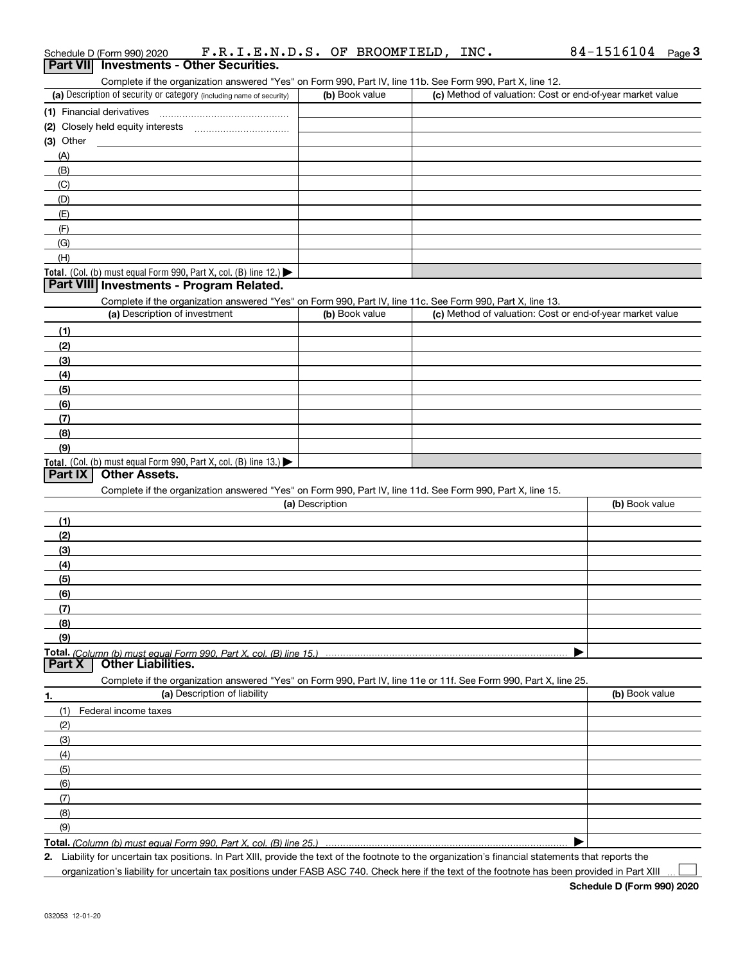|                 | Schedule D (Form 990) 2020                                                                                                                  | F.R.I.E.N.D.S. OF BROOMFIELD, INC. |                                                           | $84 - 1516104$ Page 3 |
|-----------------|---------------------------------------------------------------------------------------------------------------------------------------------|------------------------------------|-----------------------------------------------------------|-----------------------|
| <b>Part VII</b> | <b>Investments - Other Securities.</b>                                                                                                      |                                    |                                                           |                       |
|                 | Complete if the organization answered "Yes" on Form 990, Part IV, line 11b. See Form 990, Part X, line 12.                                  |                                    |                                                           |                       |
|                 | (a) Description of security or category (including name of security)                                                                        | (b) Book value                     | (c) Method of valuation: Cost or end-of-year market value |                       |
|                 | (1) Financial derivatives                                                                                                                   |                                    |                                                           |                       |
|                 |                                                                                                                                             |                                    |                                                           |                       |
| (3) Other       |                                                                                                                                             |                                    |                                                           |                       |
| (A)             |                                                                                                                                             |                                    |                                                           |                       |
| (B)             |                                                                                                                                             |                                    |                                                           |                       |
| (C)             |                                                                                                                                             |                                    |                                                           |                       |
| (D)             |                                                                                                                                             |                                    |                                                           |                       |
| (E)             |                                                                                                                                             |                                    |                                                           |                       |
| (F)             |                                                                                                                                             |                                    |                                                           |                       |
| (G)             |                                                                                                                                             |                                    |                                                           |                       |
| (H)             |                                                                                                                                             |                                    |                                                           |                       |
|                 | Total. (Col. (b) must equal Form 990, Part X, col. (B) line 12.)<br>Part VIII Investments - Program Related.                                |                                    |                                                           |                       |
|                 |                                                                                                                                             |                                    |                                                           |                       |
|                 | Complete if the organization answered "Yes" on Form 990, Part IV, line 11c. See Form 990, Part X, line 13.<br>(a) Description of investment | (b) Book value                     | (c) Method of valuation: Cost or end-of-year market value |                       |
| (1)             |                                                                                                                                             |                                    |                                                           |                       |
| (2)             |                                                                                                                                             |                                    |                                                           |                       |
| (3)             |                                                                                                                                             |                                    |                                                           |                       |
| (4)             |                                                                                                                                             |                                    |                                                           |                       |
| (5)             |                                                                                                                                             |                                    |                                                           |                       |
| (6)             |                                                                                                                                             |                                    |                                                           |                       |
| (7)             |                                                                                                                                             |                                    |                                                           |                       |
| (8)             |                                                                                                                                             |                                    |                                                           |                       |
| (9)             |                                                                                                                                             |                                    |                                                           |                       |
|                 | Total. (Col. (b) must equal Form 990, Part X, col. (B) line 13.)                                                                            |                                    |                                                           |                       |
| Part IX         | <b>Other Assets.</b>                                                                                                                        |                                    |                                                           |                       |
|                 | Complete if the organization answered "Yes" on Form 990, Part IV, line 11d. See Form 990, Part X, line 15.                                  |                                    |                                                           |                       |
|                 |                                                                                                                                             | (a) Description                    |                                                           | (b) Book value        |
| (1)             |                                                                                                                                             |                                    |                                                           |                       |
| (2)             |                                                                                                                                             |                                    |                                                           |                       |
| (3)             |                                                                                                                                             |                                    |                                                           |                       |
| (4)             |                                                                                                                                             |                                    |                                                           |                       |
| (5)             |                                                                                                                                             |                                    |                                                           |                       |
| (6)             |                                                                                                                                             |                                    |                                                           |                       |
| (7)             |                                                                                                                                             |                                    |                                                           |                       |
| (8)             |                                                                                                                                             |                                    |                                                           |                       |
| (9)             |                                                                                                                                             |                                    |                                                           |                       |
|                 | Total. (Column (b) must equal Form 990. Part X, col. (B) line 15.)                                                                          |                                    |                                                           |                       |
| Part X          | <b>Other Liabilities.</b>                                                                                                                   |                                    |                                                           |                       |
|                 | Complete if the organization answered "Yes" on Form 990, Part IV, line 11e or 11f. See Form 990, Part X, line 25.                           |                                    |                                                           |                       |
| 1.              | (a) Description of liability                                                                                                                |                                    |                                                           | (b) Book value        |
| (1)             | Federal income taxes                                                                                                                        |                                    |                                                           |                       |
| (2)             |                                                                                                                                             |                                    |                                                           |                       |
| (3)             |                                                                                                                                             |                                    |                                                           |                       |
| (4)             |                                                                                                                                             |                                    |                                                           |                       |
| (5)             |                                                                                                                                             |                                    |                                                           |                       |
| (6)             |                                                                                                                                             |                                    |                                                           |                       |
| (7)             |                                                                                                                                             |                                    |                                                           |                       |
| (8)             |                                                                                                                                             |                                    |                                                           |                       |
| (9)             |                                                                                                                                             |                                    |                                                           |                       |
|                 | Total. (Column (b) must equal Form 990, Part X, col. (B) line 25.)                                                                          |                                    |                                                           |                       |

**2.** Liability for uncertain tax positions. In Part XIII, provide the text of the footnote to the organization's financial statements that reports the organization's liability for uncertain tax positions under FASB ASC 740. Check here if the text of the footnote has been provided in Part XIII

 $\mathcal{L}^{\text{max}}$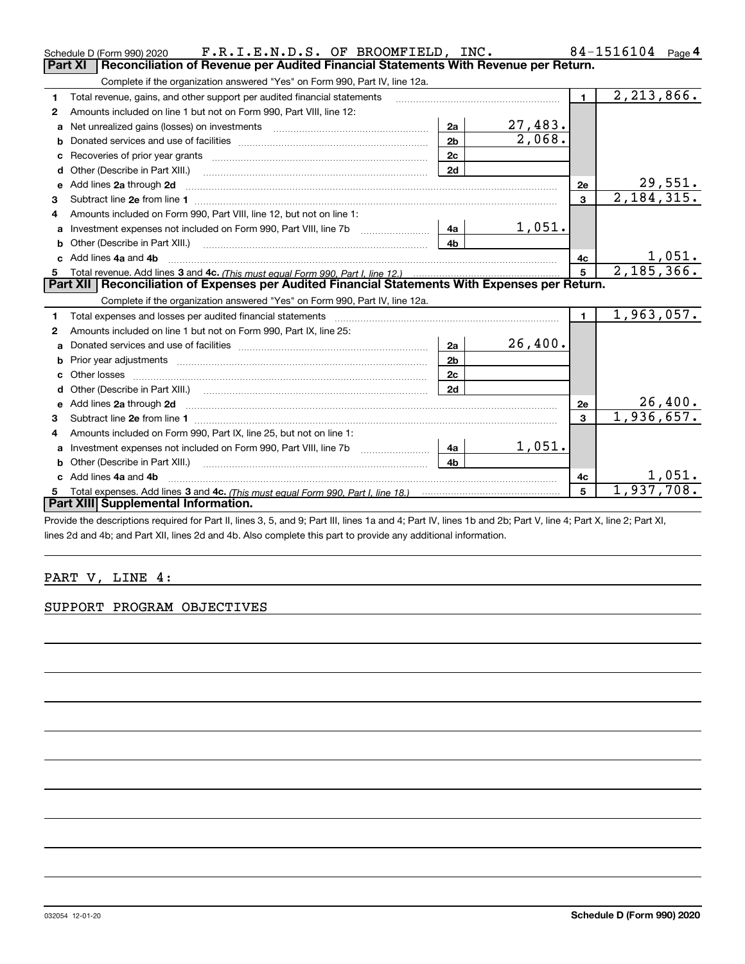|   | F.R.I.E.N.D.S. OF BROOMFIELD, INC.<br>Schedule D (Form 990) 2020                                                                                                                                                                    |                |                             |                | 84-1516104<br>Page 4 |
|---|-------------------------------------------------------------------------------------------------------------------------------------------------------------------------------------------------------------------------------------|----------------|-----------------------------|----------------|----------------------|
|   | Part XI<br>Reconciliation of Revenue per Audited Financial Statements With Revenue per Return.                                                                                                                                      |                |                             |                |                      |
|   | Complete if the organization answered "Yes" on Form 990, Part IV, line 12a.                                                                                                                                                         |                |                             |                |                      |
| 1 | Total revenue, gains, and other support per audited financial statements                                                                                                                                                            |                |                             | $\blacksquare$ | 2, 213, 866.         |
| 2 | Amounts included on line 1 but not on Form 990, Part VIII, line 12:                                                                                                                                                                 |                |                             |                |                      |
| a | Net unrealized gains (losses) on investments [11] matter contracts and the unrealized gains (losses) on investments                                                                                                                 | 2a             | 27,483.                     |                |                      |
| b |                                                                                                                                                                                                                                     | 2 <sub>b</sub> | $\overline{2,068}$ .        |                |                      |
|   |                                                                                                                                                                                                                                     | 2c             |                             |                |                      |
| d |                                                                                                                                                                                                                                     | 2d             |                             |                |                      |
| e | Add lines 2a through 2d                                                                                                                                                                                                             |                |                             | 2е             | 29,551.              |
| 3 |                                                                                                                                                                                                                                     |                |                             | $\mathbf{3}$   | 2,184,315.           |
| 4 | Amounts included on Form 990, Part VIII, line 12, but not on line 1:                                                                                                                                                                |                |                             |                |                      |
| a | Investment expenses not included on Form 990, Part VIII, line 7b [111] [11] [12]                                                                                                                                                    | - 4a           | 1,051.                      |                |                      |
|   |                                                                                                                                                                                                                                     | 4 <sub>h</sub> |                             |                |                      |
|   | c Add lines 4a and 4b                                                                                                                                                                                                               | 4c             | $\frac{1,051}{2,185,366}$ . |                |                      |
|   |                                                                                                                                                                                                                                     |                |                             |                |                      |
|   |                                                                                                                                                                                                                                     |                |                             | 5              |                      |
|   | Part XII   Reconciliation of Expenses per Audited Financial Statements With Expenses per Return.                                                                                                                                    |                |                             |                |                      |
|   | Complete if the organization answered "Yes" on Form 990, Part IV, line 12a.                                                                                                                                                         |                |                             |                |                      |
| 1 | Total expenses and losses per audited financial statements                                                                                                                                                                          |                |                             | $\mathbf{1}$   | 1,963,057.           |
| 2 | Amounts included on line 1 but not on Form 990, Part IX, line 25:                                                                                                                                                                   |                |                             |                |                      |
| a |                                                                                                                                                                                                                                     | 2a             | 26,400.                     |                |                      |
| b |                                                                                                                                                                                                                                     | 2 <sub>b</sub> |                             |                |                      |
|   | Prior year adjustments information and continuum and contact the contract of the contract of the contract of the contract of the contract of the contract of the contract of the contract of the contract of the contract of t      | 2c             |                             |                |                      |
|   |                                                                                                                                                                                                                                     | 2d             |                             |                |                      |
| e | Add lines 2a through 2d <b>contained a contained a contained a contained a</b> contained a contact the set of the set of the set of the set of the set of the set of the set of the set of the set of the set of the set of the set |                |                             | 2e             | 26,400.              |
| 3 |                                                                                                                                                                                                                                     |                |                             | 3              | 1,936,657.           |
| 4 | Subtract line 2e from line 1 <b>manufacture in the contract of the 2e</b> from line 1<br>Amounts included on Form 990, Part IX, line 25, but not on line 1:                                                                         |                |                             |                |                      |
| a | Investment expenses not included on Form 990, Part VIII, line 7b [1000000000000000000000000000000000                                                                                                                                | 4a             | 1,051.                      |                |                      |
|   | Other (Describe in Part XIII.)                                                                                                                                                                                                      | 4 <sub>b</sub> |                             |                |                      |
|   | c Add lines 4a and 4b                                                                                                                                                                                                               |                |                             | 4с             | 1,051.               |
| 5 |                                                                                                                                                                                                                                     |                |                             | 5              | 1,937,708.           |
|   | Part XIII Supplemental Information.                                                                                                                                                                                                 |                |                             |                |                      |

Provide the descriptions required for Part II, lines 3, 5, and 9; Part III, lines 1a and 4; Part IV, lines 1b and 2b; Part V, line 4; Part X, line 2; Part XI, lines 2d and 4b; and Part XII, lines 2d and 4b. Also complete this part to provide any additional information.

## PART V, LINE 4:

### SUPPORT PROGRAM OBJECTIVES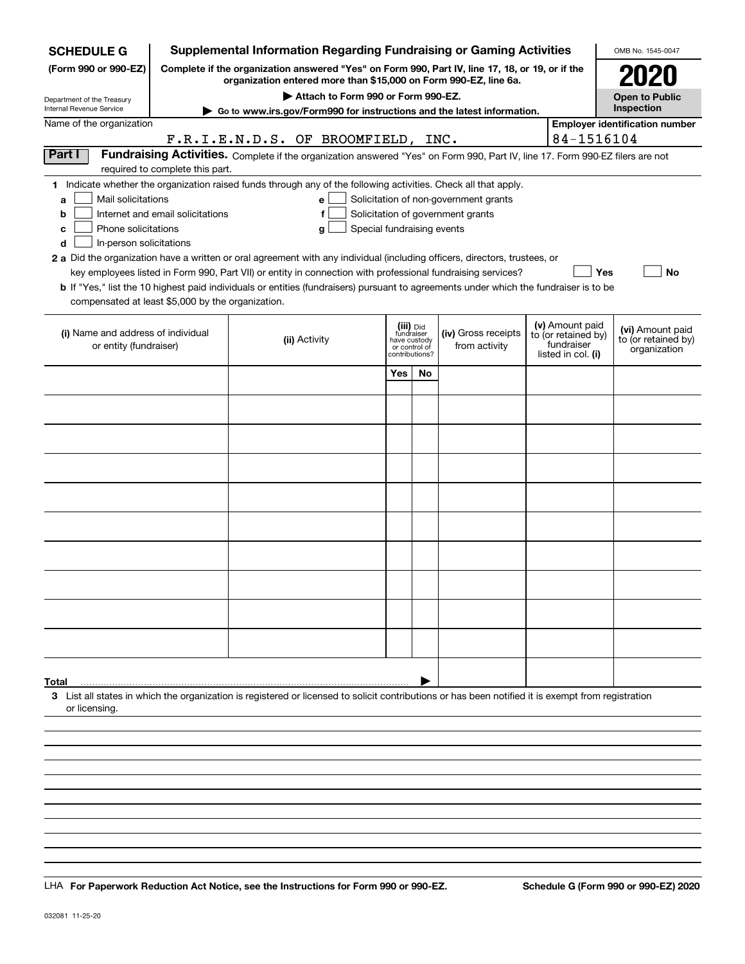| <b>SCHEDULE G</b>                                 |                                  | <b>Supplemental Information Regarding Fundraising or Gaming Activities</b>                                                                                          |     |                                                 |                                       |                                        | OMB No. 1545-0047                     |
|---------------------------------------------------|----------------------------------|---------------------------------------------------------------------------------------------------------------------------------------------------------------------|-----|-------------------------------------------------|---------------------------------------|----------------------------------------|---------------------------------------|
| (Form 990 or 990-EZ)                              |                                  | Complete if the organization answered "Yes" on Form 990, Part IV, line 17, 18, or 19, or if the<br>organization entered more than \$15,000 on Form 990-EZ, line 6a. |     |                                                 |                                       |                                        | 2020                                  |
| Department of the Treasury                        |                                  | Attach to Form 990 or Form 990-EZ.                                                                                                                                  |     |                                                 |                                       |                                        | <b>Open to Public</b>                 |
| Internal Revenue Service                          |                                  | Go to www.irs.gov/Form990 for instructions and the latest information.                                                                                              |     |                                                 |                                       |                                        | Inspection                            |
| Name of the organization                          |                                  |                                                                                                                                                                     |     |                                                 |                                       | 84-1516104                             | <b>Employer identification number</b> |
| Part I                                            |                                  | F.R.I.E.N.D.S. OF BROOMFIELD, INC.<br>Fundraising Activities. Complete if the organization answered "Yes" on Form 990, Part IV, line 17. Form 990-EZ filers are not |     |                                                 |                                       |                                        |                                       |
|                                                   | required to complete this part.  |                                                                                                                                                                     |     |                                                 |                                       |                                        |                                       |
|                                                   |                                  | 1 Indicate whether the organization raised funds through any of the following activities. Check all that apply.                                                     |     |                                                 |                                       |                                        |                                       |
| Mail solicitations<br>a                           |                                  | е                                                                                                                                                                   |     |                                                 | Solicitation of non-government grants |                                        |                                       |
| b                                                 | Internet and email solicitations | f                                                                                                                                                                   |     |                                                 | Solicitation of government grants     |                                        |                                       |
| Phone solicitations<br>с                          |                                  | Special fundraising events<br>g                                                                                                                                     |     |                                                 |                                       |                                        |                                       |
| In-person solicitations<br>d                      |                                  |                                                                                                                                                                     |     |                                                 |                                       |                                        |                                       |
|                                                   |                                  | 2 a Did the organization have a written or oral agreement with any individual (including officers, directors, trustees, or                                          |     |                                                 |                                       |                                        |                                       |
|                                                   |                                  | key employees listed in Form 990, Part VII) or entity in connection with professional fundraising services?                                                         |     |                                                 |                                       | <b>Yes</b>                             | No                                    |
| compensated at least \$5,000 by the organization. |                                  | <b>b</b> If "Yes," list the 10 highest paid individuals or entities (fundraisers) pursuant to agreements under which the fundraiser is to be                        |     |                                                 |                                       |                                        |                                       |
|                                                   |                                  |                                                                                                                                                                     |     |                                                 |                                       |                                        |                                       |
| (i) Name and address of individual                |                                  |                                                                                                                                                                     |     | (iii) Did<br>fundraiser                         | (iv) Gross receipts                   | (v) Amount paid<br>to (or retained by) | (vi) Amount paid                      |
| or entity (fundraiser)                            |                                  | (ii) Activity                                                                                                                                                       |     | have custody<br>or control of<br>contributions? | from activity                         | fundraiser                             | to (or retained by)<br>organization   |
|                                                   |                                  |                                                                                                                                                                     |     |                                                 |                                       | listed in col. (i)                     |                                       |
|                                                   |                                  |                                                                                                                                                                     | Yes | No                                              |                                       |                                        |                                       |
|                                                   |                                  |                                                                                                                                                                     |     |                                                 |                                       |                                        |                                       |
|                                                   |                                  |                                                                                                                                                                     |     |                                                 |                                       |                                        |                                       |
|                                                   |                                  |                                                                                                                                                                     |     |                                                 |                                       |                                        |                                       |
|                                                   |                                  |                                                                                                                                                                     |     |                                                 |                                       |                                        |                                       |
|                                                   |                                  |                                                                                                                                                                     |     |                                                 |                                       |                                        |                                       |
|                                                   |                                  |                                                                                                                                                                     |     |                                                 |                                       |                                        |                                       |
|                                                   |                                  |                                                                                                                                                                     |     |                                                 |                                       |                                        |                                       |
|                                                   |                                  |                                                                                                                                                                     |     |                                                 |                                       |                                        |                                       |
|                                                   |                                  |                                                                                                                                                                     |     |                                                 |                                       |                                        |                                       |
|                                                   |                                  |                                                                                                                                                                     |     |                                                 |                                       |                                        |                                       |
|                                                   |                                  |                                                                                                                                                                     |     |                                                 |                                       |                                        |                                       |
|                                                   |                                  |                                                                                                                                                                     |     |                                                 |                                       |                                        |                                       |
|                                                   |                                  |                                                                                                                                                                     |     |                                                 |                                       |                                        |                                       |
|                                                   |                                  |                                                                                                                                                                     |     |                                                 |                                       |                                        |                                       |
|                                                   |                                  |                                                                                                                                                                     |     |                                                 |                                       |                                        |                                       |
|                                                   |                                  |                                                                                                                                                                     |     |                                                 |                                       |                                        |                                       |
|                                                   |                                  |                                                                                                                                                                     |     |                                                 |                                       |                                        |                                       |
| Total                                             |                                  | 3 List all states in which the organization is registered or licensed to solicit contributions or has been notified it is exempt from registration                  |     |                                                 |                                       |                                        |                                       |
| or licensing.                                     |                                  |                                                                                                                                                                     |     |                                                 |                                       |                                        |                                       |
|                                                   |                                  |                                                                                                                                                                     |     |                                                 |                                       |                                        |                                       |
|                                                   |                                  |                                                                                                                                                                     |     |                                                 |                                       |                                        |                                       |
|                                                   |                                  |                                                                                                                                                                     |     |                                                 |                                       |                                        |                                       |
|                                                   |                                  |                                                                                                                                                                     |     |                                                 |                                       |                                        |                                       |
|                                                   |                                  |                                                                                                                                                                     |     |                                                 |                                       |                                        |                                       |

LHA For Paperwork Reduction Act Notice, see the Instructions for Form 990 or 990-EZ. Schedule G (Form 990 or 990-EZ) 2020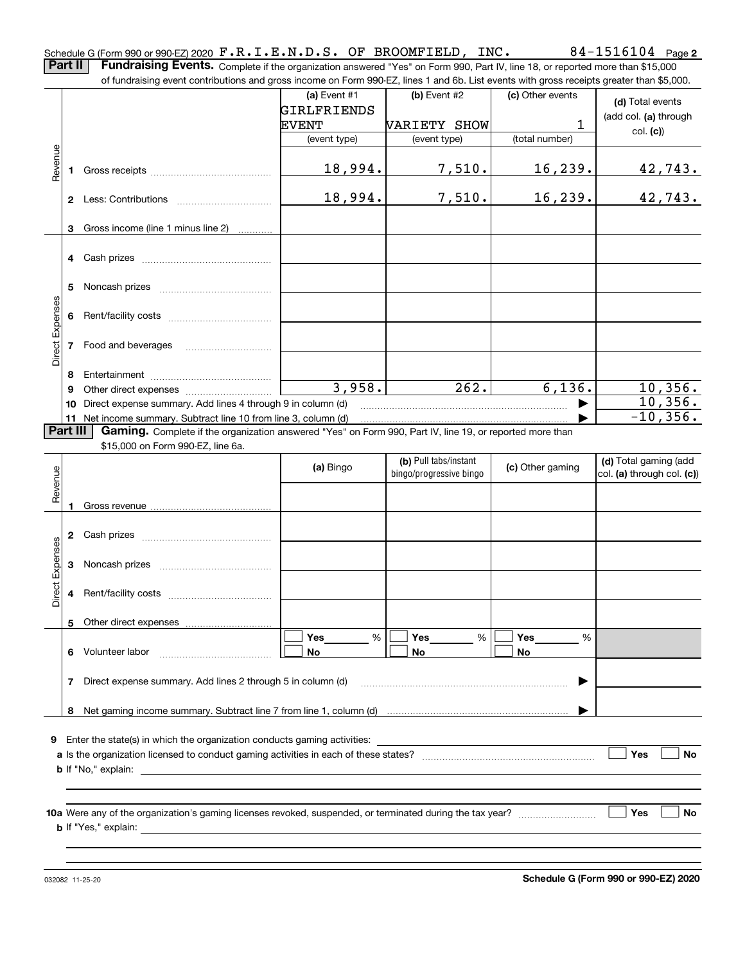84-1516104 Page 2 Schedule G (Form 990 or 990-EZ) 2020 Page F.R.I.E.N.D.S. OF BROOMFIELD, INC. 84-1516104 **Part II** | Fundraising Events. Complete if the organization answered "Yes" on Form 990, Part IV, line 18, or reported more than \$15,000

of fundraising event contributions and gross income on Form 990-EZ, lines 1 and 6b. List events with gross receipts greater than \$5,000. (c) Other events **(a)** Event #1  $\vert$  **(b)** Event #2 **(d)**  Total events GIRLFRIENDS (add col. **(a)** through EVENT VARIETY SHOW 1 col. **(c)**) (event type) (event type) (total number) Revenue Revenue 18,994. 7,510. 16,239. 42,743. **1**Gross receipts ~~~~~~~~~~~~~~18,994. 7,510. 16,239. 42,743. **2** Less: Contributions ................................ **3**Gross income (line 1 minus line 2) . . . . . . . . . . . . **4** Cash prizes <sub>……………………………………</sub> **5** Noncash prizes \_\_\_\_\_\_\_\_\_\_\_\_\_\_\_\_\_\_\_\_\_\_\_\_\_\_\_\_ Direct Expenses Direct Expenses **6**Rent/facility costs ~~~~~~~~~~~~**7**Food and beverages ~~~~~~~~~~**8**Entertainment ~~~~~~~~~~~~~~ 3,958. 262. 6,136. 10,356.**9** Other direct expenses  $^{10}$   $^{10}$   $^{10}$   $^{10}$   $^{10}$ 10,356. | **10** Direct expense summary. Add lines 4 through 9 in column (d) -10,356. …… ▶ **11** Net income summary. Subtract line 10 from line 3, column (d) Part III | Gaming. Complete if the organization answered "Yes" on Form 990, Part IV, line 19, or reported more than \$15,000 on Form 990-EZ, line 6a. **(b)**  Pull tabs/instant **(d)**  Total gaming (add **(a)**  Revenue Bingo **Contract of Contract Contract Contract Contract Contract Contract Contract Contract Contract Contract Contract Contract Contract Contract Contract Contract Contract Contract Contract Contract Contract Contract Contr** Revenue bingo/progressive bingo col. **(a)** through col. **(c)**) Gross revenue **12** Cash prizes <sub>……………………………………</sub> Direct Expenses Direct Expenses **3**Noncash prizes <sub>………………………………</sub>… **4**Rent/facility costs ~~~~~~~~~~~~**5**Other direct expenses  $\boxed{\Box}$  Yes \_\_\_\_\_\_\_ %  $\boxed{\Box}$  Yes \_\_\_\_\_\_\_ %  $\boxed{\Box}$  $\mathcal{L}^{\text{max}}$ %**Yes Yes Yes** % %  $\mathcal{L}^{\text{max}}$ **No6** Volunteer labor  $\ldots \ldots \ldots \ldots \ldots \ldots \ldots \ldots \ldots \ldots$  **No No 7**Direct expense summary. Add lines 2 through 5 in column (d) ~~~~~~~~~~~~~~~~~~~~~~~~ | …… ▶ **8**Net gaming income summary. Subtract line 7 from line 1, column (d) **9**Enter the state(s) in which the organization conducts gaming activities: **Yes a**Is the organization licensed to conduct gaming activities in each of these states? ~~~~~~~~~~~~~~~~~~~~ **No b**If "No," explain: **Yes No 10a**Were any of the organization's gaming licenses revoked, suspended, or terminated during the tax year? **b** If "Yes," explain:

**Schedule G (Form 990 or 990-EZ) 2020**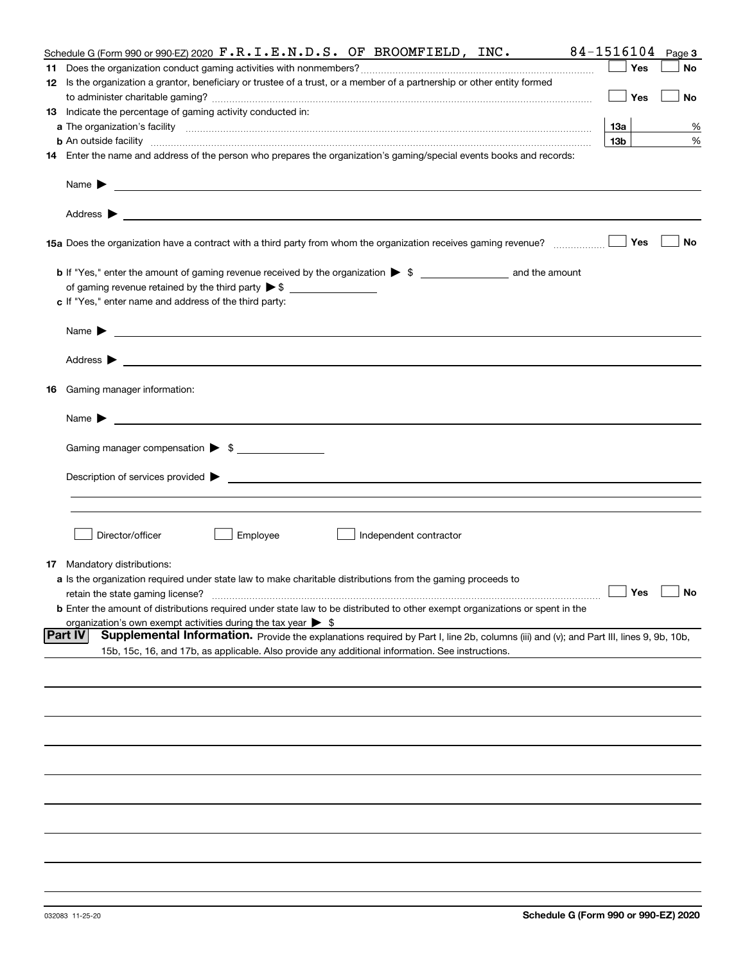|    | Schedule G (Form 990 or 990-EZ) 2020 $\mathbf{F} \cdot \mathbf{R} \cdot \mathbf{I} \cdot \mathbf{E} \cdot \mathbf{N} \cdot \mathbf{D} \cdot \mathbf{S}$ . OF BROOMFIELD, INC.                                                                                         | 84-1516104        | Page 3    |
|----|-----------------------------------------------------------------------------------------------------------------------------------------------------------------------------------------------------------------------------------------------------------------------|-------------------|-----------|
|    |                                                                                                                                                                                                                                                                       | Yes               | No        |
|    | 12 Is the organization a grantor, beneficiary or trustee of a trust, or a member of a partnership or other entity formed                                                                                                                                              |                   |           |
|    |                                                                                                                                                                                                                                                                       | Yes               | No        |
|    | 13 Indicate the percentage of gaming activity conducted in:                                                                                                                                                                                                           |                   |           |
|    |                                                                                                                                                                                                                                                                       | 13а               | %         |
|    | <b>b</b> An outside facility <i>www.communicality communicality communicality communicality communicality communicality communicality communicality communicality communicality communicality communicality communicality communicali</i>                             | 13 <sub>b</sub>   | %         |
|    | 14 Enter the name and address of the person who prepares the organization's gaming/special events books and records:                                                                                                                                                  |                   |           |
|    | Name $\blacktriangleright$<br><u> 1989 - Andrea Stadt Britain, amerikansk politik (* 1958)</u>                                                                                                                                                                        |                   |           |
|    | Address $\blacktriangleright$<br><u> 1989 - Andrea Stadt Britain, amerikansk politik (</u>                                                                                                                                                                            | Yes               | No        |
|    |                                                                                                                                                                                                                                                                       |                   |           |
|    |                                                                                                                                                                                                                                                                       |                   |           |
|    | of gaming revenue retained by the third party $\triangleright$ \$                                                                                                                                                                                                     |                   |           |
|    | c If "Yes," enter name and address of the third party:                                                                                                                                                                                                                |                   |           |
|    | Name $\blacktriangleright$<br><u> 1989 - Johann Stoff, amerikansk politiker (d. 1989)</u>                                                                                                                                                                             |                   |           |
|    | Address $\blacktriangleright$<br><u>state and the state of the state of the state of the state of the state of the state of the state of the state of the state of the state of the state of the state of the state of the state of the state of the state of the</u> |                   |           |
| 16 | Gaming manager information:                                                                                                                                                                                                                                           |                   |           |
|    | Name $\blacktriangleright$                                                                                                                                                                                                                                            |                   |           |
|    | Gaming manager compensation > \$                                                                                                                                                                                                                                      |                   |           |
|    |                                                                                                                                                                                                                                                                       |                   |           |
|    | Description of services provided $\blacktriangleright$                                                                                                                                                                                                                |                   |           |
|    |                                                                                                                                                                                                                                                                       |                   |           |
|    |                                                                                                                                                                                                                                                                       |                   |           |
|    | Director/officer<br>Employee<br>Independent contractor                                                                                                                                                                                                                |                   |           |
|    |                                                                                                                                                                                                                                                                       |                   |           |
|    | <b>17</b> Mandatory distributions:                                                                                                                                                                                                                                    |                   |           |
|    | a Is the organization required under state law to make charitable distributions from the gaming proceeds to                                                                                                                                                           | $\Box$ Yes $\Box$ |           |
|    | retain the state gaming license?                                                                                                                                                                                                                                      |                   | $\Box$ No |
|    | <b>b</b> Enter the amount of distributions required under state law to be distributed to other exempt organizations or spent in the                                                                                                                                   |                   |           |
|    | organization's own exempt activities during the tax year $\triangleright$ \$<br><b>Part IV</b><br>Supplemental Information. Provide the explanations required by Part I, line 2b, columns (iii) and (v); and Part III, lines 9, 9b, 10b,                              |                   |           |
|    | 15b, 15c, 16, and 17b, as applicable. Also provide any additional information. See instructions.                                                                                                                                                                      |                   |           |
|    |                                                                                                                                                                                                                                                                       |                   |           |
|    |                                                                                                                                                                                                                                                                       |                   |           |
|    |                                                                                                                                                                                                                                                                       |                   |           |
|    |                                                                                                                                                                                                                                                                       |                   |           |
|    |                                                                                                                                                                                                                                                                       |                   |           |
|    |                                                                                                                                                                                                                                                                       |                   |           |
|    |                                                                                                                                                                                                                                                                       |                   |           |
|    |                                                                                                                                                                                                                                                                       |                   |           |
|    |                                                                                                                                                                                                                                                                       |                   |           |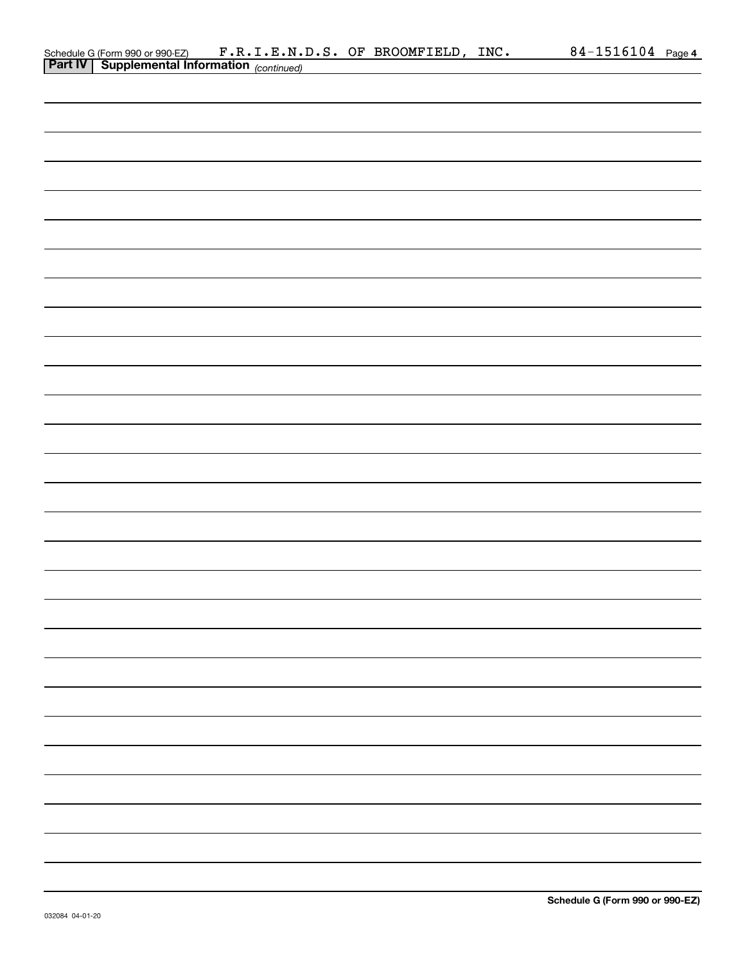| Schedule G (Form 990 or 990 EZ) F.R.I.E.N.D.S. OF BROOMFIELD, INC.<br><b>Part IV</b> Supplemental Information (continued) |  |  | 84-1516104 Page 4 |
|---------------------------------------------------------------------------------------------------------------------------|--|--|-------------------|
|                                                                                                                           |  |  |                   |
|                                                                                                                           |  |  |                   |
|                                                                                                                           |  |  |                   |
|                                                                                                                           |  |  |                   |
|                                                                                                                           |  |  |                   |
|                                                                                                                           |  |  |                   |
|                                                                                                                           |  |  |                   |
|                                                                                                                           |  |  |                   |
|                                                                                                                           |  |  |                   |
|                                                                                                                           |  |  |                   |
|                                                                                                                           |  |  |                   |
|                                                                                                                           |  |  |                   |
|                                                                                                                           |  |  |                   |
|                                                                                                                           |  |  |                   |
|                                                                                                                           |  |  |                   |
|                                                                                                                           |  |  |                   |
|                                                                                                                           |  |  |                   |
|                                                                                                                           |  |  |                   |
|                                                                                                                           |  |  |                   |
|                                                                                                                           |  |  |                   |
|                                                                                                                           |  |  |                   |
|                                                                                                                           |  |  |                   |
|                                                                                                                           |  |  |                   |
|                                                                                                                           |  |  |                   |
|                                                                                                                           |  |  |                   |
|                                                                                                                           |  |  |                   |
|                                                                                                                           |  |  |                   |
|                                                                                                                           |  |  |                   |
|                                                                                                                           |  |  |                   |
|                                                                                                                           |  |  |                   |
|                                                                                                                           |  |  |                   |
|                                                                                                                           |  |  |                   |
|                                                                                                                           |  |  |                   |
|                                                                                                                           |  |  |                   |
|                                                                                                                           |  |  |                   |
|                                                                                                                           |  |  |                   |
|                                                                                                                           |  |  |                   |
|                                                                                                                           |  |  |                   |
|                                                                                                                           |  |  |                   |
|                                                                                                                           |  |  |                   |
|                                                                                                                           |  |  |                   |
|                                                                                                                           |  |  |                   |
|                                                                                                                           |  |  |                   |
|                                                                                                                           |  |  |                   |
|                                                                                                                           |  |  |                   |
|                                                                                                                           |  |  |                   |
|                                                                                                                           |  |  |                   |
|                                                                                                                           |  |  |                   |
|                                                                                                                           |  |  |                   |
|                                                                                                                           |  |  |                   |
|                                                                                                                           |  |  |                   |
|                                                                                                                           |  |  |                   |
|                                                                                                                           |  |  |                   |
|                                                                                                                           |  |  |                   |
|                                                                                                                           |  |  |                   |
|                                                                                                                           |  |  |                   |
|                                                                                                                           |  |  |                   |
|                                                                                                                           |  |  |                   |
|                                                                                                                           |  |  |                   |
|                                                                                                                           |  |  |                   |
|                                                                                                                           |  |  |                   |
|                                                                                                                           |  |  |                   |
|                                                                                                                           |  |  |                   |
|                                                                                                                           |  |  |                   |
|                                                                                                                           |  |  |                   |
|                                                                                                                           |  |  |                   |
|                                                                                                                           |  |  |                   |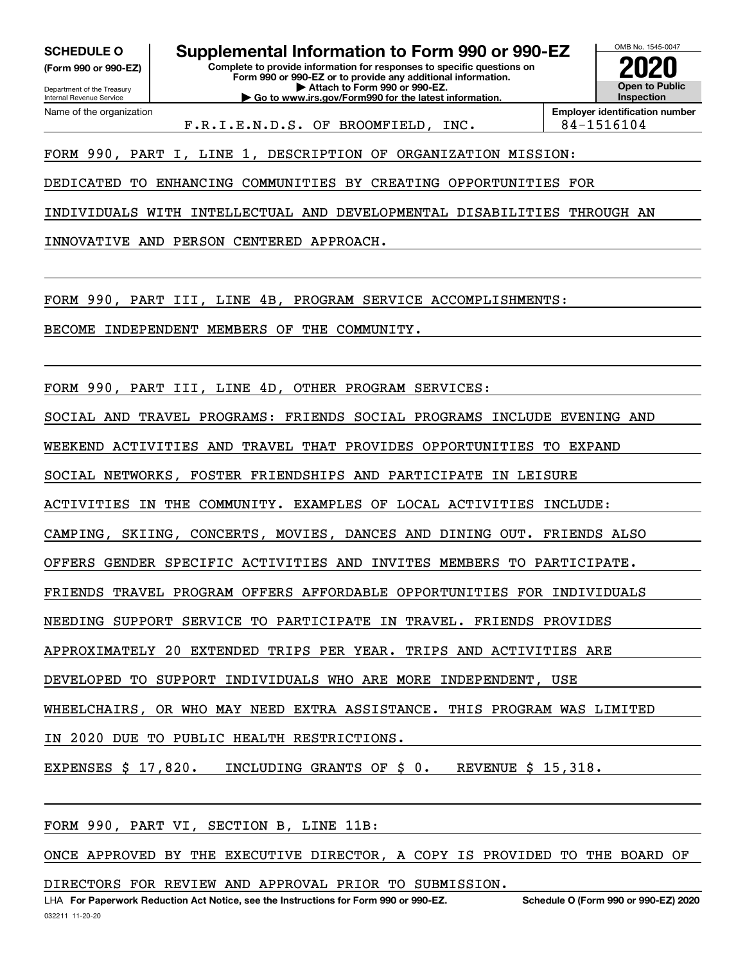Department of the Treasury **(Form 990 or 990-EZ)**

Name of the organization

Internal Revenue Service

**Complete to provide information for responses to specific questions on SCHEDULE O Supplemental Information to Form 990 or 990-EZ**

**Form 990 or 990-EZ or to provide any additional information. | Attach to Form 990 or 990-EZ. | Go to www.irs.gov/Form990 for the latest information.**



F.R.I.E.N.D.S. OF BROOMFIELD, INC. | 84-1516104

FORM 990, PART I, LINE 1, DESCRIPTION OF ORGANIZATION MISSION:

DEDICATED TO ENHANCING COMMUNITIES BY CREATING OPPORTUNITIES FOR

INDIVIDUALS WITH INTELLECTUAL AND DEVELOPMENTAL DISABILITIES THROUGH AN

INNOVATIVE AND PERSON CENTERED APPROACH.

FORM 990, PART III, LINE 4B, PROGRAM SERVICE ACCOMPLISHMENTS:

BECOME INDEPENDENT MEMBERS OF THE COMMUNITY.

FORM 990, PART III, LINE 4D, OTHER PROGRAM SERVICES:

SOCIAL AND TRAVEL PROGRAMS: FRIENDS SOCIAL PROGRAMS INCLUDE EVENING AND

WEEKEND ACTIVITIES AND TRAVEL THAT PROVIDES OPPORTUNITIES TO EXPAND

SOCIAL NETWORKS, FOSTER FRIENDSHIPS AND PARTICIPATE IN LEISURE

ACTIVITIES IN THE COMMUNITY. EXAMPLES OF LOCAL ACTIVITIES INCLUDE:

CAMPING, SKIING, CONCERTS, MOVIES, DANCES AND DINING OUT. FRIENDS ALSO

OFFERS GENDER SPECIFIC ACTIVITIES AND INVITES MEMBERS TO PARTICIPATE.

FRIENDS TRAVEL PROGRAM OFFERS AFFORDABLE OPPORTUNITIES FOR INDIVIDUALS

NEEDING SUPPORT SERVICE TO PARTICIPATE IN TRAVEL. FRIENDS PROVIDES

APPROXIMATELY 20 EXTENDED TRIPS PER YEAR. TRIPS AND ACTIVITIES ARE

DEVELOPED TO SUPPORT INDIVIDUALS WHO ARE MORE INDEPENDENT, USE

WHEELCHAIRS, OR WHO MAY NEED EXTRA ASSISTANCE. THIS PROGRAM WAS LIMITED

IN 2020 DUE TO PUBLIC HEALTH RESTRICTIONS.

EXPENSES \$ 17,820. INCLUDING GRANTS OF \$ 0. REVENUE \$ 15,318.

FORM 990, PART VI, SECTION B, LINE 11B:

ONCE APPROVED BY THE EXECUTIVE DIRECTOR, A COPY IS PROVIDED TO THE BOARD OF

DIRECTORS FOR REVIEW AND APPROVAL PRIOR TO SUBMISSION.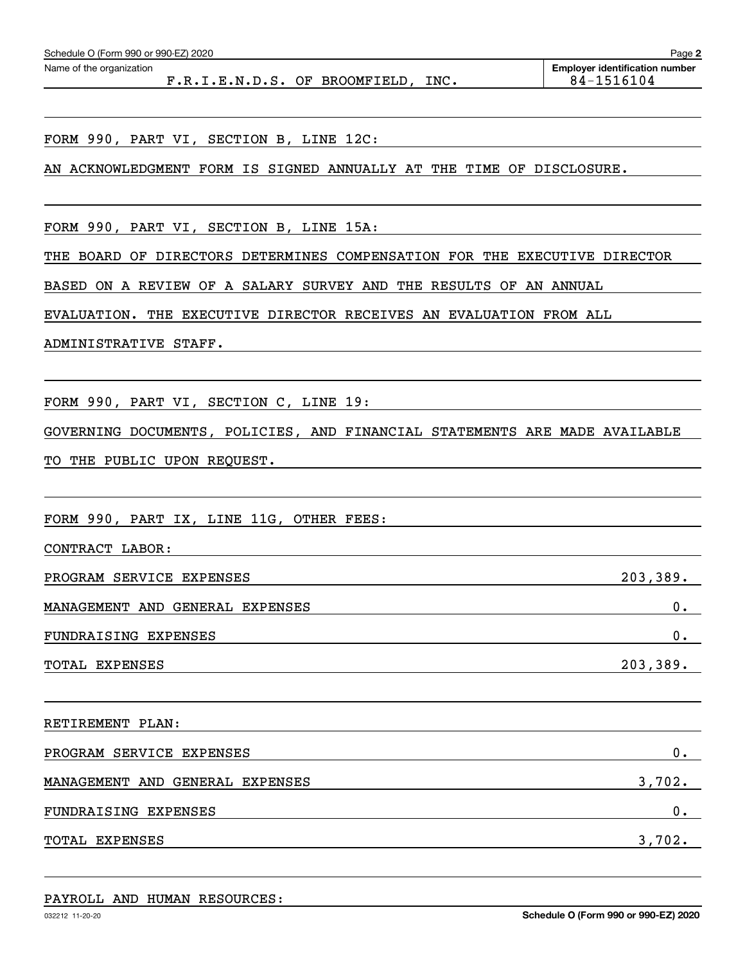| F.R.I.E.N.D.S. OF BROOMFIELD, INC.                                         | 84-1516104 |  |  |  |
|----------------------------------------------------------------------------|------------|--|--|--|
|                                                                            |            |  |  |  |
| FORM 990, PART VI, SECTION B, LINE 12C:                                    |            |  |  |  |
| AN ACKNOWLEDGMENT FORM IS SIGNED ANNUALLY AT THE TIME OF DISCLOSURE.       |            |  |  |  |
|                                                                            |            |  |  |  |
| FORM 990, PART VI, SECTION B, LINE 15A:                                    |            |  |  |  |
| THE BOARD OF DIRECTORS DETERMINES COMPENSATION FOR THE EXECUTIVE DIRECTOR  |            |  |  |  |
| BASED ON A REVIEW OF A SALARY SURVEY AND THE RESULTS OF AN ANNUAL          |            |  |  |  |
| EVALUATION. THE EXECUTIVE DIRECTOR RECEIVES AN EVALUATION FROM ALL         |            |  |  |  |
| ADMINISTRATIVE STAFF.                                                      |            |  |  |  |
|                                                                            |            |  |  |  |
| FORM 990, PART VI, SECTION C, LINE 19:                                     |            |  |  |  |
| GOVERNING DOCUMENTS, POLICIES, AND FINANCIAL STATEMENTS ARE MADE AVAILABLE |            |  |  |  |
| TO THE PUBLIC UPON REQUEST.                                                |            |  |  |  |
|                                                                            |            |  |  |  |
| FORM 990, PART IX, LINE 11G, OTHER FEES:                                   |            |  |  |  |
| CONTRACT LABOR:                                                            |            |  |  |  |
| PROGRAM SERVICE EXPENSES                                                   | 203,389.   |  |  |  |
| MANAGEMENT AND GENERAL EXPENSES                                            | 0.         |  |  |  |
| FUNDRAISING EXPENSES                                                       | 0.         |  |  |  |
| TOTAL EXPENSES                                                             | 203,389.   |  |  |  |
|                                                                            |            |  |  |  |
| RETIREMENT PLAN:                                                           |            |  |  |  |
| PROGRAM SERVICE EXPENSES                                                   | $0$ .      |  |  |  |
| MANAGEMENT AND GENERAL EXPENSES                                            | 3,702.     |  |  |  |
| $0$ .<br>FUNDRAISING EXPENSES                                              |            |  |  |  |
| TOTAL EXPENSES                                                             | 3,702.     |  |  |  |
|                                                                            |            |  |  |  |

Echedule O (Form 990 or 990-EZ) 2020<br>Name of the organization **number** Name of the organization **number** 

PAYROLL AND HUMAN RESOURCES:

**2**